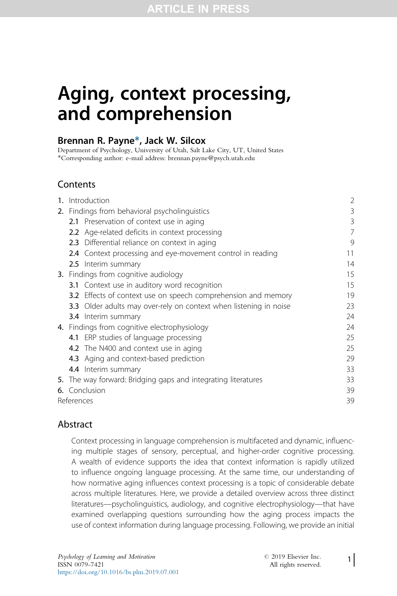# Aging, context processing, and comprehension

## Brennan R. Payne\*, Jack W. Silcox

Department of Psychology, University of Utah, Salt Lake City, UT, United States \*Corresponding author: e-mail address: brennan.payne@psych.utah.edu

## **Contents**

| 1. | Introduction                                  |                                                                          | 2  |
|----|-----------------------------------------------|--------------------------------------------------------------------------|----|
|    | 2. Findings from behavioral psycholinguistics | 3                                                                        |    |
|    |                                               | 2.1 Preservation of context use in aging                                 | 3  |
|    |                                               | <b>2.2</b> Age-related deficits in context processing                    | 7  |
|    |                                               | 2.3 Differential reliance on context in aging                            | 9  |
|    |                                               | <b>2.4</b> Context processing and eye-movement control in reading        | 11 |
|    |                                               | 2.5 Interim summary                                                      | 14 |
|    |                                               | 3. Findings from cognitive audiology                                     | 15 |
|    |                                               | <b>3.1</b> Context use in auditory word recognition                      | 15 |
|    |                                               | <b>3.2</b> Effects of context use on speech comprehension and memory     | 19 |
|    |                                               | <b>3.3</b> Older adults may over-rely on context when listening in noise | 23 |
|    |                                               | <b>3.4</b> Interim summary                                               | 24 |
|    |                                               | 4. Findings from cognitive electrophysiology                             | 24 |
|    |                                               | 4.1 ERP studies of language processing                                   | 25 |
|    |                                               | 4.2 The N400 and context use in aging                                    | 25 |
|    |                                               | 4.3 Aging and context-based prediction                                   | 29 |
|    |                                               | 4.4 Interim summary                                                      | 33 |
|    |                                               | 5. The way forward: Bridging gaps and integrating literatures            | 33 |
|    |                                               | 6. Conclusion                                                            | 39 |
|    | References                                    |                                                                          |    |

## **Abstract**

Context processing in language comprehension is multifaceted and dynamic, influencing multiple stages of sensory, perceptual, and higher-order cognitive processing. A wealth of evidence supports the idea that context information is rapidly utilized to influence ongoing language processing. At the same time, our understanding of how normative aging influences context processing is a topic of considerable debate across multiple literatures. Here, we provide a detailed overview across three distinct literatures—psycholinguistics, audiology, and cognitive electrophysiology—that have examined overlapping questions surrounding how the aging process impacts the use of context information during language processing. Following, we provide an initial

1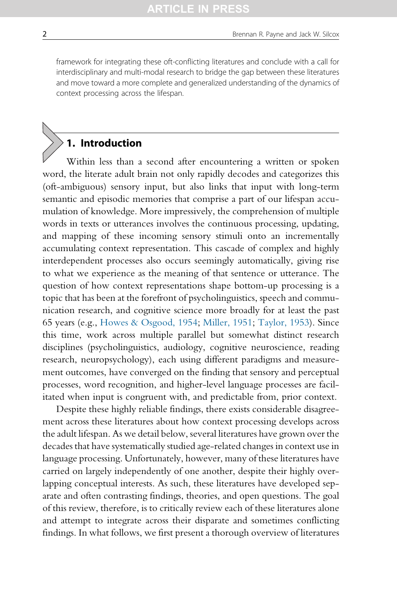framework for integrating these oft-conflicting literatures and conclude with a call for interdisciplinary and multi-modal research to bridge the gap between these literatures and move toward a more complete and generalized understanding of the dynamics of context processing across the lifespan.

# 1. Introduction

Within less than a second after encountering a written or spoken word, the literate adult brain not only rapidly decodes and categorizes this (oft-ambiguous) sensory input, but also links that input with long-term semantic and episodic memories that comprise a part of our lifespan accumulation of knowledge. More impressively, the comprehension of multiple words in texts or utterances involves the continuous processing, updating, and mapping of these incoming sensory stimuli onto an incrementally accumulating context representation. This cascade of complex and highly interdependent processes also occurs seemingly automatically, giving rise to what we experience as the meaning of that sentence or utterance. The question of how context representations shape bottom-up processing is a topic that has been at the forefront of psycholinguistics, speech and communication research, and cognitive science more broadly for at least the past 65 years (e.g., [Howes & Osgood, 1954](#page-42-0); [Miller, 1951;](#page-43-0) [Taylor, 1953\)](#page-48-0). Since this time, work across multiple parallel but somewhat distinct research disciplines (psycholinguistics, audiology, cognitive neuroscience, reading research, neuropsychology), each using different paradigms and measurement outcomes, have converged on the finding that sensory and perceptual processes, word recognition, and higher-level language processes are facilitated when input is congruent with, and predictable from, prior context.

Despite these highly reliable findings, there exists considerable disagreement across these literatures about how context processing develops across the adult lifespan. As we detail below, several literatures have grown over the decades that have systematically studied age-related changes in context use in language processing. Unfortunately, however, many of these literatures have carried on largely independently of one another, despite their highly overlapping conceptual interests. As such, these literatures have developed separate and often contrasting findings, theories, and open questions. The goal of this review, therefore, is to critically review each of these literatures alone and attempt to integrate across their disparate and sometimes conflicting findings. In what follows, we first present a thorough overview of literatures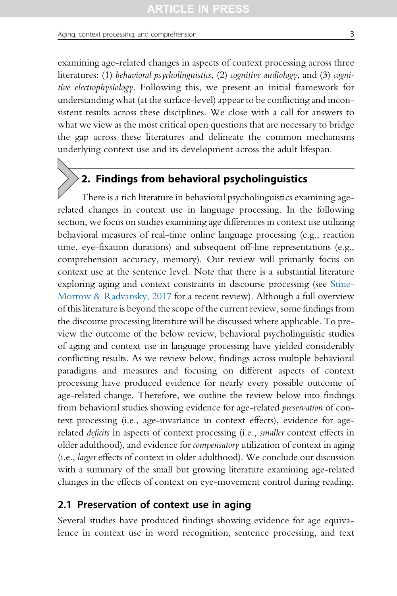examining age-related changes in aspects of context processing across three literatures: (1) behavioral psycholinguistics, (2) cognitive audiology, and (3) cognitive electrophysiology. Following this, we present an initial framework for understanding what (at the surface-level) appear to be conflicting and inconsistent results across these disciplines. We close with a call for answers to what we view as the most critical open questions that are necessary to bridge the gap across these literatures and delineate the common mechanisms underlying context use and its development across the adult lifespan.

## 2. Findings from behavioral psycholinguistics

There is a rich literature in behavioral psycholinguistics examining agerelated changes in context use in language processing. In the following section, we focus on studies examining age differences in context use utilizing behavioral measures of real-time online language processing (e.g., reaction time, eye-fixation durations) and subsequent off-line representations (e.g., comprehension accuracy, memory). Our review will primarily focus on context use at the sentence level. Note that there is a substantial literature exploring aging and context constraints in discourse processing (see [Stine-](#page-47-0)[Morrow & Radvansky, 2017](#page-47-0) for a recent review). Although a full overview of this literature is beyond the scope of the current review, some findings from the discourse processing literature will be discussed where applicable. To preview the outcome of the below review, behavioral psycholinguistic studies of aging and context use in language processing have yielded considerably conflicting results. As we review below, findings across multiple behavioral paradigms and measures and focusing on different aspects of context processing have produced evidence for nearly every possible outcome of age-related change. Therefore, we outline the review below into findings from behavioral studies showing evidence for age-related preservation of context processing (i.e., age-invariance in context effects), evidence for agerelated *deficits* in aspects of context processing (i.e., *smaller* context effects in older adulthood), and evidence for compensatory utilization of context in aging (i.e., larger effects of context in older adulthood). We conclude our discussion with a summary of the small but growing literature examining age-related changes in the effects of context on eye-movement control during reading.

## 2.1 Preservation of context use in aging

Several studies have produced findings showing evidence for age equivalence in context use in word recognition, sentence processing, and text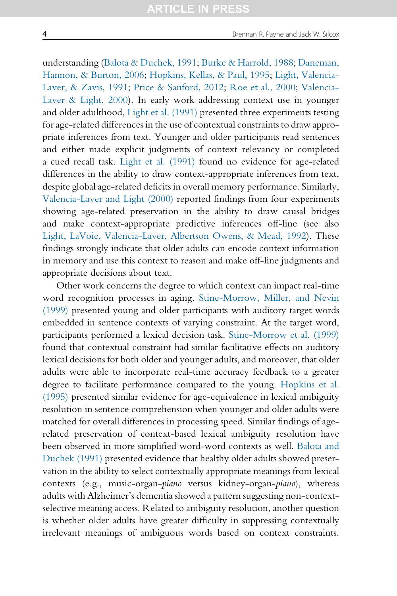understanding ([Balota & Duchek, 1991](#page-38-0); [Burke & Harrold, 1988](#page-39-0); [Daneman,](#page-39-0) [Hannon, & Burton, 2006;](#page-39-0) [Hopkins, Kellas, & Paul, 1995](#page-41-0); [Light, Valencia-](#page-43-0)[Laver, & Zavis, 1991](#page-43-0); [Price & Sanford, 2012](#page-45-0); [Roe et al., 2000;](#page-46-0) [Valencia-](#page-48-0)[Laver & Light, 2000](#page-48-0)). In early work addressing context use in younger and older adulthood, [Light et al. \(1991\)](#page-43-0) presented three experiments testing for age-related differences in the use of contextual constraints to draw appropriate inferences from text. Younger and older participants read sentences and either made explicit judgments of context relevancy or completed a cued recall task. [Light et al. \(1991\)](#page-43-0) found no evidence for age-related differences in the ability to draw context-appropriate inferences from text, despite global age-related deficits in overall memory performance. Similarly, [Valencia-Laver and Light \(2000\)](#page-48-0) reported findings from four experiments showing age-related preservation in the ability to draw causal bridges and make context-appropriate predictive inferences off-line (see also [Light, LaVoie, Valencia-Laver, Albertson Owens, & Mead, 1992](#page-43-0)). These findings strongly indicate that older adults can encode context information in memory and use this context to reason and make off-line judgments and appropriate decisions about text.

Other work concerns the degree to which context can impact real-time word recognition processes in aging. [Stine-Morrow, Miller, and Nevin](#page-47-0) [\(1999\)](#page-47-0) presented young and older participants with auditory target words embedded in sentence contexts of varying constraint. At the target word, participants performed a lexical decision task. [Stine-Morrow et al. \(1999\)](#page-47-0) found that contextual constraint had similar facilitative effects on auditory lexical decisions for both older and younger adults, and moreover, that older adults were able to incorporate real-time accuracy feedback to a greater degree to facilitate performance compared to the young. [Hopkins et al.](#page-41-0) [\(1995\)](#page-41-0) presented similar evidence for age-equivalence in lexical ambiguity resolution in sentence comprehension when younger and older adults were matched for overall differences in processing speed. Similar findings of agerelated preservation of context-based lexical ambiguity resolution have been observed in more simplified word-word contexts as well. [Balota and](#page-38-0) [Duchek \(1991\)](#page-38-0) presented evidence that healthy older adults showed preservation in the ability to select contextually appropriate meanings from lexical contexts (e.g., music-organ-piano versus kidney-organ-piano), whereas adults with Alzheimer's dementia showed a pattern suggesting non-contextselective meaning access. Related to ambiguity resolution, another question is whether older adults have greater difficulty in suppressing contextually irrelevant meanings of ambiguous words based on context constraints.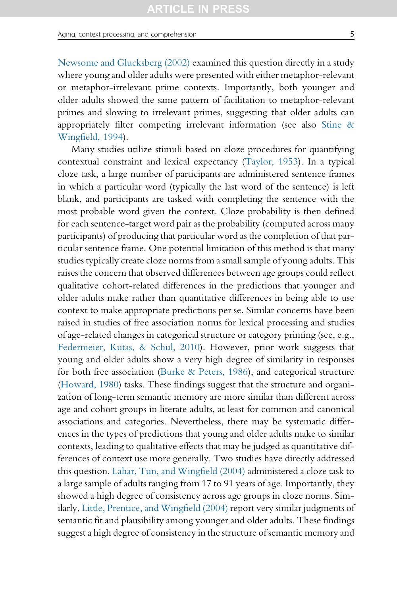Aging, context processing, and comprehension 5

[Newsome and Glucksberg \(2002\)](#page-44-0) examined this question directly in a study where young and older adults were presented with either metaphor-relevant or metaphor-irrelevant prime contexts. Importantly, both younger and older adults showed the same pattern of facilitation to metaphor-relevant primes and slowing to irrelevant primes, suggesting that older adults can appropriately filter competing irrelevant information (see also [Stine &](#page-47-0) [Wingfield, 1994\)](#page-47-0).

Many studies utilize stimuli based on cloze procedures for quantifying contextual constraint and lexical expectancy ([Taylor, 1953](#page-48-0)). In a typical cloze task, a large number of participants are administered sentence frames in which a particular word (typically the last word of the sentence) is left blank, and participants are tasked with completing the sentence with the most probable word given the context. Cloze probability is then defined for each sentence-target word pair as the probability (computed across many participants) of producing that particular word as the completion of that particular sentence frame. One potential limitation of this method is that many studies typically create cloze norms from a small sample of young adults. This raises the concern that observed differences between age groups could reflect qualitative cohort-related differences in the predictions that younger and older adults make rather than quantitative differences in being able to use context to make appropriate predictions per se. Similar concerns have been raised in studies of free association norms for lexical processing and studies of age-related changes in categorical structure or category priming (see, e.g., [Federmeier, Kutas, & Schul, 2010](#page-40-0)). However, prior work suggests that young and older adults show a very high degree of similarity in responses for both free association ([Burke & Peters, 1986\)](#page-39-0), and categorical structure [\(Howard, 1980](#page-41-0)) tasks. These findings suggest that the structure and organization of long-term semantic memory are more similar than different across age and cohort groups in literate adults, at least for common and canonical associations and categories. Nevertheless, there may be systematic differences in the types of predictions that young and older adults make to similar contexts, leading to qualitative effects that may be judged as quantitative differences of context use more generally. Two studies have directly addressed this question. [Lahar, Tun, and Wingfield \(2004\)](#page-42-0) administered a cloze task to a large sample of adults ranging from 17 to 91 years of age. Importantly, they showed a high degree of consistency across age groups in cloze norms. Similarly, [Little, Prentice, and Wingfield \(2004\)](#page-43-0) report very similar judgments of semantic fit and plausibility among younger and older adults. These findings suggest a high degree of consistency in the structure of semantic memory and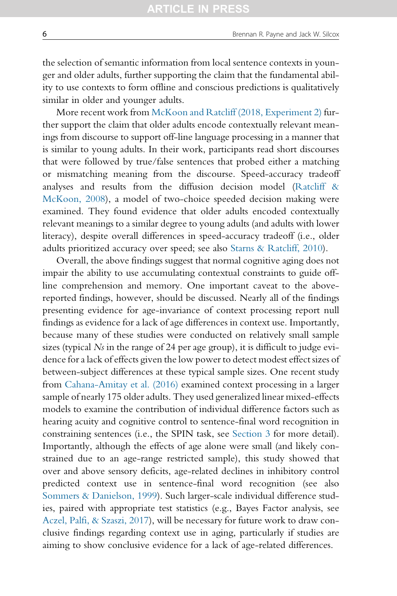the selection of semantic information from local sentence contexts in younger and older adults, further supporting the claim that the fundamental ability to use contexts to form offline and conscious predictions is qualitatively similar in older and younger adults.

More recent work from [McKoon and Ratcliff \(2018, Experiment 2\)](#page-43-0) further support the claim that older adults encode contextually relevant meanings from discourse to support off-line language processing in a manner that is similar to young adults. In their work, participants read short discourses that were followed by true/false sentences that probed either a matching or mismatching meaning from the discourse. Speed-accuracy tradeoff analyses and results from the diffusion decision model [\(Ratcliff &](#page-46-0) [McKoon, 2008\)](#page-46-0), a model of two-choice speeded decision making were examined. They found evidence that older adults encoded contextually relevant meanings to a similar degree to young adults (and adults with lower literacy), despite overall differences in speed-accuracy tradeoff (i.e., older adults prioritized accuracy over speed; see also [Starns & Ratcliff, 2010\)](#page-47-0).

Overall, the above findings suggest that normal cognitive aging does not impair the ability to use accumulating contextual constraints to guide offline comprehension and memory. One important caveat to the abovereported findings, however, should be discussed. Nearly all of the findings presenting evidence for age-invariance of context processing report null findings as evidence for a lack of age differences in context use. Importantly, because many of these studies were conducted on relatively small sample sizes (typical  $N_s$  in the range of 24 per age group), it is difficult to judge evidence for a lack of effects given the low power to detect modest effect sizes of between-subject differences at these typical sample sizes. One recent study from [Cahana-Amitay et al. \(2016\)](#page-39-0) examined context processing in a larger sample of nearly 175 older adults. They used generalized linear mixed-effects models to examine the contribution of individual difference factors such as hearing acuity and cognitive control to sentence-final word recognition in constraining sentences (i.e., the SPIN task, see [Section 3](#page-14-0) for more detail). Importantly, although the effects of age alone were small (and likely constrained due to an age-range restricted sample), this study showed that over and above sensory deficits, age-related declines in inhibitory control predicted context use in sentence-final word recognition (see also [Sommers & Danielson, 1999\)](#page-47-0). Such larger-scale individual difference studies, paired with appropriate test statistics (e.g., Bayes Factor analysis, see [Aczel, Palfi, & Szaszi, 2017](#page-38-0)), will be necessary for future work to draw conclusive findings regarding context use in aging, particularly if studies are aiming to show conclusive evidence for a lack of age-related differences.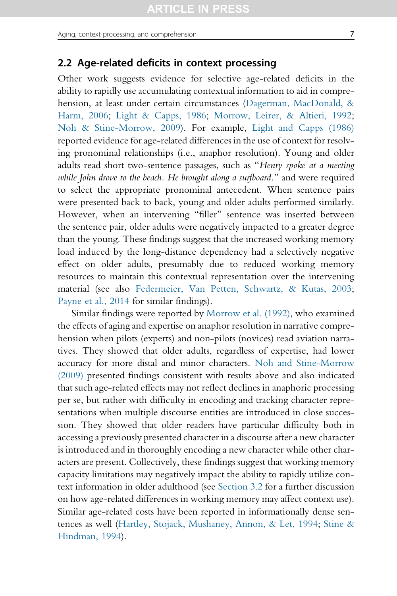## 2.2 Age-related deficits in context processing

Other work suggests evidence for selective age-related deficits in the ability to rapidly use accumulating contextual information to aid in comprehension, at least under certain circumstances [\(Dagerman, MacDonald, &](#page-39-0) [Harm, 2006;](#page-39-0) [Light & Capps, 1986](#page-43-0); [Morrow, Leirer, & Altieri, 1992;](#page-44-0) [Noh & Stine-Morrow, 2009](#page-44-0)). For example, [Light and Capps \(1986\)](#page-43-0) reported evidence for age-related differences in the use of context for resolving pronominal relationships (i.e., anaphor resolution). Young and older adults read short two-sentence passages, such as "Henry spoke at a meeting while John drove to the beach. He brought along a surfboard." and were required to select the appropriate pronominal antecedent. When sentence pairs were presented back to back, young and older adults performed similarly. However, when an intervening "filler" sentence was inserted between the sentence pair, older adults were negatively impacted to a greater degree than the young. These findings suggest that the increased working memory load induced by the long-distance dependency had a selectively negative effect on older adults, presumably due to reduced working memory resources to maintain this contextual representation over the intervening material (see also [Federmeier, Van Petten, Schwartz, & Kutas, 2003;](#page-41-0) [Payne et al., 2014](#page-45-0) for similar findings).

Similar findings were reported by [Morrow et al. \(1992\),](#page-44-0) who examined the effects of aging and expertise on anaphor resolution in narrative comprehension when pilots (experts) and non-pilots (novices) read aviation narratives. They showed that older adults, regardless of expertise, had lower accuracy for more distal and minor characters. [Noh and Stine-Morrow](#page-44-0) [\(2009\)](#page-44-0) presented findings consistent with results above and also indicated that such age-related effects may not reflect declines in anaphoric processing per se, but rather with difficulty in encoding and tracking character representations when multiple discourse entities are introduced in close succession. They showed that older readers have particular difficulty both in accessing a previously presented character in a discourse after a new character is introduced and in thoroughly encoding a new character while other characters are present. Collectively, these findings suggest that working memory capacity limitations may negatively impact the ability to rapidly utilize context information in older adulthood (see [Section 3.2](#page-18-0) for a further discussion on how age-related differences in working memory may affect context use). Similar age-related costs have been reported in informationally dense sentences as well ([Hartley, Stojack, Mushaney, Annon, & Let, 1994;](#page-41-0) [Stine &](#page-47-0) [Hindman, 1994\)](#page-47-0).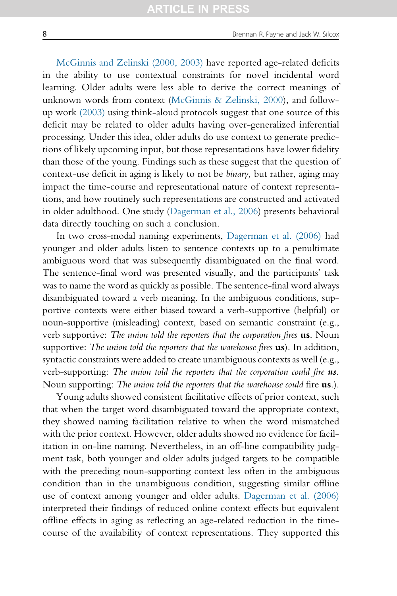[McGinnis and Zelinski \(2000, 2003\)](#page-43-0) have reported age-related deficits in the ability to use contextual constraints for novel incidental word learning. Older adults were less able to derive the correct meanings of unknown words from context [\(McGinnis & Zelinski, 2000](#page-43-0)), and followup work [\(2003\)](#page-43-0) using think-aloud protocols suggest that one source of this deficit may be related to older adults having over-generalized inferential processing. Under this idea, older adults do use context to generate predictions of likely upcoming input, but those representations have lower fidelity than those of the young. Findings such as these suggest that the question of context-use deficit in aging is likely to not be binary, but rather, aging may impact the time-course and representational nature of context representations, and how routinely such representations are constructed and activated in older adulthood. One study ([Dagerman et al., 2006\)](#page-39-0) presents behavioral data directly touching on such a conclusion.

In two cross-modal naming experiments, [Dagerman et al. \(2006\)](#page-39-0) had younger and older adults listen to sentence contexts up to a penultimate ambiguous word that was subsequently disambiguated on the final word. The sentence-final word was presented visually, and the participants' task was to name the word as quickly as possible. The sentence-final word always disambiguated toward a verb meaning. In the ambiguous conditions, supportive contexts were either biased toward a verb-supportive (helpful) or noun-supportive (misleading) context, based on semantic constraint (e.g., verb supportive: The union told the reporters that the corporation fires us. Noun supportive: The union told the reporters that the warehouse fires **us**). In addition, syntactic constraints were added to create unambiguous contexts as well (e.g., verb-supporting: The union told the reporters that the corporation could fire us. Noun supporting: The union told the reporters that the warehouse could fire **us**.).

Young adults showed consistent facilitative effects of prior context, such that when the target word disambiguated toward the appropriate context, they showed naming facilitation relative to when the word mismatched with the prior context. However, older adults showed no evidence for facilitation in on-line naming. Nevertheless, in an off-line compatibility judgment task, both younger and older adults judged targets to be compatible with the preceding noun-supporting context less often in the ambiguous condition than in the unambiguous condition, suggesting similar offline use of context among younger and older adults. [Dagerman et al. \(2006\)](#page-39-0) interpreted their findings of reduced online context effects but equivalent offline effects in aging as reflecting an age-related reduction in the timecourse of the availability of context representations. They supported this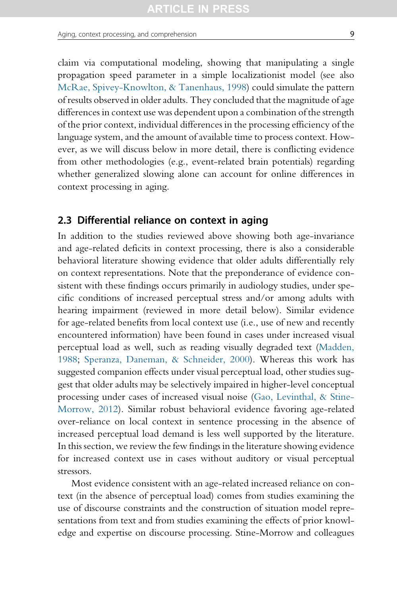claim via computational modeling, showing that manipulating a single propagation speed parameter in a simple localizationist model (see also [McRae, Spivey-Knowlton, & Tanenhaus, 1998](#page-43-0)) could simulate the pattern of results observed in older adults. They concluded that the magnitude of age differences in context use was dependent upon a combination of the strength of the prior context, individual differences in the processing efficiency of the language system, and the amount of available time to process context. However, as we will discuss below in more detail, there is conflicting evidence from other methodologies (e.g., event-related brain potentials) regarding whether generalized slowing alone can account for online differences in context processing in aging.

## 2.3 Differential reliance on context in aging

In addition to the studies reviewed above showing both age-invariance and age-related deficits in context processing, there is also a considerable behavioral literature showing evidence that older adults differentially rely on context representations. Note that the preponderance of evidence consistent with these findings occurs primarily in audiology studies, under specific conditions of increased perceptual stress and/or among adults with hearing impairment (reviewed in more detail below). Similar evidence for age-related benefits from local context use (i.e., use of new and recently encountered information) have been found in cases under increased visual perceptual load as well, such as reading visually degraded text ([Madden,](#page-43-0) [1988](#page-43-0); [Speranza, Daneman, & Schneider, 2000\)](#page-47-0). Whereas this work has suggested companion effects under visual perceptual load, other studies suggest that older adults may be selectively impaired in higher-level conceptual processing under cases of increased visual noise [\(Gao, Levinthal, & Stine-](#page-41-0)[Morrow, 2012](#page-41-0)). Similar robust behavioral evidence favoring age-related over-reliance on local context in sentence processing in the absence of increased perceptual load demand is less well supported by the literature. In this section, we review the few findings in the literature showing evidence for increased context use in cases without auditory or visual perceptual stressors.

Most evidence consistent with an age-related increased reliance on context (in the absence of perceptual load) comes from studies examining the use of discourse constraints and the construction of situation model representations from text and from studies examining the effects of prior knowledge and expertise on discourse processing. Stine-Morrow and colleagues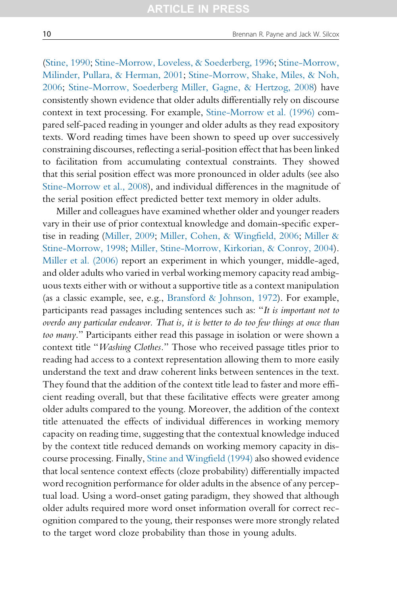([Stine, 1990](#page-47-0); [Stine-Morrow, Loveless, & Soederberg, 1996](#page-47-0); [Stine-Morrow,](#page-47-0) [Milinder, Pullara, & Herman, 2001](#page-47-0); [Stine-Morrow, Shake, Miles, & Noh,](#page-47-0) [2006;](#page-47-0) [Stine-Morrow, Soederberg Miller, Gagne, & Hertzog, 2008\)](#page-47-0) have consistently shown evidence that older adults differentially rely on discourse context in text processing. For example, [Stine-Morrow et al. \(1996\)](#page-47-0) compared self-paced reading in younger and older adults as they read expository texts. Word reading times have been shown to speed up over successively constraining discourses, reflecting a serial-position effect that has been linked to facilitation from accumulating contextual constraints. They showed that this serial position effect was more pronounced in older adults (see also [Stine-Morrow et al., 2008](#page-47-0)), and individual differences in the magnitude of the serial position effect predicted better text memory in older adults.

Miller and colleagues have examined whether older and younger readers vary in their use of prior contextual knowledge and domain-specific expertise in reading [\(Miller, 2009](#page-44-0); [Miller, Cohen, & Wingfield, 2006](#page-44-0); [Miller &](#page-44-0) [Stine-Morrow, 1998;](#page-44-0) [Miller, Stine-Morrow, Kirkorian, & Conroy, 2004\)](#page-44-0). [Miller et al. \(2006\)](#page-44-0) report an experiment in which younger, middle-aged, and older adults who varied in verbal working memory capacity read ambiguous texts either with or without a supportive title as a context manipulation (as a classic example, see, e.g., [Bransford & Johnson, 1972\)](#page-39-0). For example, participants read passages including sentences such as: "It is important not to overdo any particular endeavor. That is, it is better to do too few things at once than too many." Participants either read this passage in isolation or were shown a context title "Washing Clothes." Those who received passage titles prior to reading had access to a context representation allowing them to more easily understand the text and draw coherent links between sentences in the text. They found that the addition of the context title lead to faster and more efficient reading overall, but that these facilitative effects were greater among older adults compared to the young. Moreover, the addition of the context title attenuated the effects of individual differences in working memory capacity on reading time, suggesting that the contextual knowledge induced by the context title reduced demands on working memory capacity in dis-course processing. Finally, [Stine and Wingfield \(1994\)](#page-47-0) also showed evidence that local sentence context effects (cloze probability) differentially impacted word recognition performance for older adults in the absence of any perceptual load. Using a word-onset gating paradigm, they showed that although older adults required more word onset information overall for correct recognition compared to the young, their responses were more strongly related to the target word cloze probability than those in young adults.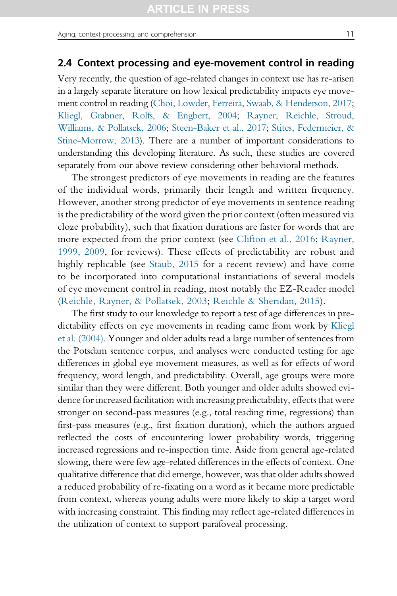## 2.4 Context processing and eye-movement control in reading

Very recently, the question of age-related changes in context use has re-arisen in a largely separate literature on how lexical predictability impacts eye movement control in reading [\(Choi, Lowder, Ferreira, Swaab, & Henderson, 2017;](#page-39-0) [Kliegl, Grabner, Rolfs, & Engbert, 2004;](#page-42-0) [Rayner, Reichle, Stroud,](#page-46-0) [Williams, & Pollatsek, 2006;](#page-46-0) [Steen-Baker et al., 2017;](#page-47-0) [Stites, Federmeier, &](#page-47-0) [Stine-Morrow, 2013\)](#page-47-0). There are a number of important considerations to understanding this developing literature. As such, these studies are covered separately from our above review considering other behavioral methods.

The strongest predictors of eye movements in reading are the features of the individual words, primarily their length and written frequency. However, another strong predictor of eye movements in sentence reading is the predictability of the word given the prior context (often measured via cloze probability), such that fixation durations are faster for words that are more expected from the prior context (see [Clifton et al., 2016](#page-39-0); [Rayner,](#page-46-0) [1999, 2009,](#page-46-0) for reviews). These effects of predictability are robust and highly replicable (see [Staub, 2015](#page-47-0) for a recent review) and have come to be incorporated into computational instantiations of several models of eye movement control in reading, most notably the EZ-Reader model [\(Reichle, Rayner, & Pollatsek, 2003](#page-46-0); [Reichle & Sheridan, 2015](#page-46-0)).

The first study to our knowledge to report a test of age differences in predictability effects on eye movements in reading came from work by [Kliegl](#page-42-0) [et al. \(2004\).](#page-42-0) Younger and older adults read a large number of sentences from the Potsdam sentence corpus, and analyses were conducted testing for age differences in global eye movement measures, as well as for effects of word frequency, word length, and predictability. Overall, age groups were more similar than they were different. Both younger and older adults showed evidence for increased facilitation with increasing predictability, effects that were stronger on second-pass measures (e.g., total reading time, regressions) than first-pass measures (e.g., first fixation duration), which the authors argued reflected the costs of encountering lower probability words, triggering increased regressions and re-inspection time. Aside from general age-related slowing, there were few age-related differences in the effects of context. One qualitative difference that did emerge, however, was that older adults showed a reduced probability of re-fixating on a word as it became more predictable from context, whereas young adults were more likely to skip a target word with increasing constraint. This finding may reflect age-related differences in the utilization of context to support parafoveal processing.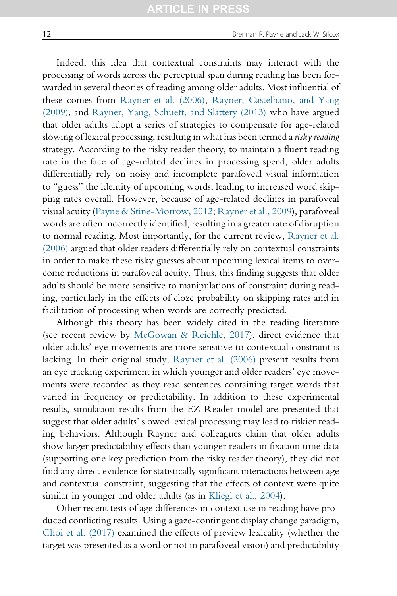Indeed, this idea that contextual constraints may interact with the processing of words across the perceptual span during reading has been forwarded in several theories of reading among older adults. Most influential of these comes from [Rayner et al. \(2006\)](#page-46-0), [Rayner, Castelhano, and Yang](#page-46-0) [\(2009\)](#page-46-0), and [Rayner, Yang, Schuett, and Slattery \(2013\)](#page-46-0) who have argued that older adults adopt a series of strategies to compensate for age-related slowing of lexical processing, resulting in what has been termed a risky reading strategy. According to the risky reader theory, to maintain a fluent reading rate in the face of age-related declines in processing speed, older adults differentially rely on noisy and incomplete parafoveal visual information to "guess" the identity of upcoming words, leading to increased word skipping rates overall. However, because of age-related declines in parafoveal visual acuity ([Payne & Stine-Morrow, 2012;](#page-45-0) [Rayner et al., 2009](#page-46-0)), parafoveal words are often incorrectly identified, resulting in a greater rate of disruption to normal reading. Most importantly, for the current review, [Rayner et al.](#page-46-0) [\(2006\)](#page-46-0) argued that older readers differentially rely on contextual constraints in order to make these risky guesses about upcoming lexical items to overcome reductions in parafoveal acuity. Thus, this finding suggests that older adults should be more sensitive to manipulations of constraint during reading, particularly in the effects of cloze probability on skipping rates and in facilitation of processing when words are correctly predicted.

Although this theory has been widely cited in the reading literature (see recent review by [McGowan & Reichle, 2017](#page-43-0)), direct evidence that older adults' eye movements are more sensitive to contextual constraint is lacking. In their original study, [Rayner et al. \(2006\)](#page-46-0) present results from an eye tracking experiment in which younger and older readers' eye movements were recorded as they read sentences containing target words that varied in frequency or predictability. In addition to these experimental results, simulation results from the EZ-Reader model are presented that suggest that older adults' slowed lexical processing may lead to riskier reading behaviors. Although Rayner and colleagues claim that older adults show larger predictability effects than younger readers in fixation time data (supporting one key prediction from the risky reader theory), they did not find any direct evidence for statistically significant interactions between age and contextual constraint, suggesting that the effects of context were quite similar in younger and older adults (as in [Kliegl et al., 2004\)](#page-42-0).

Other recent tests of age differences in context use in reading have produced conflicting results. Using a gaze-contingent display change paradigm, [Choi et al. \(2017\)](#page-39-0) examined the effects of preview lexicality (whether the target was presented as a word or not in parafoveal vision) and predictability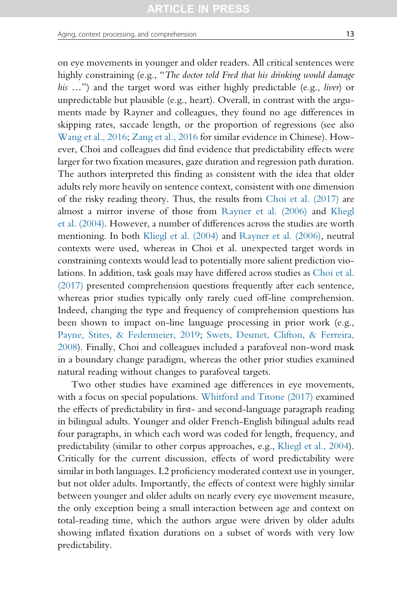on eye movements in younger and older readers. All critical sentences were highly constraining (e.g., "The doctor told Fred that his drinking would damage his ...") and the target word was either highly predictable (e.g., *liver*) or unpredictable but plausible (e.g., heart). Overall, in contrast with the arguments made by Rayner and colleagues, they found no age differences in skipping rates, saccade length, or the proportion of regressions (see also [Wang et al., 2016](#page-48-0); [Zang et al., 2016](#page-49-0) for similar evidence in Chinese). However, Choi and colleagues did find evidence that predictability effects were larger for two fixation measures, gaze duration and regression path duration. The authors interpreted this finding as consistent with the idea that older adults rely more heavily on sentence context, consistent with one dimension of the risky reading theory. Thus, the results from [Choi et al. \(2017\)](#page-39-0) are almost a mirror inverse of those from [Rayner et al. \(2006\)](#page-46-0) and [Kliegl](#page-42-0) [et al. \(2004\).](#page-42-0) However, a number of differences across the studies are worth mentioning. In both [Kliegl et al. \(2004\)](#page-42-0) and [Rayner et al. \(2006\)](#page-46-0), neutral contexts were used, whereas in Choi et al. unexpected target words in constraining contexts would lead to potentially more salient prediction violations. In addition, task goals may have differed across studies as [Choi et al.](#page-39-0) [\(2017\)](#page-39-0) presented comprehension questions frequently after each sentence, whereas prior studies typically only rarely cued off-line comprehension. Indeed, changing the type and frequency of comprehension questions has been shown to impact on-line language processing in prior work (e.g., [Payne, Stites, & Federmeier, 2019;](#page-45-0) [Swets, Desmet, Clifton, & Ferreira,](#page-48-0) [2008](#page-48-0)). Finally, Choi and colleagues included a parafoveal non-word mask in a boundary change paradigm, whereas the other prior studies examined natural reading without changes to parafoveal targets.

Two other studies have examined age differences in eye movements, with a focus on special populations. [Whitford and Titone \(2017\)](#page-48-0) examined the effects of predictability in first- and second-language paragraph reading in bilingual adults. Younger and older French-English bilingual adults read four paragraphs, in which each word was coded for length, frequency, and predictability (similar to other corpus approaches, e.g., [Kliegl et al., 2004](#page-42-0)). Critically for the current discussion, effects of word predictability were similar in both languages. L2 proficiency moderated context use in younger, but not older adults. Importantly, the effects of context were highly similar between younger and older adults on nearly every eye movement measure, the only exception being a small interaction between age and context on total-reading time, which the authors argue were driven by older adults showing inflated fixation durations on a subset of words with very low predictability.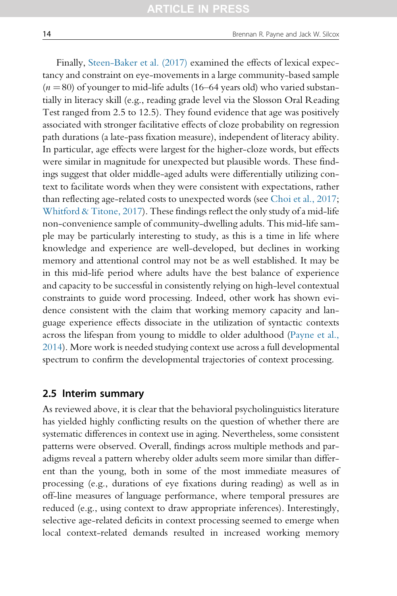Finally, [Steen-Baker et al. \(2017\)](#page-47-0) examined the effects of lexical expectancy and constraint on eye-movements in a large community-based sample  $(n = 80)$  of younger to mid-life adults (16–64 years old) who varied substantially in literacy skill (e.g., reading grade level via the Slosson Oral Reading Test ranged from 2.5 to 12.5). They found evidence that age was positively associated with stronger facilitative effects of cloze probability on regression path durations (a late-pass fixation measure), independent of literacy ability. In particular, age effects were largest for the higher-cloze words, but effects were similar in magnitude for unexpected but plausible words. These findings suggest that older middle-aged adults were differentially utilizing context to facilitate words when they were consistent with expectations, rather than reflecting age-related costs to unexpected words (see [Choi et al., 2017](#page-39-0); [Whitford & Titone, 2017\)](#page-48-0). These findings reflect the only study of a mid-life non-convenience sample of community-dwelling adults. This mid-life sample may be particularly interesting to study, as this is a time in life where knowledge and experience are well-developed, but declines in working memory and attentional control may not be as well established. It may be in this mid-life period where adults have the best balance of experience and capacity to be successful in consistently relying on high-level contextual constraints to guide word processing. Indeed, other work has shown evidence consistent with the claim that working memory capacity and language experience effects dissociate in the utilization of syntactic contexts across the lifespan from young to middle to older adulthood ([Payne et al.,](#page-45-0) [2014\)](#page-45-0). More work is needed studying context use across a full developmental spectrum to confirm the developmental trajectories of context processing.

#### 2.5 Interim summary

As reviewed above, it is clear that the behavioral psycholinguistics literature has yielded highly conflicting results on the question of whether there are systematic differences in context use in aging. Nevertheless, some consistent patterns were observed. Overall, findings across multiple methods and paradigms reveal a pattern whereby older adults seem more similar than different than the young, both in some of the most immediate measures of processing (e.g., durations of eye fixations during reading) as well as in off-line measures of language performance, where temporal pressures are reduced (e.g., using context to draw appropriate inferences). Interestingly, selective age-related deficits in context processing seemed to emerge when local context-related demands resulted in increased working memory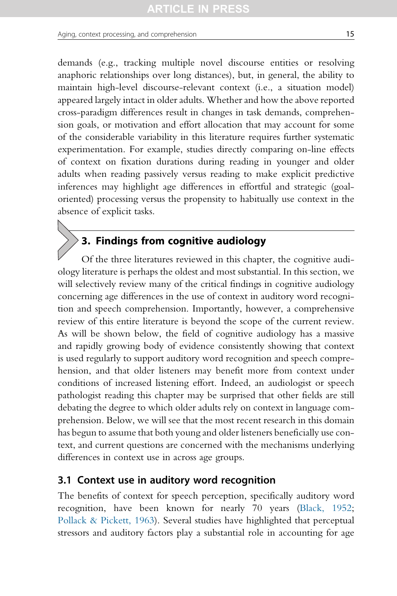<span id="page-14-0"></span>demands (e.g., tracking multiple novel discourse entities or resolving anaphoric relationships over long distances), but, in general, the ability to maintain high-level discourse-relevant context (i.e., a situation model) appeared largely intact in older adults. Whether and how the above reported cross-paradigm differences result in changes in task demands, comprehension goals, or motivation and effort allocation that may account for some of the considerable variability in this literature requires further systematic experimentation. For example, studies directly comparing on-line effects of context on fixation durations during reading in younger and older adults when reading passively versus reading to make explicit predictive inferences may highlight age differences in effortful and strategic (goaloriented) processing versus the propensity to habitually use context in the absence of explicit tasks.

## $\geq$  3. Findings from cognitive audiology

Of the three literatures reviewed in this chapter, the cognitive audiology literature is perhaps the oldest and most substantial. In this section, we will selectively review many of the critical findings in cognitive audiology concerning age differences in the use of context in auditory word recognition and speech comprehension. Importantly, however, a comprehensive review of this entire literature is beyond the scope of the current review. As will be shown below, the field of cognitive audiology has a massive and rapidly growing body of evidence consistently showing that context is used regularly to support auditory word recognition and speech comprehension, and that older listeners may benefit more from context under conditions of increased listening effort. Indeed, an audiologist or speech pathologist reading this chapter may be surprised that other fields are still debating the degree to which older adults rely on context in language comprehension. Below, we will see that the most recent research in this domain has begun to assume that both young and older listeners beneficially use context, and current questions are concerned with the mechanisms underlying differences in context use in across age groups.

## 3.1 Context use in auditory word recognition

The benefits of context for speech perception, specifically auditory word recognition, have been known for nearly 70 years [\(Black, 1952;](#page-39-0) [Pollack & Pickett, 1963\)](#page-45-0). Several studies have highlighted that perceptual stressors and auditory factors play a substantial role in accounting for age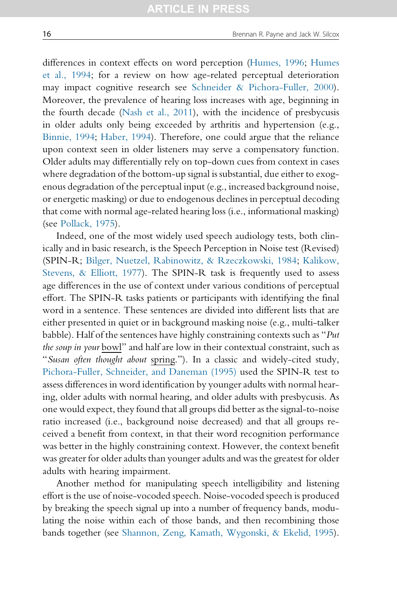differences in context effects on word perception ([Humes, 1996](#page-42-0); [Humes](#page-42-0) [et al., 1994;](#page-42-0) for a review on how age-related perceptual deterioration may impact cognitive research see [Schneider & Pichora-Fuller, 2000\)](#page-46-0). Moreover, the prevalence of hearing loss increases with age, beginning in the fourth decade ([Nash et al., 2011\)](#page-44-0), with the incidence of presbycusis in older adults only being exceeded by arthritis and hypertension (e.g., [Binnie, 1994](#page-39-0); [Haber, 1994](#page-41-0)). Therefore, one could argue that the reliance upon context seen in older listeners may serve a compensatory function. Older adults may differentially rely on top-down cues from context in cases where degradation of the bottom-up signal is substantial, due either to exogenous degradation of the perceptual input (e.g., increased background noise, or energetic masking) or due to endogenous declines in perceptual decoding that come with normal age-related hearing loss (i.e., informational masking) (see [Pollack, 1975\)](#page-45-0).

Indeed, one of the most widely used speech audiology tests, both clinically and in basic research, is the Speech Perception in Noise test (Revised) (SPIN-R; [Bilger, Nuetzel, Rabinowitz, & Rzeczkowski, 1984;](#page-39-0) [Kalikow,](#page-42-0) [Stevens, & Elliott, 1977](#page-42-0)). The SPIN-R task is frequently used to assess age differences in the use of context under various conditions of perceptual effort. The SPIN-R tasks patients or participants with identifying the final word in a sentence. These sentences are divided into different lists that are either presented in quiet or in background masking noise (e.g., multi-talker babble). Half of the sentences have highly constraining contexts such as "Put the soup in your bowl" and half are low in their contextual constraint, such as "Susan often thought about spring."). In a classic and widely-cited study, [Pichora-Fuller, Schneider, and Daneman \(1995\)](#page-45-0) used the SPIN-R test to assess differences in word identification by younger adults with normal hearing, older adults with normal hearing, and older adults with presbycusis. As one would expect, they found that all groups did better as the signal-to-noise ratio increased (i.e., background noise decreased) and that all groups received a benefit from context, in that their word recognition performance was better in the highly constraining context. However, the context benefit was greater for older adults than younger adults and was the greatest for older adults with hearing impairment.

Another method for manipulating speech intelligibility and listening effort is the use of noise-vocoded speech. Noise-vocoded speech is produced by breaking the speech signal up into a number of frequency bands, modulating the noise within each of those bands, and then recombining those bands together (see [Shannon, Zeng, Kamath, Wygonski, & Ekelid, 1995](#page-47-0)).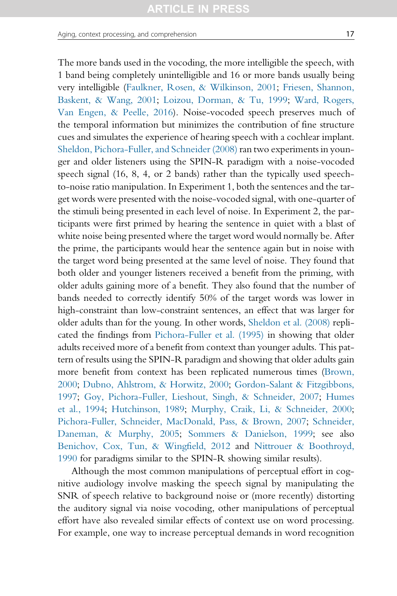The more bands used in the vocoding, the more intelligible the speech, with 1 band being completely unintelligible and 16 or more bands usually being very intelligible [\(Faulkner, Rosen, & Wilkinson, 2001;](#page-40-0) [Friesen, Shannon,](#page-41-0) [Baskent, & Wang, 2001](#page-41-0); [Loizou, Dorman, & Tu, 1999;](#page-43-0) [Ward, Rogers,](#page-48-0) [Van Engen, & Peelle, 2016](#page-48-0)). Noise-vocoded speech preserves much of the temporal information but minimizes the contribution of fine structure cues and simulates the experience of hearing speech with a cochlear implant. [Sheldon, Pichora-Fuller, and Schneider \(2008\)](#page-47-0) ran two experiments in younger and older listeners using the SPIN-R paradigm with a noise-vocoded speech signal (16, 8, 4, or 2 bands) rather than the typically used speechto-noise ratio manipulation. In Experiment 1, both the sentences and the target words were presented with the noise-vocoded signal, with one-quarter of the stimuli being presented in each level of noise. In Experiment 2, the participants were first primed by hearing the sentence in quiet with a blast of white noise being presented where the target word would normally be. After the prime, the participants would hear the sentence again but in noise with the target word being presented at the same level of noise. They found that both older and younger listeners received a benefit from the priming, with older adults gaining more of a benefit. They also found that the number of bands needed to correctly identify 50% of the target words was lower in high-constraint than low-constraint sentences, an effect that was larger for older adults than for the young. In other words, [Sheldon et al. \(2008\)](#page-47-0) replicated the findings from [Pichora-Fuller et al. \(1995\)](#page-45-0) in showing that older adults received more of a benefit from context than younger adults. This pattern of results using the SPIN-R paradigm and showing that older adults gain more benefit from context has been replicated numerous times [\(Brown,](#page-39-0) [2000;](#page-39-0) [Dubno, Ahlstrom, & Horwitz, 2000;](#page-40-0) [Gordon-Salant & Fitzgibbons,](#page-41-0) [1997;](#page-41-0) [Goy, Pichora-Fuller, Lieshout, Singh, & Schneider, 2007](#page-41-0); [Humes](#page-42-0) [et al., 1994;](#page-42-0) [Hutchinson, 1989;](#page-42-0) [Murphy, Craik, Li, & Schneider, 2000;](#page-44-0) [Pichora-Fuller, Schneider, MacDonald, Pass, & Brown, 2007](#page-45-0); [Schneider,](#page-46-0) [Daneman, & Murphy, 2005](#page-46-0); [Sommers & Danielson, 1999](#page-47-0); see also [Benichov, Cox, Tun, & Wingfield, 2012](#page-39-0) and [Nittrouer & Boothroyd,](#page-44-0) [1990](#page-44-0) for paradigms similar to the SPIN-R showing similar results).

Although the most common manipulations of perceptual effort in cognitive audiology involve masking the speech signal by manipulating the SNR of speech relative to background noise or (more recently) distorting the auditory signal via noise vocoding, other manipulations of perceptual effort have also revealed similar effects of context use on word processing. For example, one way to increase perceptual demands in word recognition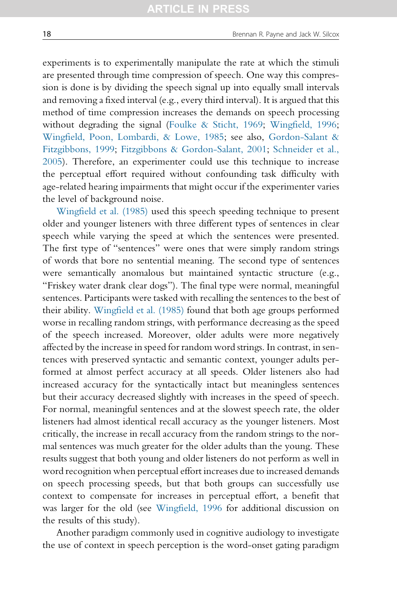experiments is to experimentally manipulate the rate at which the stimuli are presented through time compression of speech. One way this compression is done is by dividing the speech signal up into equally small intervals and removing a fixed interval (e.g., every third interval). It is argued that this method of time compression increases the demands on speech processing without degrading the signal ([Foulke & Sticht, 1969;](#page-41-0) [Wingfield, 1996](#page-48-0); [Wingfield, Poon, Lombardi, & Lowe, 1985;](#page-49-0) see also, [Gordon-Salant &](#page-41-0) [Fitzgibbons, 1999;](#page-41-0) [Fitzgibbons & Gordon-Salant, 2001](#page-41-0); [Schneider et al.,](#page-46-0) [2005\)](#page-46-0). Therefore, an experimenter could use this technique to increase the perceptual effort required without confounding task difficulty with age-related hearing impairments that might occur if the experimenter varies the level of background noise.

[Wingfield et al. \(1985\)](#page-49-0) used this speech speeding technique to present older and younger listeners with three different types of sentences in clear speech while varying the speed at which the sentences were presented. The first type of "sentences" were ones that were simply random strings of words that bore no sentential meaning. The second type of sentences were semantically anomalous but maintained syntactic structure (e.g., "Friskey water drank clear dogs"). The final type were normal, meaningful sentences. Participants were tasked with recalling the sentences to the best of their ability. [Wingfield et al. \(1985\)](#page-49-0) found that both age groups performed worse in recalling random strings, with performance decreasing as the speed of the speech increased. Moreover, older adults were more negatively affected by the increase in speed for random word strings. In contrast, in sentences with preserved syntactic and semantic context, younger adults performed at almost perfect accuracy at all speeds. Older listeners also had increased accuracy for the syntactically intact but meaningless sentences but their accuracy decreased slightly with increases in the speed of speech. For normal, meaningful sentences and at the slowest speech rate, the older listeners had almost identical recall accuracy as the younger listeners. Most critically, the increase in recall accuracy from the random strings to the normal sentences was much greater for the older adults than the young. These results suggest that both young and older listeners do not perform as well in word recognition when perceptual effort increases due to increased demands on speech processing speeds, but that both groups can successfully use context to compensate for increases in perceptual effort, a benefit that was larger for the old (see [Wingfield, 1996](#page-48-0) for additional discussion on the results of this study).

Another paradigm commonly used in cognitive audiology to investigate the use of context in speech perception is the word-onset gating paradigm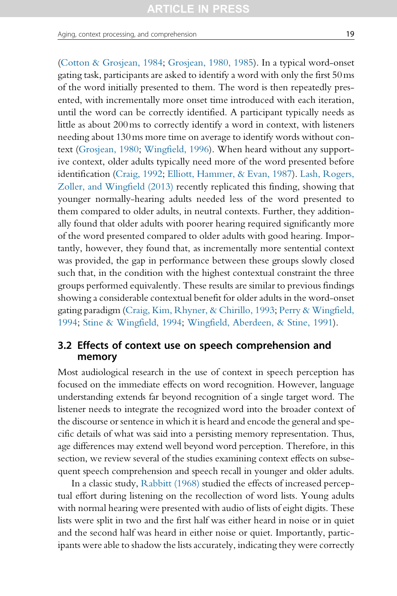<span id="page-18-0"></span>Aging, context processing, and comprehension 19

[\(Cotton & Grosjean, 1984;](#page-39-0) [Grosjean, 1980, 1985\)](#page-41-0). In a typical word-onset gating task, participants are asked to identify a word with only the first 50ms of the word initially presented to them. The word is then repeatedly presented, with incrementally more onset time introduced with each iteration, until the word can be correctly identified. A participant typically needs as little as about 200ms to correctly identify a word in context, with listeners needing about 130ms more time on average to identify words without context [\(Grosjean, 1980](#page-41-0); [Wingfield, 1996](#page-48-0)). When heard without any supportive context, older adults typically need more of the word presented before identification ([Craig, 1992;](#page-39-0) [Elliott, Hammer, & Evan, 1987\)](#page-40-0). [Lash, Rogers,](#page-43-0) [Zoller, and Wingfield \(2013\)](#page-43-0) recently replicated this finding, showing that younger normally-hearing adults needed less of the word presented to them compared to older adults, in neutral contexts. Further, they additionally found that older adults with poorer hearing required significantly more of the word presented compared to older adults with good hearing. Importantly, however, they found that, as incrementally more sentential context was provided, the gap in performance between these groups slowly closed such that, in the condition with the highest contextual constraint the three groups performed equivalently. These results are similar to previous findings showing a considerable contextual benefit for older adults in the word-onset gating paradigm ([Craig, Kim, Rhyner, & Chirillo, 1993;](#page-39-0) [Perry & Wingfield,](#page-45-0) [1994](#page-45-0); [Stine & Wingfield, 1994;](#page-47-0) [Wingfield, Aberdeen, & Stine, 1991](#page-48-0)).

## 3.2 Effects of context use on speech comprehension and memory

Most audiological research in the use of context in speech perception has focused on the immediate effects on word recognition. However, language understanding extends far beyond recognition of a single target word. The listener needs to integrate the recognized word into the broader context of the discourse or sentence in which it is heard and encode the general and specific details of what was said into a persisting memory representation. Thus, age differences may extend well beyond word perception. Therefore, in this section, we review several of the studies examining context effects on subsequent speech comprehension and speech recall in younger and older adults.

In a classic study, [Rabbitt \(1968\)](#page-45-0) studied the effects of increased perceptual effort during listening on the recollection of word lists. Young adults with normal hearing were presented with audio of lists of eight digits. These lists were split in two and the first half was either heard in noise or in quiet and the second half was heard in either noise or quiet. Importantly, participants were able to shadow the lists accurately, indicating they were correctly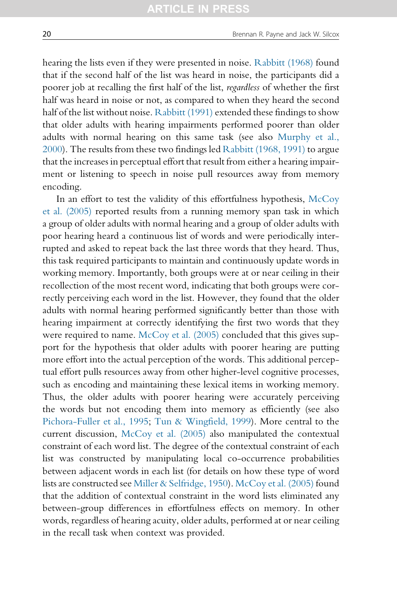hearing the lists even if they were presented in noise. [Rabbitt \(1968\)](#page-45-0) found that if the second half of the list was heard in noise, the participants did a poorer job at recalling the first half of the list, regardless of whether the first half was heard in noise or not, as compared to when they heard the second half of the list without noise. [Rabbitt \(1991\)](#page-45-0) extended these findings to show that older adults with hearing impairments performed poorer than older adults with normal hearing on this same task (see also [Murphy et al.,](#page-44-0) [2000\)](#page-44-0). The results from these two findings led [Rabbitt \(1968, 1991\)](#page-45-0) to argue that the increases in perceptual effort that result from either a hearing impairment or listening to speech in noise pull resources away from memory encoding.

In an effort to test the validity of this effortfulness hypothesis, [McCoy](#page-43-0) [et al. \(2005\)](#page-43-0) reported results from a running memory span task in which a group of older adults with normal hearing and a group of older adults with poor hearing heard a continuous list of words and were periodically interrupted and asked to repeat back the last three words that they heard. Thus, this task required participants to maintain and continuously update words in working memory. Importantly, both groups were at or near ceiling in their recollection of the most recent word, indicating that both groups were correctly perceiving each word in the list. However, they found that the older adults with normal hearing performed significantly better than those with hearing impairment at correctly identifying the first two words that they were required to name. [McCoy et al. \(2005\)](#page-43-0) concluded that this gives support for the hypothesis that older adults with poorer hearing are putting more effort into the actual perception of the words. This additional perceptual effort pulls resources away from other higher-level cognitive processes, such as encoding and maintaining these lexical items in working memory. Thus, the older adults with poorer hearing were accurately perceiving the words but not encoding them into memory as efficiently (see also [Pichora-Fuller et al., 1995;](#page-45-0) [Tun & Wingfield, 1999](#page-48-0)). More central to the current discussion, [McCoy et al. \(2005\)](#page-43-0) also manipulated the contextual constraint of each word list. The degree of the contextual constraint of each list was constructed by manipulating local co-occurrence probabilities between adjacent words in each list (for details on how these type of word lists are constructed see [Miller & Selfridge, 1950\)](#page-44-0). [McCoy et al. \(2005\)](#page-43-0) found that the addition of contextual constraint in the word lists eliminated any between-group differences in effortfulness effects on memory. In other words, regardless of hearing acuity, older adults, performed at or near ceiling in the recall task when context was provided.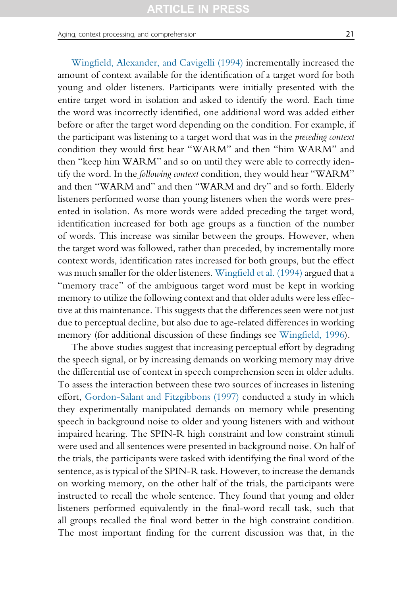Aging, context processing, and comprehension 21 and 21

[Wingfield, Alexander, and Cavigelli \(1994\)](#page-49-0) incrementally increased the amount of context available for the identification of a target word for both young and older listeners. Participants were initially presented with the entire target word in isolation and asked to identify the word. Each time the word was incorrectly identified, one additional word was added either before or after the target word depending on the condition. For example, if the participant was listening to a target word that was in the preceding context condition they would first hear "WARM" and then "him WARM" and then "keep him WARM" and so on until they were able to correctly identify the word. In the following context condition, they would hear "WARM" and then "WARM and" and then "WARM and dry" and so forth. Elderly listeners performed worse than young listeners when the words were presented in isolation. As more words were added preceding the target word, identification increased for both age groups as a function of the number of words. This increase was similar between the groups. However, when the target word was followed, rather than preceded, by incrementally more context words, identification rates increased for both groups, but the effect was much smaller for the older listeners. [Wingfield et al. \(1994\)](#page-49-0) argued that a "memory trace" of the ambiguous target word must be kept in working memory to utilize the following context and that older adults were less effective at this maintenance. This suggests that the differences seen were not just due to perceptual decline, but also due to age-related differences in working memory (for additional discussion of these findings see [Wingfield, 1996\)](#page-48-0).

The above studies suggest that increasing perceptual effort by degrading the speech signal, or by increasing demands on working memory may drive the differential use of context in speech comprehension seen in older adults. To assess the interaction between these two sources of increases in listening effort, [Gordon-Salant and Fitzgibbons \(1997\)](#page-41-0) conducted a study in which they experimentally manipulated demands on memory while presenting speech in background noise to older and young listeners with and without impaired hearing. The SPIN-R high constraint and low constraint stimuli were used and all sentences were presented in background noise. On half of the trials, the participants were tasked with identifying the final word of the sentence, as is typical of the SPIN-R task. However, to increase the demands on working memory, on the other half of the trials, the participants were instructed to recall the whole sentence. They found that young and older listeners performed equivalently in the final-word recall task, such that all groups recalled the final word better in the high constraint condition. The most important finding for the current discussion was that, in the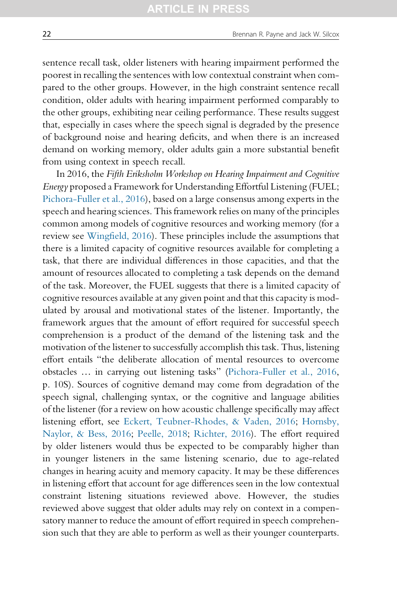sentence recall task, older listeners with hearing impairment performed the poorest in recalling the sentences with low contextual constraint when compared to the other groups. However, in the high constraint sentence recall condition, older adults with hearing impairment performed comparably to the other groups, exhibiting near ceiling performance. These results suggest that, especially in cases where the speech signal is degraded by the presence of background noise and hearing deficits, and when there is an increased demand on working memory, older adults gain a more substantial benefit from using context in speech recall.

In 2016, the Fifth Eriksholm Workshop on Hearing Impairment and Cognitive Energy proposed a Framework for Understanding Effortful Listening (FUEL; [Pichora-Fuller et al., 2016\)](#page-45-0), based on a large consensus among experts in the speech and hearing sciences. This framework relies on many of the principles common among models of cognitive resources and working memory (for a review see [Wingfield, 2016\)](#page-48-0). These principles include the assumptions that there is a limited capacity of cognitive resources available for completing a task, that there are individual differences in those capacities, and that the amount of resources allocated to completing a task depends on the demand of the task. Moreover, the FUEL suggests that there is a limited capacity of cognitive resources available at any given point and that this capacity is modulated by arousal and motivational states of the listener. Importantly, the framework argues that the amount of effort required for successful speech comprehension is a product of the demand of the listening task and the motivation of the listener to successfully accomplish this task. Thus, listening effort entails "the deliberate allocation of mental resources to overcome obstacles … in carrying out listening tasks" [\(Pichora-Fuller et al., 2016](#page-45-0), p. 10S). Sources of cognitive demand may come from degradation of the speech signal, challenging syntax, or the cognitive and language abilities of the listener (for a review on how acoustic challenge specifically may affect listening effort, see [Eckert, Teubner-Rhodes, & Vaden, 2016](#page-40-0); [Hornsby,](#page-41-0) [Naylor, & Bess, 2016;](#page-41-0) [Peelle, 2018;](#page-45-0) [Richter, 2016\)](#page-46-0). The effort required by older listeners would thus be expected to be comparably higher than in younger listeners in the same listening scenario, due to age-related changes in hearing acuity and memory capacity. It may be these differences in listening effort that account for age differences seen in the low contextual constraint listening situations reviewed above. However, the studies reviewed above suggest that older adults may rely on context in a compensatory manner to reduce the amount of effort required in speech comprehension such that they are able to perform as well as their younger counterparts.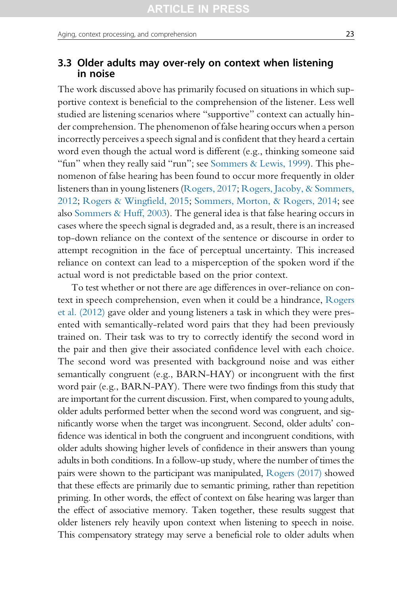## 3.3 Older adults may over-rely on context when listening in noise

The work discussed above has primarily focused on situations in which supportive context is beneficial to the comprehension of the listener. Less well studied are listening scenarios where "supportive" context can actually hinder comprehension. The phenomenon of false hearing occurs when a person incorrectly perceives a speech signal and is confident that they heard a certain word even though the actual word is different (e.g., thinking someone said "fun" when they really said "run"; see [Sommers & Lewis, 1999\)](#page-47-0). This phenomenon of false hearing has been found to occur more frequently in older listeners than in young listeners ([Rogers, 2017;](#page-46-0) [Rogers, Jacoby, & Sommers,](#page-46-0) [2012](#page-46-0); [Rogers & Wingfield, 2015;](#page-46-0) [Sommers, Morton, & Rogers, 2014;](#page-47-0) see also [Sommers & Huff, 2003](#page-47-0)). The general idea is that false hearing occurs in cases where the speech signal is degraded and, as a result, there is an increased top-down reliance on the context of the sentence or discourse in order to attempt recognition in the face of perceptual uncertainty. This increased reliance on context can lead to a misperception of the spoken word if the actual word is not predictable based on the prior context.

To test whether or not there are age differences in over-reliance on context in speech comprehension, even when it could be a hindrance, [Rogers](#page-46-0) [et al. \(2012\)](#page-46-0) gave older and young listeners a task in which they were presented with semantically-related word pairs that they had been previously trained on. Their task was to try to correctly identify the second word in the pair and then give their associated confidence level with each choice. The second word was presented with background noise and was either semantically congruent (e.g., BARN-HAY) or incongruent with the first word pair (e.g., BARN-PAY). There were two findings from this study that are important for the current discussion. First, when compared to young adults, older adults performed better when the second word was congruent, and significantly worse when the target was incongruent. Second, older adults' confidence was identical in both the congruent and incongruent conditions, with older adults showing higher levels of confidence in their answers than young adults in both conditions. In a follow-up study, where the number of times the pairs were shown to the participant was manipulated, [Rogers \(2017\)](#page-46-0) showed that these effects are primarily due to semantic priming, rather than repetition priming. In other words, the effect of context on false hearing was larger than the effect of associative memory. Taken together, these results suggest that older listeners rely heavily upon context when listening to speech in noise. This compensatory strategy may serve a beneficial role to older adults when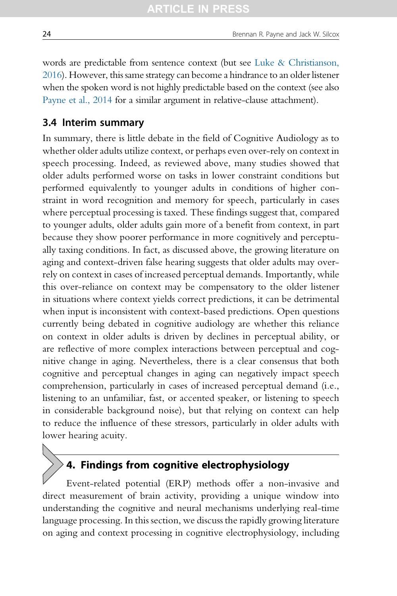words are predictable from sentence context (but see [Luke & Christianson,](#page-43-0) [2016](#page-43-0)). However, this same strategy can become a hindrance to an older listener when the spoken word is not highly predictable based on the context (see also [Payne et al., 2014](#page-45-0) for a similar argument in relative-clause attachment).

### 3.4 Interim summary

In summary, there is little debate in the field of Cognitive Audiology as to whether older adults utilize context, or perhaps even over-rely on context in speech processing. Indeed, as reviewed above, many studies showed that older adults performed worse on tasks in lower constraint conditions but performed equivalently to younger adults in conditions of higher constraint in word recognition and memory for speech, particularly in cases where perceptual processing is taxed. These findings suggest that, compared to younger adults, older adults gain more of a benefit from context, in part because they show poorer performance in more cognitively and perceptually taxing conditions. In fact, as discussed above, the growing literature on aging and context-driven false hearing suggests that older adults may overrely on context in cases of increased perceptual demands. Importantly, while this over-reliance on context may be compensatory to the older listener in situations where context yields correct predictions, it can be detrimental when input is inconsistent with context-based predictions. Open questions currently being debated in cognitive audiology are whether this reliance on context in older adults is driven by declines in perceptual ability, or are reflective of more complex interactions between perceptual and cognitive change in aging. Nevertheless, there is a clear consensus that both cognitive and perceptual changes in aging can negatively impact speech comprehension, particularly in cases of increased perceptual demand (i.e., listening to an unfamiliar, fast, or accented speaker, or listening to speech in considerable background noise), but that relying on context can help to reduce the influence of these stressors, particularly in older adults with lower hearing acuity.

# 4. Findings from cognitive electrophysiology

Event-related potential (ERP) methods offer a non-invasive and direct measurement of brain activity, providing a unique window into understanding the cognitive and neural mechanisms underlying real-time language processing. In this section, we discuss the rapidly growing literature on aging and context processing in cognitive electrophysiology, including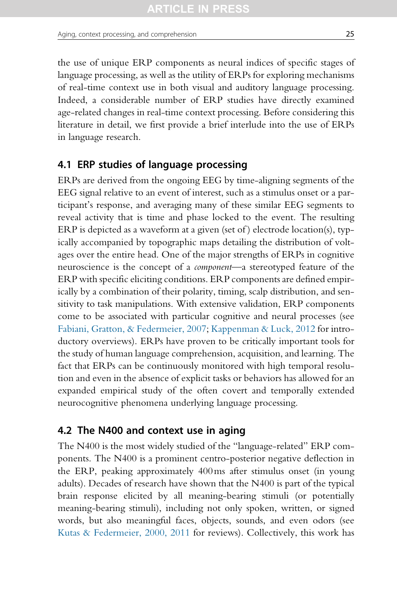the use of unique ERP components as neural indices of specific stages of language processing, as well as the utility of ERPs for exploring mechanisms of real-time context use in both visual and auditory language processing. Indeed, a considerable number of ERP studies have directly examined age-related changes in real-time context processing. Before considering this literature in detail, we first provide a brief interlude into the use of ERPs in language research.

## 4.1 ERP studies of language processing

ERPs are derived from the ongoing EEG by time-aligning segments of the EEG signal relative to an event of interest, such as a stimulus onset or a participant's response, and averaging many of these similar EEG segments to reveal activity that is time and phase locked to the event. The resulting ERP is depicted as a waveform at a given (set of ) electrode location(s), typically accompanied by topographic maps detailing the distribution of voltages over the entire head. One of the major strengths of ERPs in cognitive neuroscience is the concept of a component—a stereotyped feature of the ERP with specific eliciting conditions. ERP components are defined empirically by a combination of their polarity, timing, scalp distribution, and sensitivity to task manipulations. With extensive validation, ERP components come to be associated with particular cognitive and neural processes (see [Fabiani, Gratton, & Federmeier, 2007;](#page-40-0) [Kappenman & Luck, 2012](#page-42-0) for introductory overviews). ERPs have proven to be critically important tools for the study of human language comprehension, acquisition, and learning. The fact that ERPs can be continuously monitored with high temporal resolution and even in the absence of explicit tasks or behaviors has allowed for an expanded empirical study of the often covert and temporally extended neurocognitive phenomena underlying language processing.

## 4.2 The N400 and context use in aging

The N400 is the most widely studied of the "language-related" ERP components. The N400 is a prominent centro-posterior negative deflection in the ERP, peaking approximately 400ms after stimulus onset (in young adults). Decades of research have shown that the N400 is part of the typical brain response elicited by all meaning-bearing stimuli (or potentially meaning-bearing stimuli), including not only spoken, written, or signed words, but also meaningful faces, objects, sounds, and even odors (see [Kutas & Federmeier, 2000, 2011](#page-42-0) for reviews). Collectively, this work has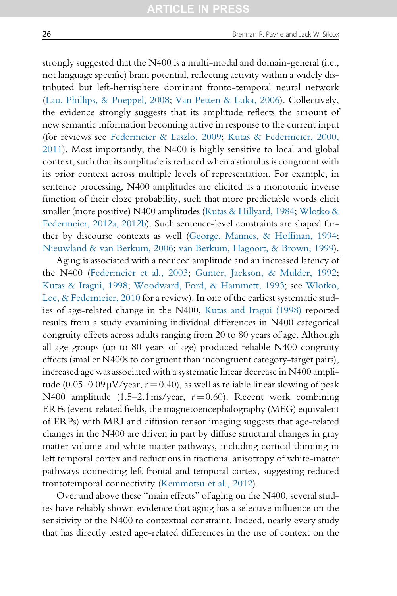strongly suggested that the N400 is a multi-modal and domain-general (i.e., not language specific) brain potential, reflecting activity within a widely distributed but left-hemisphere dominant fronto-temporal neural network ([Lau, Phillips, & Poeppel, 2008](#page-43-0); [Van Petten & Luka, 2006](#page-48-0)). Collectively, the evidence strongly suggests that its amplitude reflects the amount of new semantic information becoming active in response to the current input (for reviews see [Federmeier & Laszlo, 2009;](#page-40-0) [Kutas & Federmeier, 2000,](#page-42-0) [2011\)](#page-42-0). Most importantly, the N400 is highly sensitive to local and global context, such that its amplitude is reduced when a stimulus is congruent with its prior context across multiple levels of representation. For example, in sentence processing, N400 amplitudes are elicited as a monotonic inverse function of their cloze probability, such that more predictable words elicit smaller (more positive) N400 amplitudes [\(Kutas & Hillyard, 1984](#page-42-0); [Wlotko &](#page-49-0) [Federmeier, 2012a, 2012b](#page-49-0)). Such sentence-level constraints are shaped further by discourse contexts as well ([George, Mannes, & Hoffman, 1994](#page-41-0); [Nieuwland & van Berkum, 2006](#page-44-0); [van Berkum, Hagoort, & Brown, 1999](#page-48-0)).

Aging is associated with a reduced amplitude and an increased latency of the N400 [\(Federmeier et al., 2003;](#page-41-0) [Gunter, Jackson, & Mulder, 1992](#page-41-0); [Kutas & Iragui, 1998](#page-42-0); [Woodward, Ford, & Hammett, 1993;](#page-49-0) see [Wlotko,](#page-49-0) [Lee, & Federmeier, 2010](#page-49-0) for a review). In one of the earliest systematic studies of age-related change in the N400, [Kutas and Iragui \(1998\)](#page-42-0) reported results from a study examining individual differences in N400 categorical congruity effects across adults ranging from 20 to 80 years of age. Although all age groups (up to 80 years of age) produced reliable N400 congruity effects (smaller N400s to congruent than incongruent category-target pairs), increased age was associated with a systematic linear decrease in N400 amplitude (0.05–0.09 $\mu$ V/year,  $r = 0.40$ ), as well as reliable linear slowing of peak N400 amplitude (1.5–2.1 ms/year,  $r = 0.60$ ). Recent work combining ERFs (event-related fields, the magnetoencephalography (MEG) equivalent of ERPs) with MRI and diffusion tensor imaging suggests that age-related changes in the N400 are driven in part by diffuse structural changes in gray matter volume and white matter pathways, including cortical thinning in left temporal cortex and reductions in fractional anisotropy of white-matter pathways connecting left frontal and temporal cortex, suggesting reduced frontotemporal connectivity [\(Kemmotsu et al., 2012\)](#page-42-0).

Over and above these "main effects" of aging on the N400, several studies have reliably shown evidence that aging has a selective influence on the sensitivity of the N400 to contextual constraint. Indeed, nearly every study that has directly tested age-related differences in the use of context on the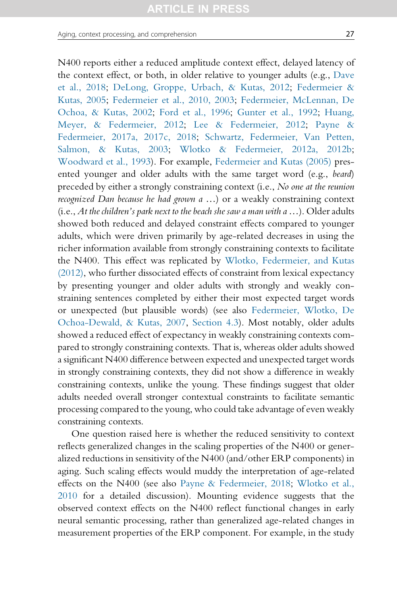N400 reports either a reduced amplitude context effect, delayed latency of the context effect, or both, in older relative to younger adults (e.g., [Dave](#page-40-0) [et al., 2018](#page-40-0); [DeLong, Groppe, Urbach, & Kutas, 2012](#page-40-0); [Federmeier &](#page-40-0) [Kutas, 2005](#page-40-0); [Federmeier et al., 2010, 2003](#page-40-0); [Federmeier, McLennan, De](#page-40-0) [Ochoa, & Kutas, 2002;](#page-40-0) [Ford et al., 1996](#page-41-0); [Gunter et al., 1992;](#page-41-0) [Huang,](#page-42-0) [Meyer, & Federmeier, 2012;](#page-42-0) [Lee & Federmeier, 2012](#page-43-0); [Payne &](#page-44-0) [Federmeier, 2017a, 2017c, 2018;](#page-44-0) [Schwartz, Federmeier, Van Petten,](#page-46-0) [Salmon, & Kutas, 2003](#page-46-0); [Wlotko & Federmeier, 2012a, 2012b;](#page-49-0) [Woodward et al., 1993](#page-49-0)). For example, [Federmeier and Kutas \(2005\)](#page-40-0) presented younger and older adults with the same target word (e.g., beard) preceded by either a strongly constraining context (i.e., No one at the reunion recognized Dan because he had grown a …) or a weakly constraining context  $(i.e., At the children's park next to the beach she saw a man with a ...). Older adults$ showed both reduced and delayed constraint effects compared to younger adults, which were driven primarily by age-related decreases in using the richer information available from strongly constraining contexts to facilitate the N400. This effect was replicated by [Wlotko, Federmeier, and Kutas](#page-49-0) [\(2012\),](#page-49-0) who further dissociated effects of constraint from lexical expectancy by presenting younger and older adults with strongly and weakly constraining sentences completed by either their most expected target words or unexpected (but plausible words) (see also [Federmeier, Wlotko, De](#page-41-0) [Ochoa-Dewald, & Kutas, 2007](#page-41-0), [Section 4.3\)](#page-28-0). Most notably, older adults showed a reduced effect of expectancy in weakly constraining contexts compared to strongly constraining contexts. That is, whereas older adults showed a significant N400 difference between expected and unexpected target words in strongly constraining contexts, they did not show a difference in weakly constraining contexts, unlike the young. These findings suggest that older adults needed overall stronger contextual constraints to facilitate semantic processing compared to the young, who could take advantage of even weakly constraining contexts.

One question raised here is whether the reduced sensitivity to context reflects generalized changes in the scaling properties of the N400 or generalized reductions in sensitivity of the N400 (and/other ERP components) in aging. Such scaling effects would muddy the interpretation of age-related effects on the N400 (see also [Payne & Federmeier, 2018](#page-45-0); [Wlotko et al.,](#page-49-0) [2010](#page-49-0) for a detailed discussion). Mounting evidence suggests that the observed context effects on the N400 reflect functional changes in early neural semantic processing, rather than generalized age-related changes in measurement properties of the ERP component. For example, in the study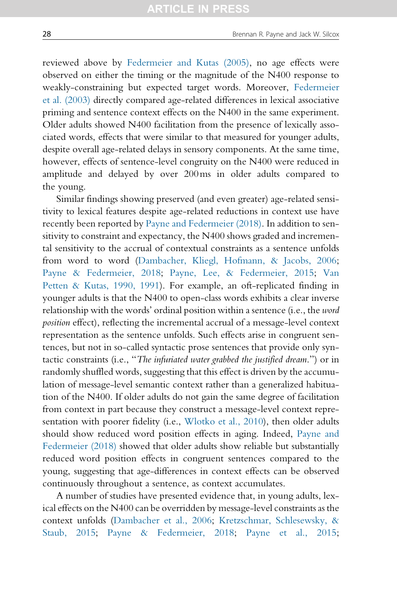reviewed above by [Federmeier and Kutas \(2005\)](#page-40-0), no age effects were observed on either the timing or the magnitude of the N400 response to weakly-constraining but expected target words. Moreover, [Federmeier](#page-41-0) [et al. \(2003\)](#page-41-0) directly compared age-related differences in lexical associative priming and sentence context effects on the N400 in the same experiment. Older adults showed N400 facilitation from the presence of lexically associated words, effects that were similar to that measured for younger adults, despite overall age-related delays in sensory components. At the same time, however, effects of sentence-level congruity on the N400 were reduced in amplitude and delayed by over 200ms in older adults compared to the young.

Similar findings showing preserved (and even greater) age-related sensitivity to lexical features despite age-related reductions in context use have recently been reported by [Payne and Federmeier \(2018\).](#page-45-0) In addition to sensitivity to constraint and expectancy, the N400 shows graded and incremental sensitivity to the accrual of contextual constraints as a sentence unfolds from word to word [\(Dambacher, Kliegl, Hofmann, & Jacobs, 2006](#page-39-0); [Payne & Federmeier, 2018;](#page-45-0) [Payne, Lee, & Federmeier, 2015;](#page-45-0) [Van](#page-48-0) [Petten & Kutas, 1990, 1991\)](#page-48-0). For example, an oft-replicated finding in younger adults is that the N400 to open-class words exhibits a clear inverse relationship with the words' ordinal position within a sentence (i.e., the word position effect), reflecting the incremental accrual of a message-level context representation as the sentence unfolds. Such effects arise in congruent sentences, but not in so-called syntactic prose sentences that provide only syntactic constraints (i.e., "The infuriated water grabbed the justified dream.") or in randomly shuffled words, suggesting that this effect is driven by the accumulation of message-level semantic context rather than a generalized habituation of the N400. If older adults do not gain the same degree of facilitation from context in part because they construct a message-level context representation with poorer fidelity (i.e., [Wlotko et al., 2010](#page-49-0)), then older adults should show reduced word position effects in aging. Indeed, [Payne and](#page-45-0) [Federmeier \(2018\)](#page-45-0) showed that older adults show reliable but substantially reduced word position effects in congruent sentences compared to the young, suggesting that age-differences in context effects can be observed continuously throughout a sentence, as context accumulates.

A number of studies have presented evidence that, in young adults, lexical effects on the N400 can be overridden by message-level constraints as the context unfolds ([Dambacher et al., 2006](#page-39-0); [Kretzschmar, Schlesewsky, &](#page-42-0) [Staub, 2015;](#page-42-0) [Payne & Federmeier, 2018;](#page-45-0) [Payne et al., 2015](#page-45-0);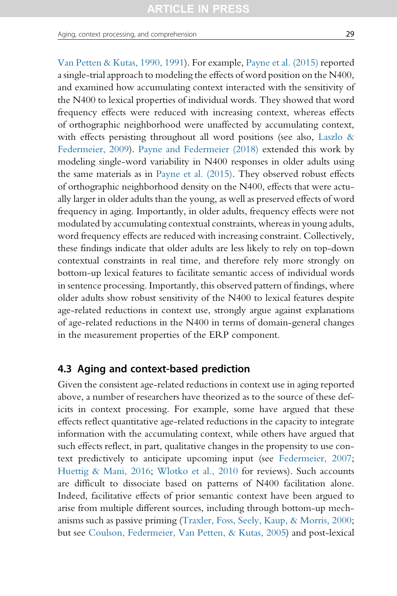<span id="page-28-0"></span>Aging, context processing, and comprehension 29

[Van Petten & Kutas, 1990, 1991](#page-48-0)). For example, [Payne et al. \(2015\)](#page-45-0) reported a single-trial approach to modeling the effects of word position on the N400, and examined how accumulating context interacted with the sensitivity of the N400 to lexical properties of individual words. They showed that word frequency effects were reduced with increasing context, whereas effects of orthographic neighborhood were unaffected by accumulating context, with effects persisting throughout all word positions (see also, Laszlo  $\&$ [Federmeier, 2009](#page-43-0)). [Payne and Federmeier \(2018\)](#page-45-0) extended this work by modeling single-word variability in N400 responses in older adults using the same materials as in [Payne et al. \(2015\).](#page-45-0) They observed robust effects of orthographic neighborhood density on the N400, effects that were actually larger in older adults than the young, as well as preserved effects of word frequency in aging. Importantly, in older adults, frequency effects were not modulated by accumulating contextual constraints, whereas in young adults, word frequency effects are reduced with increasing constraint. Collectively, these findings indicate that older adults are less likely to rely on top-down contextual constraints in real time, and therefore rely more strongly on bottom-up lexical features to facilitate semantic access of individual words in sentence processing. Importantly, this observed pattern of findings, where older adults show robust sensitivity of the N400 to lexical features despite age-related reductions in context use, strongly argue against explanations of age-related reductions in the N400 in terms of domain-general changes in the measurement properties of the ERP component.

## 4.3 Aging and context-based prediction

Given the consistent age-related reductions in context use in aging reported above, a number of researchers have theorized as to the source of these deficits in context processing. For example, some have argued that these effects reflect quantitative age-related reductions in the capacity to integrate information with the accumulating context, while others have argued that such effects reflect, in part, qualitative changes in the propensity to use context predictively to anticipate upcoming input (see [Federmeier, 2007;](#page-40-0) [Huettig & Mani, 2016;](#page-42-0) [Wlotko et al., 2010](#page-49-0) for reviews). Such accounts are difficult to dissociate based on patterns of N400 facilitation alone. Indeed, facilitative effects of prior semantic context have been argued to arise from multiple different sources, including through bottom-up mechanisms such as passive priming [\(Traxler, Foss, Seely, Kaup, & Morris, 2000;](#page-48-0) but see [Coulson, Federmeier, Van Petten, & Kutas, 2005](#page-39-0)) and post-lexical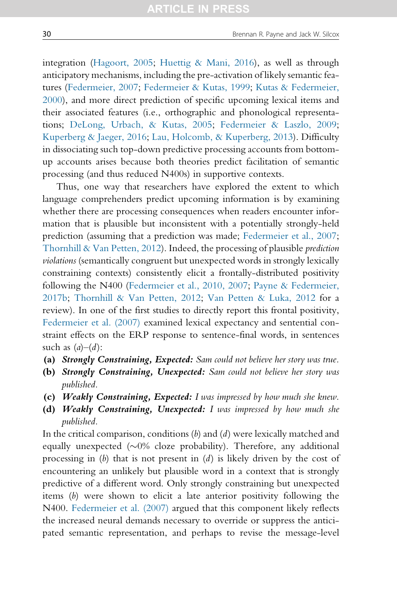integration [\(Hagoort, 2005;](#page-41-0) [Huettig & Mani, 2016](#page-42-0)), as well as through anticipatory mechanisms, including the pre-activation of likely semantic features ([Federmeier, 2007](#page-40-0); [Federmeier & Kutas, 1999](#page-40-0); [Kutas & Federmeier,](#page-42-0) [2000\)](#page-42-0), and more direct prediction of specific upcoming lexical items and their associated features (i.e., orthographic and phonological representations; [DeLong, Urbach, & Kutas, 2005;](#page-40-0) [Federmeier & Laszlo, 2009](#page-40-0); [Kuperberg & Jaeger, 2016;](#page-42-0) [Lau, Holcomb, & Kuperberg, 2013\)](#page-43-0). Difficulty in dissociating such top-down predictive processing accounts from bottomup accounts arises because both theories predict facilitation of semantic processing (and thus reduced N400s) in supportive contexts.

Thus, one way that researchers have explored the extent to which language comprehenders predict upcoming information is by examining whether there are processing consequences when readers encounter information that is plausible but inconsistent with a potentially strongly-held prediction (assuming that a prediction was made; [Federmeier et al., 2007](#page-41-0); [Thornhill & Van Petten, 2012](#page-48-0)). Indeed, the processing of plausible prediction violations (semantically congruent but unexpected words in strongly lexically constraining contexts) consistently elicit a frontally-distributed positivity following the N400 [\(Federmeier et al., 2010, 2007;](#page-40-0) [Payne & Federmeier,](#page-44-0) [2017b](#page-44-0); [Thornhill & Van Petten, 2012](#page-48-0); [Van Petten & Luka, 2012](#page-48-0) for a review). In one of the first studies to directly report this frontal positivity, [Federmeier et al. \(2007\)](#page-41-0) examined lexical expectancy and sentential constraint effects on the ERP response to sentence-final words, in sentences such as  $(a)$ – $(d)$ :

- (a) Strongly Constraining, Expected: Sam could not believe her story was true.
- (b) Strongly Constraining, Unexpected: Sam could not believe her story was published.
- (c) Weakly Constraining, Expected: I was impressed by how much she knew.
- (d) Weakly Constraining, Unexpected: I was impressed by how much she published.

In the critical comparison, conditions  $(b)$  and  $(d)$  were lexically matched and equally unexpected  $(\sim 0\%$  cloze probability). Therefore, any additional processing in  $(b)$  that is not present in  $(d)$  is likely driven by the cost of encountering an unlikely but plausible word in a context that is strongly predictive of a different word. Only strongly constraining but unexpected items (b) were shown to elicit a late anterior positivity following the N400. [Federmeier et al. \(2007\)](#page-41-0) argued that this component likely reflects the increased neural demands necessary to override or suppress the anticipated semantic representation, and perhaps to revise the message-level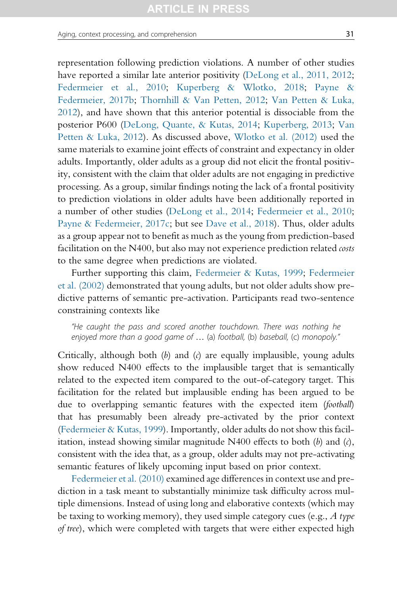representation following prediction violations. A number of other studies have reported a similar late anterior positivity [\(DeLong et al., 2011, 2012;](#page-40-0) [Federmeier et al., 2010;](#page-40-0) [Kuperberg & Wlotko, 2018;](#page-42-0) [Payne &](#page-44-0) [Federmeier, 2017b;](#page-44-0) [Thornhill & Van Petten, 2012;](#page-48-0) [Van Petten & Luka,](#page-48-0) [2012](#page-48-0)), and have shown that this anterior potential is dissociable from the posterior P600 [\(DeLong, Quante, & Kutas, 2014](#page-40-0); [Kuperberg, 2013](#page-42-0); [Van](#page-48-0) [Petten & Luka, 2012\)](#page-48-0). As discussed above, [Wlotko et al. \(2012\)](#page-49-0) used the same materials to examine joint effects of constraint and expectancy in older adults. Importantly, older adults as a group did not elicit the frontal positivity, consistent with the claim that older adults are not engaging in predictive processing. As a group, similar findings noting the lack of a frontal positivity to prediction violations in older adults have been additionally reported in a number of other studies ([DeLong et al., 2014](#page-40-0); [Federmeier et al., 2010;](#page-40-0) [Payne & Federmeier, 2017c](#page-44-0); but see [Dave et al., 2018](#page-40-0)). Thus, older adults as a group appear not to benefit as much as the young from prediction-based facilitation on the N400, but also may not experience prediction related costs to the same degree when predictions are violated.

Further supporting this claim, [Federmeier & Kutas, 1999;](#page-40-0) [Federmeier](#page-40-0) [et al. \(2002\)](#page-40-0) demonstrated that young adults, but not older adults show predictive patterns of semantic pre-activation. Participants read two-sentence constraining contexts like

"He caught the pass and scored another touchdown. There was nothing he enjoyed more than a good game of … (a) football, (b) baseball, (c) monopoly."

Critically, although both  $(b)$  and  $(c)$  are equally implausible, young adults show reduced N400 effects to the implausible target that is semantically related to the expected item compared to the out-of-category target. This facilitation for the related but implausible ending has been argued to be due to overlapping semantic features with the expected item (football) that has presumably been already pre-activated by the prior context [\(Federmeier & Kutas, 1999](#page-40-0)). Importantly, older adults do not show this facilitation, instead showing similar magnitude  $N400$  effects to both  $(b)$  and  $(c)$ , consistent with the idea that, as a group, older adults may not pre-activating semantic features of likely upcoming input based on prior context.

[Federmeier et al. \(2010\)](#page-40-0) examined age differences in context use and prediction in a task meant to substantially minimize task difficulty across multiple dimensions. Instead of using long and elaborative contexts (which may be taxing to working memory), they used simple category cues (e.g.,  $\ddot{A}$  type of tree), which were completed with targets that were either expected high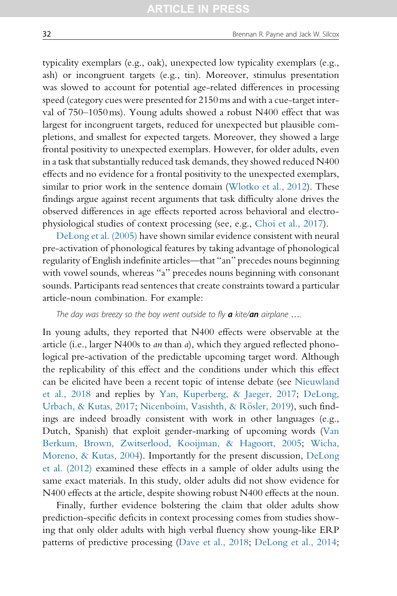typicality exemplars (e.g., oak), unexpected low typicality exemplars (e.g., ash) or incongruent targets (e.g., tin). Moreover, stimulus presentation was slowed to account for potential age-related differences in processing speed (category cues were presented for 2150ms and with a cue-target interval of 750–1050ms). Young adults showed a robust N400 effect that was largest for incongruent targets, reduced for unexpected but plausible completions, and smallest for expected targets. Moreover, they showed a large frontal positivity to unexpected exemplars. However, for older adults, even in a task that substantially reduced task demands, they showed reduced N400 effects and no evidence for a frontal positivity to the unexpected exemplars, similar to prior work in the sentence domain [\(Wlotko et al., 2012\)](#page-49-0). These findings argue against recent arguments that task difficulty alone drives the observed differences in age effects reported across behavioral and electrophysiological studies of context processing (see, e.g., [Choi et al., 2017\)](#page-39-0).

[DeLong et al. \(2005\)](#page-40-0) have shown similar evidence consistent with neural pre-activation of phonological features by taking advantage of phonological regularity of English indefinite articles—that "an" precedes nouns beginning with vowel sounds, whereas "a" precedes nouns beginning with consonant sounds. Participants read sentences that create constraints toward a particular article-noun combination. For example:

The day was breezy so the boy went outside to fly  $a$  kite/ $an$  airplane  $\ldots$ 

In young adults, they reported that N400 effects were observable at the article (i.e., larger N400s to an than a), which they argued reflected phonological pre-activation of the predictable upcoming target word. Although the replicability of this effect and the conditions under which this effect can be elicited have been a recent topic of intense debate (see [Nieuwland](#page-44-0) [et al., 2018](#page-44-0) and replies by [Yan, Kuperberg, & Jaeger, 2017](#page-49-0); [DeLong,](#page-40-0) [Urbach, & Kutas, 2017;](#page-40-0) [Nicenboim, Vasishth, & R](#page-44-0)ö[sler, 2019](#page-44-0)), such findings are indeed broadly consistent with work in other languages (e.g., Dutch, Spanish) that exploit gender-marking of upcoming words ([Van](#page-48-0) [Berkum, Brown, Zwitserlood, Kooijman, & Hagoort, 2005](#page-48-0); [Wicha,](#page-48-0) [Moreno, & Kutas, 2004\)](#page-48-0). Importantly for the present discussion, [DeLong](#page-40-0) [et al. \(2012\)](#page-40-0) examined these effects in a sample of older adults using the same exact materials. In this study, older adults did not show evidence for N400 effects at the article, despite showing robust N400 effects at the noun.

Finally, further evidence bolstering the claim that older adults show prediction-specific deficits in context processing comes from studies showing that only older adults with high verbal fluency show young-like ERP patterns of predictive processing ([Dave et al., 2018;](#page-40-0) [DeLong et al., 2014](#page-40-0);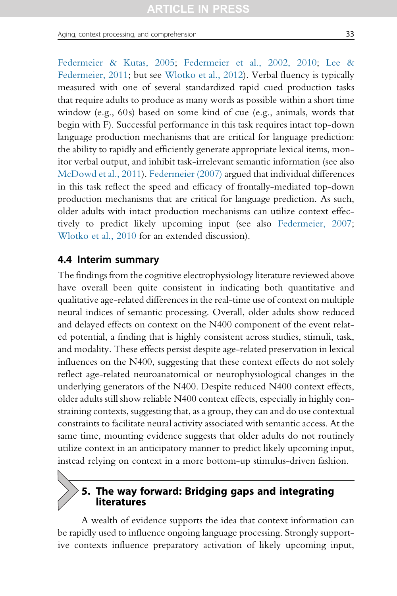[Federmeier & Kutas, 2005](#page-40-0); [Federmeier et al., 2002, 2010;](#page-40-0) [Lee &](#page-43-0) [Federmeier, 2011;](#page-43-0) but see [Wlotko et al., 2012](#page-49-0)). Verbal fluency is typically measured with one of several standardized rapid cued production tasks that require adults to produce as many words as possible within a short time window (e.g., 60s) based on some kind of cue (e.g., animals, words that begin with F). Successful performance in this task requires intact top-down language production mechanisms that are critical for language prediction: the ability to rapidly and efficiently generate appropriate lexical items, monitor verbal output, and inhibit task-irrelevant semantic information (see also [McDowd et al., 2011\)](#page-43-0). [Federmeier \(2007\)](#page-40-0) argued that individual differences in this task reflect the speed and efficacy of frontally-mediated top-down production mechanisms that are critical for language prediction. As such, older adults with intact production mechanisms can utilize context effectively to predict likely upcoming input (see also [Federmeier, 2007;](#page-40-0) [Wlotko et al., 2010](#page-49-0) for an extended discussion).

#### 4.4 Interim summary

The findings from the cognitive electrophysiology literature reviewed above have overall been quite consistent in indicating both quantitative and qualitative age-related differences in the real-time use of context on multiple neural indices of semantic processing. Overall, older adults show reduced and delayed effects on context on the N400 component of the event related potential, a finding that is highly consistent across studies, stimuli, task, and modality. These effects persist despite age-related preservation in lexical influences on the N400, suggesting that these context effects do not solely reflect age-related neuroanatomical or neurophysiological changes in the underlying generators of the N400. Despite reduced N400 context effects, older adults still show reliable N400 context effects, especially in highly constraining contexts, suggesting that, as a group, they can and do use contextual constraints to facilitate neural activity associated with semantic access. At the same time, mounting evidence suggests that older adults do not routinely utilize context in an anticipatory manner to predict likely upcoming input, instead relying on context in a more bottom-up stimulus-driven fashion.

## 5. The way forward: Bridging gaps and integrating literatures

A wealth of evidence supports the idea that context information can be rapidly used to influence ongoing language processing. Strongly supportive contexts influence preparatory activation of likely upcoming input,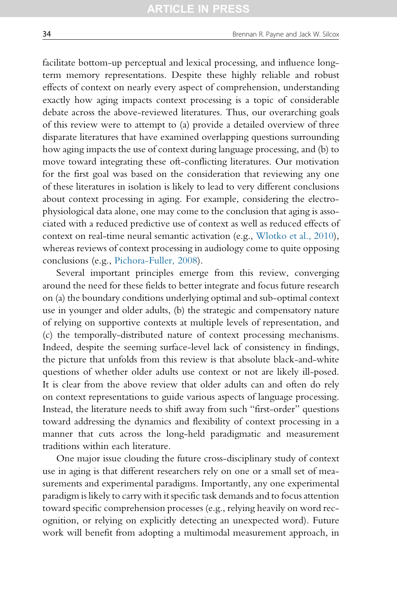facilitate bottom-up perceptual and lexical processing, and influence longterm memory representations. Despite these highly reliable and robust effects of context on nearly every aspect of comprehension, understanding exactly how aging impacts context processing is a topic of considerable debate across the above-reviewed literatures. Thus, our overarching goals of this review were to attempt to (a) provide a detailed overview of three disparate literatures that have examined overlapping questions surrounding how aging impacts the use of context during language processing, and (b) to move toward integrating these oft-conflicting literatures. Our motivation for the first goal was based on the consideration that reviewing any one of these literatures in isolation is likely to lead to very different conclusions about context processing in aging. For example, considering the electrophysiological data alone, one may come to the conclusion that aging is associated with a reduced predictive use of context as well as reduced effects of context on real-time neural semantic activation (e.g., [Wlotko et al., 2010\)](#page-49-0), whereas reviews of context processing in audiology come to quite opposing conclusions (e.g., [Pichora-Fuller, 2008\)](#page-45-0).

Several important principles emerge from this review, converging around the need for these fields to better integrate and focus future research on (a) the boundary conditions underlying optimal and sub-optimal context use in younger and older adults, (b) the strategic and compensatory nature of relying on supportive contexts at multiple levels of representation, and (c) the temporally-distributed nature of context processing mechanisms. Indeed, despite the seeming surface-level lack of consistency in findings, the picture that unfolds from this review is that absolute black-and-white questions of whether older adults use context or not are likely ill-posed. It is clear from the above review that older adults can and often do rely on context representations to guide various aspects of language processing. Instead, the literature needs to shift away from such "first-order" questions toward addressing the dynamics and flexibility of context processing in a manner that cuts across the long-held paradigmatic and measurement traditions within each literature.

One major issue clouding the future cross-disciplinary study of context use in aging is that different researchers rely on one or a small set of measurements and experimental paradigms. Importantly, any one experimental paradigm is likely to carry with it specific task demands and to focus attention toward specific comprehension processes (e.g., relying heavily on word recognition, or relying on explicitly detecting an unexpected word). Future work will benefit from adopting a multimodal measurement approach, in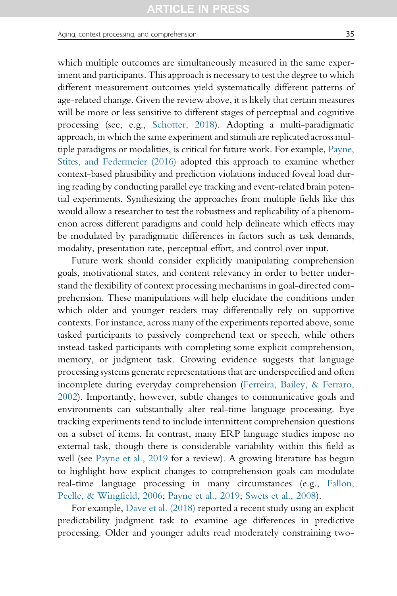which multiple outcomes are simultaneously measured in the same experiment and participants. This approach is necessary to test the degree to which different measurement outcomes yield systematically different patterns of age-related change. Given the review above, it is likely that certain measures will be more or less sensitive to different stages of perceptual and cognitive processing (see, e.g., [Schotter, 2018](#page-46-0)). Adopting a multi-paradigmatic approach, in which the same experiment and stimuli are replicated across multiple paradigms or modalities, is critical for future work. For example, [Payne,](#page-45-0) [Stites, and Federmeier \(2016\)](#page-45-0) adopted this approach to examine whether context-based plausibility and prediction violations induced foveal load during reading by conducting parallel eye tracking and event-related brain potential experiments. Synthesizing the approaches from multiple fields like this would allow a researcher to test the robustness and replicability of a phenomenon across different paradigms and could help delineate which effects may be modulated by paradigmatic differences in factors such as task demands, modality, presentation rate, perceptual effort, and control over input.

Future work should consider explicitly manipulating comprehension goals, motivational states, and content relevancy in order to better understand the flexibility of context processing mechanisms in goal-directed comprehension. These manipulations will help elucidate the conditions under which older and younger readers may differentially rely on supportive contexts. For instance, across many of the experiments reported above, some tasked participants to passively comprehend text or speech, while others instead tasked participants with completing some explicit comprehension, memory, or judgment task. Growing evidence suggests that language processing systems generate representations that are underspecified and often incomplete during everyday comprehension ([Ferreira, Bailey, & Ferraro,](#page-41-0) [2002](#page-41-0)). Importantly, however, subtle changes to communicative goals and environments can substantially alter real-time language processing. Eye tracking experiments tend to include intermittent comprehension questions on a subset of items. In contrast, many ERP language studies impose no external task, though there is considerable variability within this field as well (see [Payne et al., 2019](#page-45-0) for a review). A growing literature has begun to highlight how explicit changes to comprehension goals can modulate real-time language processing in many circumstances (e.g., [Fallon,](#page-40-0) [Peelle, & Wingfield, 2006;](#page-40-0) [Payne et al., 2019](#page-45-0); [Swets et al., 2008\)](#page-48-0).

For example, [Dave et al. \(2018\)](#page-40-0) reported a recent study using an explicit predictability judgment task to examine age differences in predictive processing. Older and younger adults read moderately constraining two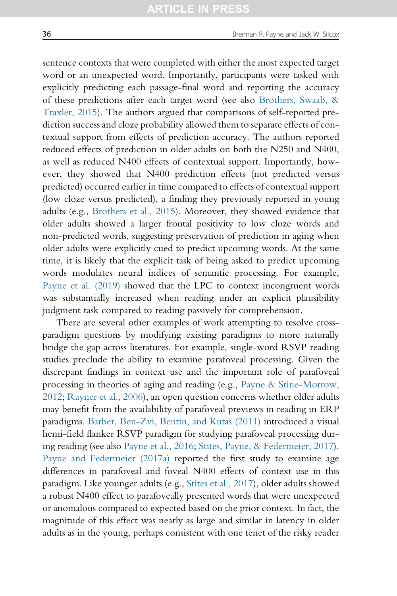sentence contexts that were completed with either the most expected target word or an unexpected word. Importantly, participants were tasked with explicitly predicting each passage-final word and reporting the accuracy of these predictions after each target word (see also [Brothers, Swaab, &](#page-39-0) [Traxler, 2015\)](#page-39-0). The authors argued that comparisons of self-reported prediction success and cloze probability allowed them to separate effects of contextual support from effects of prediction accuracy. The authors reported reduced effects of prediction in older adults on both the N250 and N400, as well as reduced N400 effects of contextual support. Importantly, however, they showed that N400 prediction effects (not predicted versus predicted) occurred earlier in time compared to effects of contextual support (low cloze versus predicted), a finding they previously reported in young adults (e.g., [Brothers et al., 2015\)](#page-39-0). Moreover, they showed evidence that older adults showed a larger frontal positivity to low cloze words and non-predicted words, suggesting preservation of prediction in aging when older adults were explicitly cued to predict upcoming words. At the same time, it is likely that the explicit task of being asked to predict upcoming words modulates neural indices of semantic processing. For example, [Payne et al. \(2019\)](#page-45-0) showed that the LPC to context incongruent words was substantially increased when reading under an explicit plausibility judgment task compared to reading passively for comprehension.

There are several other examples of work attempting to resolve crossparadigm questions by modifying existing paradigms to more naturally bridge the gap across literatures. For example, single-word RSVP reading studies preclude the ability to examine parafoveal processing. Given the discrepant findings in context use and the important role of parafoveal processing in theories of aging and reading (e.g., [Payne & Stine-Morrow,](#page-45-0) [2012;](#page-45-0) [Rayner et al., 2006](#page-46-0)), an open question concerns whether older adults may benefit from the availability of parafoveal previews in reading in ERP paradigms. [Barber, Ben-Zvi, Bentin, and Kutas \(2011\)](#page-39-0) introduced a visual hemi-field flanker RSVP paradigm for studying parafoveal processing during reading (see also [Payne et al., 2016;](#page-45-0) [Stites, Payne, & Federmeier, 2017\)](#page-47-0). [Payne and Federmeier \(2017a\)](#page-44-0) reported the first study to examine age differences in parafoveal and foveal N400 effects of context use in this paradigm. Like younger adults (e.g., [Stites et al., 2017](#page-47-0)), older adults showed a robust N400 effect to parafoveally presented words that were unexpected or anomalous compared to expected based on the prior context. In fact, the magnitude of this effect was nearly as large and similar in latency in older adults as in the young, perhaps consistent with one tenet of the risky reader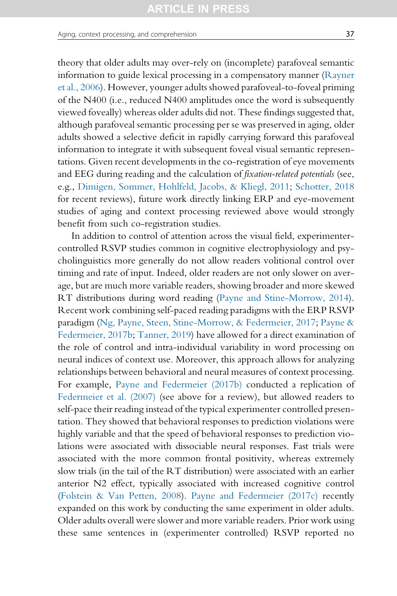theory that older adults may over-rely on (incomplete) parafoveal semantic information to guide lexical processing in a compensatory manner [\(Rayner](#page-46-0) [et al., 2006\)](#page-46-0). However, younger adults showed parafoveal-to-foveal priming of the N400 (i.e., reduced N400 amplitudes once the word is subsequently viewed foveally) whereas older adults did not. These findings suggested that, although parafoveal semantic processing per se was preserved in aging, older adults showed a selective deficit in rapidly carrying forward this parafoveal information to integrate it with subsequent foveal visual semantic representations. Given recent developments in the co-registration of eye movements and EEG during reading and the calculation of fixation-related potentials (see, e.g., [Dimigen, Sommer, Hohlfeld, Jacobs, & Kliegl, 2011](#page-40-0); [Schotter, 2018](#page-46-0) for recent reviews), future work directly linking ERP and eye-movement studies of aging and context processing reviewed above would strongly benefit from such co-registration studies.

In addition to control of attention across the visual field, experimentercontrolled RSVP studies common in cognitive electrophysiology and psycholinguistics more generally do not allow readers volitional control over timing and rate of input. Indeed, older readers are not only slower on average, but are much more variable readers, showing broader and more skewed RT distributions during word reading ([Payne and Stine-Morrow, 2014](#page-45-0)). Recent work combining self-paced reading paradigms with the ERP RSVP paradigm ([Ng, Payne, Steen, Stine-Morrow, & Federmeier, 2017;](#page-44-0) [Payne &](#page-44-0) [Federmeier, 2017b](#page-44-0); [Tanner, 2019\)](#page-48-0) have allowed for a direct examination of the role of control and intra-individual variability in word processing on neural indices of context use. Moreover, this approach allows for analyzing relationships between behavioral and neural measures of context processing. For example, [Payne and Federmeier \(2017b\)](#page-44-0) conducted a replication of [Federmeier et al. \(2007\)](#page-41-0) (see above for a review), but allowed readers to self-pace their reading instead of the typical experimenter controlled presentation. They showed that behavioral responses to prediction violations were highly variable and that the speed of behavioral responses to prediction violations were associated with dissociable neural responses. Fast trials were associated with the more common frontal positivity, whereas extremely slow trials (in the tail of the RT distribution) were associated with an earlier anterior N2 effect, typically associated with increased cognitive control [\(Folstein & Van Petten, 2008](#page-41-0)). [Payne and Federmeier \(2017c\)](#page-45-0) recently expanded on this work by conducting the same experiment in older adults. Older adults overall were slower and more variable readers. Prior work using these same sentences in (experimenter controlled) RSVP reported no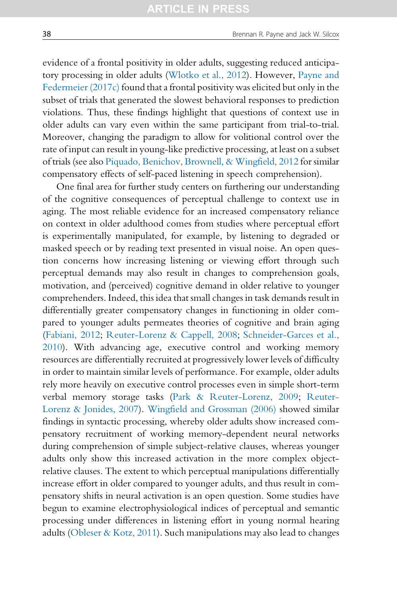evidence of a frontal positivity in older adults, suggesting reduced anticipatory processing in older adults [\(Wlotko et al., 2012](#page-49-0)). However, [Payne and](#page-45-0) [Federmeier \(2017c\)](#page-45-0) found that a frontal positivity was elicited but only in the subset of trials that generated the slowest behavioral responses to prediction violations. Thus, these findings highlight that questions of context use in older adults can vary even within the same participant from trial-to-trial. Moreover, changing the paradigm to allow for volitional control over the rate of input can result in young-like predictive processing, at least on a subset of trials (see also [Piquado, Benichov, Brownell, & Wingfield, 2012](#page-45-0) for similar compensatory effects of self-paced listening in speech comprehension).

One final area for further study centers on furthering our understanding of the cognitive consequences of perceptual challenge to context use in aging. The most reliable evidence for an increased compensatory reliance on context in older adulthood comes from studies where perceptual effort is experimentally manipulated, for example, by listening to degraded or masked speech or by reading text presented in visual noise. An open question concerns how increasing listening or viewing effort through such perceptual demands may also result in changes to comprehension goals, motivation, and (perceived) cognitive demand in older relative to younger comprehenders. Indeed, this idea that small changes in task demands result in differentially greater compensatory changes in functioning in older compared to younger adults permeates theories of cognitive and brain aging ([Fabiani, 2012](#page-40-0); [Reuter-Lorenz & Cappell, 2008](#page-46-0); [Schneider-Garces et al.,](#page-46-0) [2010\)](#page-46-0). With advancing age, executive control and working memory resources are differentially recruited at progressively lower levels of difficulty in order to maintain similar levels of performance. For example, older adults rely more heavily on executive control processes even in simple short-term verbal memory storage tasks ([Park & Reuter-Lorenz, 2009;](#page-44-0) [Reuter-](#page-46-0)[Lorenz & Jonides, 2007\)](#page-46-0). [Wingfield and Grossman \(2006\)](#page-49-0) showed similar findings in syntactic processing, whereby older adults show increased compensatory recruitment of working memory-dependent neural networks during comprehension of simple subject-relative clauses, whereas younger adults only show this increased activation in the more complex objectrelative clauses. The extent to which perceptual manipulations differentially increase effort in older compared to younger adults, and thus result in compensatory shifts in neural activation is an open question. Some studies have begun to examine electrophysiological indices of perceptual and semantic processing under differences in listening effort in young normal hearing adults ([Obleser & Kotz, 2011\)](#page-44-0). Such manipulations may also lead to changes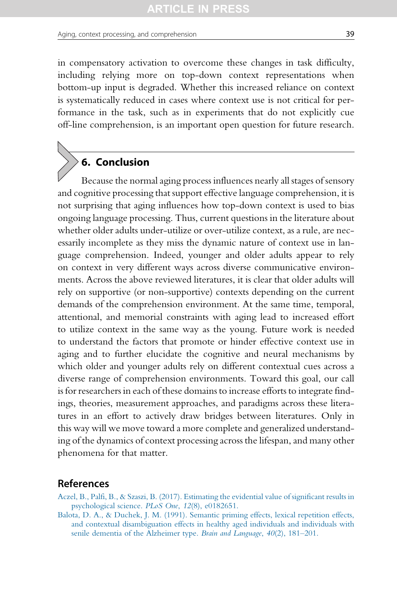#### <span id="page-38-0"></span>Aging, context processing, and comprehension 39

in compensatory activation to overcome these changes in task difficulty, including relying more on top-down context representations when bottom-up input is degraded. Whether this increased reliance on context is systematically reduced in cases where context use is not critical for performance in the task, such as in experiments that do not explicitly cue off-line comprehension, is an important open question for future research.

# 6. Conclusion

Because the normal aging process influences nearly all stages of sensory and cognitive processing that support effective language comprehension, it is not surprising that aging influences how top-down context is used to bias ongoing language processing. Thus, current questions in the literature about whether older adults under-utilize or over-utilize context, as a rule, are necessarily incomplete as they miss the dynamic nature of context use in language comprehension. Indeed, younger and older adults appear to rely on context in very different ways across diverse communicative environments. Across the above reviewed literatures, it is clear that older adults will rely on supportive (or non-supportive) contexts depending on the current demands of the comprehension environment. At the same time, temporal, attentional, and memorial constraints with aging lead to increased effort to utilize context in the same way as the young. Future work is needed to understand the factors that promote or hinder effective context use in aging and to further elucidate the cognitive and neural mechanisms by which older and younger adults rely on different contextual cues across a diverse range of comprehension environments. Toward this goal, our call is for researchers in each of these domains to increase efforts to integrate findings, theories, measurement approaches, and paradigms across these literatures in an effort to actively draw bridges between literatures. Only in this way will we move toward a more complete and generalized understanding of the dynamics of context processing across the lifespan, and many other phenomena for that matter.

## References

- [Aczel, B., Palfi, B., & Szaszi, B. \(2017\). Estimating the evidential value of significant results in](http://refhub.elsevier.com/S0079-7421(19)30022-2/rf0010) [psychological science.](http://refhub.elsevier.com/S0079-7421(19)30022-2/rf0010) PLoS One, 12(8), e0182651.
- [Balota, D. A., & Duchek, J. M. \(1991\). Semantic priming effects, lexical repetition effects,](http://refhub.elsevier.com/S0079-7421(19)30022-2/rf0015) [and contextual disambiguation effects in healthy aged individuals and individuals with](http://refhub.elsevier.com/S0079-7421(19)30022-2/rf0015) [senile dementia of the Alzheimer type.](http://refhub.elsevier.com/S0079-7421(19)30022-2/rf0015) Brain and Language, 40(2), 181-201.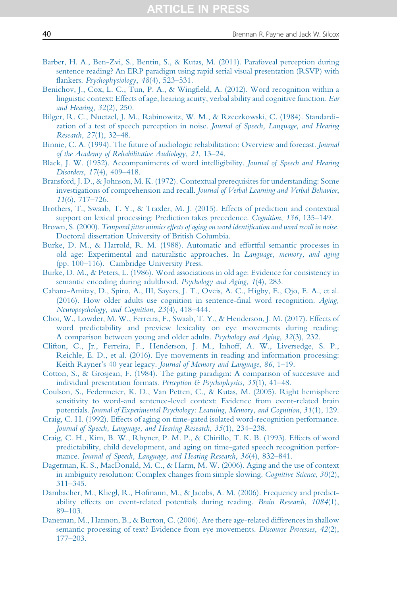- <span id="page-39-0"></span>[Barber, H. A., Ben-Zvi, S., Bentin, S., & Kutas, M. \(2011\). Parafoveal perception during](http://refhub.elsevier.com/S0079-7421(19)30022-2/rf0020) [sentence reading? An ERP paradigm using rapid serial visual presentation \(RSVP\) with](http://refhub.elsevier.com/S0079-7421(19)30022-2/rf0020) flankers. [Psychophysiology](http://refhub.elsevier.com/S0079-7421(19)30022-2/rf0020), 48(4), 523–531.
- [Benichov, J., Cox, L. C., Tun, P. A., & Wingfield, A. \(2012\). Word recognition within a](http://refhub.elsevier.com/S0079-7421(19)30022-2/rf0025) [linguistic context: Effects of age, hearing acuity, verbal ability and cognitive function.](http://refhub.elsevier.com/S0079-7421(19)30022-2/rf0025) Ear [and Hearing](http://refhub.elsevier.com/S0079-7421(19)30022-2/rf0025), 32(2), 250.
- [Bilger, R. C., Nuetzel, J. M., Rabinowitz, W. M., & Rzeczkowski, C. \(1984\). Standardi](http://refhub.elsevier.com/S0079-7421(19)30022-2/rf0030)[zation of a test of speech perception in noise.](http://refhub.elsevier.com/S0079-7421(19)30022-2/rf0030) Journal of Speech, Language, and Hearing [Research](http://refhub.elsevier.com/S0079-7421(19)30022-2/rf0030), 27(1), 32–48.
- [Binnie, C. A. \(1994\). The future of audiologic rehabilitation: Overview and forecast.](http://refhub.elsevier.com/S0079-7421(19)30022-2/rf0035) Journal [of the Academy of Rehabilitative Audiology](http://refhub.elsevier.com/S0079-7421(19)30022-2/rf0035), 21, 13–24.
- [Black, J. W. \(1952\). Accompaniments of word intelligibility.](http://refhub.elsevier.com/S0079-7421(19)30022-2/rf0040) Journal of Speech and Hearing [Disorders](http://refhub.elsevier.com/S0079-7421(19)30022-2/rf0040), 17(4), 409–418.
- [Bransford, J. D., & Johnson, M. K. \(1972\). Contextual prerequisites for understanding: Some](http://refhub.elsevier.com/S0079-7421(19)30022-2/rf0045) investigations of comprehension and recall. [Journal of Verbal Learning and Verbal Behavior](http://refhub.elsevier.com/S0079-7421(19)30022-2/rf0045), 11[\(6\), 717](http://refhub.elsevier.com/S0079-7421(19)30022-2/rf0045)–726.
- [Brothers, T., Swaab, T. Y., & Traxler, M. J. \(2015\). Effects of prediction and contextual](http://refhub.elsevier.com/S0079-7421(19)30022-2/rf0050) [support on lexical processing: Prediction takes precedence.](http://refhub.elsevier.com/S0079-7421(19)30022-2/rf0050) Cognition, 136, 135–149.
- Brown, S. (2000). [Temporal jitter mimics effects of aging on word identification and word recall in noise.](http://refhub.elsevier.com/S0079-7421(19)30022-2/rf0055) [Doctoral dissertation University of British Columbia.](http://refhub.elsevier.com/S0079-7421(19)30022-2/rf0055)
- [Burke, D. M., & Harrold, R. M. \(1988\). Automatic and effortful semantic processes in](http://refhub.elsevier.com/S0079-7421(19)30022-2/rf0060) [old age: Experimental and naturalistic approaches. In](http://refhub.elsevier.com/S0079-7421(19)30022-2/rf0060) Language, memory, and aging (pp. 100–[116\). Cambridge University Press.](http://refhub.elsevier.com/S0079-7421(19)30022-2/rf0060)
- [Burke, D. M., & Peters, L. \(1986\). Word associations in old age: Evidence for consistency in](http://refhub.elsevier.com/S0079-7421(19)30022-2/rf0065) [semantic encoding during adulthood.](http://refhub.elsevier.com/S0079-7421(19)30022-2/rf0065) Psychology and Aging, 1(4), 283.
- [Cahana-Amitay, D., Spiro, A., III, Sayers, J. T., Oveis, A. C., Higby, E., Ojo, E. A., et al.](http://refhub.elsevier.com/S0079-7421(19)30022-2/rf0070) [\(2016\). How older adults use cognition in sentence-final word recognition.](http://refhub.elsevier.com/S0079-7421(19)30022-2/rf0070) Aging, [Neuropsychology, and Cognition](http://refhub.elsevier.com/S0079-7421(19)30022-2/rf0070), 23(4), 418–444.
- [Choi, W., Lowder, M. W., Ferreira, F., Swaab, T. Y., & Henderson, J. M. \(2017\). Effects of](http://refhub.elsevier.com/S0079-7421(19)30022-2/rf0075) [word predictability and preview lexicality on eye movements during reading:](http://refhub.elsevier.com/S0079-7421(19)30022-2/rf0075) [A comparison between young and older adults.](http://refhub.elsevier.com/S0079-7421(19)30022-2/rf0075) Psychology and Aging, 32(3), 232.
- [Clifton, C., Jr., Ferreira, F., Henderson, J. M., Inhoff, A. W., Liversedge, S. P.,](http://refhub.elsevier.com/S0079-7421(19)30022-2/rf0080) [Reichle, E. D., et al. \(2016\). Eye movements in reading and information processing:](http://refhub.elsevier.com/S0079-7421(19)30022-2/rf0080) [Keith Rayner's 40 year legacy.](http://refhub.elsevier.com/S0079-7421(19)30022-2/rf0080) Journal of Memory and Language, 86, 1–19.
- [Cotton, S., & Grosjean, F. \(1984\). The gating paradigm: A comparison of successive and](http://refhub.elsevier.com/S0079-7421(19)30022-2/rf0085) [individual presentation formats.](http://refhub.elsevier.com/S0079-7421(19)30022-2/rf0085) Perception & Psychophysics, 35(1), 41-48.
- [Coulson, S., Federmeier, K. D., Van Petten, C., & Kutas, M. \(2005\). Right hemisphere](http://refhub.elsevier.com/S0079-7421(19)30022-2/rf0090) [sensitivity to word-and sentence-level context: Evidence from event-related brain](http://refhub.elsevier.com/S0079-7421(19)30022-2/rf0090) potentials. [Journal of Experimental Psychology: Learning, Memory, and Cognition](http://refhub.elsevier.com/S0079-7421(19)30022-2/rf0090), 31(1), 129.
- [Craig, C. H. \(1992\). Effects of aging on time-gated isolated word-recognition performance.](http://refhub.elsevier.com/S0079-7421(19)30022-2/rf0095) [Journal of Speech, Language, and Hearing Research](http://refhub.elsevier.com/S0079-7421(19)30022-2/rf0095), 35(1), 234–238.
- [Craig, C. H., Kim, B. W., Rhyner, P. M. P., & Chirillo, T. K. B. \(1993\). Effects of word](http://refhub.elsevier.com/S0079-7421(19)30022-2/rf0100) [predictability, child development, and aging on time-gated speech recognition perfor](http://refhub.elsevier.com/S0079-7421(19)30022-2/rf0100)mance. [Journal of Speech, Language, and Hearing Research](http://refhub.elsevier.com/S0079-7421(19)30022-2/rf0100), 36(4), 832–841.
- [Dagerman, K. S., MacDonald, M. C., & Harm, M. W. \(2006\). Aging and the use of context](http://refhub.elsevier.com/S0079-7421(19)30022-2/rf0105) [in ambiguity resolution: Complex changes from simple slowing.](http://refhub.elsevier.com/S0079-7421(19)30022-2/rf0105) *Cognitive Science*, 30(2), 311–[345.](http://refhub.elsevier.com/S0079-7421(19)30022-2/rf0105)
- [Dambacher, M., Kliegl, R., Hofmann, M., & Jacobs, A. M. \(2006\). Frequency and predict](http://refhub.elsevier.com/S0079-7421(19)30022-2/rf0110)[ability effects on event-related potentials during reading.](http://refhub.elsevier.com/S0079-7421(19)30022-2/rf0110) Brain Research, 1084(1), 89–[103.](http://refhub.elsevier.com/S0079-7421(19)30022-2/rf0110)
- [Daneman, M., Hannon, B., & Burton, C. \(2006\). Are there age-related differences in shallow](http://refhub.elsevier.com/S0079-7421(19)30022-2/rf0115) [semantic processing of text? Evidence from eye movements.](http://refhub.elsevier.com/S0079-7421(19)30022-2/rf0115) Discourse Processes, 42(2), 177–[203.](http://refhub.elsevier.com/S0079-7421(19)30022-2/rf0115)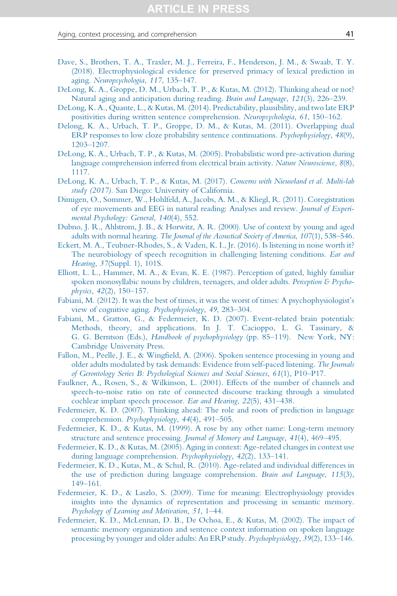- <span id="page-40-0"></span>[Dave, S., Brothers, T. A., Traxler, M. J., Ferreira, F., Henderson, J. M., & Swaab, T. Y.](http://refhub.elsevier.com/S0079-7421(19)30022-2/rf0120) [\(2018\). Electrophysiological evidence for preserved primacy of lexical prediction in](http://refhub.elsevier.com/S0079-7421(19)30022-2/rf0120) aging. [Neuropsychologia](http://refhub.elsevier.com/S0079-7421(19)30022-2/rf0120), 117, 135–147.
- [DeLong, K. A., Groppe, D. M., Urbach, T. P., & Kutas, M. \(2012\). Thinking ahead or not?](http://refhub.elsevier.com/S0079-7421(19)30022-2/rf0125) [Natural aging and anticipation during reading.](http://refhub.elsevier.com/S0079-7421(19)30022-2/rf0125) Brain and Language, 121(3), 226–239.
- [DeLong, K. A., Quante, L., & Kutas, M. \(2014\). Predictability, plausibility, and two late ERP](http://refhub.elsevier.com/S0079-7421(19)30022-2/rf0130) [positivities during written sentence comprehension.](http://refhub.elsevier.com/S0079-7421(19)30022-2/rf0130) Neuropsychologia, 61, 150–162.
- [Delong, K. A., Urbach, T. P., Groppe, D. M., & Kutas, M. \(2011\). Overlapping dual](http://refhub.elsevier.com/S0079-7421(19)30022-2/rf9500) [ERP responses to low cloze probability sentence continuations.](http://refhub.elsevier.com/S0079-7421(19)30022-2/rf9500) Psychophysiology, 48(9), 1203–[1207.](http://refhub.elsevier.com/S0079-7421(19)30022-2/rf9500)
- [DeLong, K. A., Urbach, T. P., & Kutas, M. \(2005\). Probabilistic word pre-activation during](http://refhub.elsevier.com/S0079-7421(19)30022-2/rf0135) [language comprehension inferred from electrical brain activity.](http://refhub.elsevier.com/S0079-7421(19)30022-2/rf0135) Nature Neuroscience, 8(8), [1117.](http://refhub.elsevier.com/S0079-7421(19)30022-2/rf0135)
- [DeLong, K. A., Urbach, T. P., & Kutas, M. \(2017\).](http://refhub.elsevier.com/S0079-7421(19)30022-2/rf0140) Concerns with Nieuwland et al. Multi-lab study (2017). [San Diego: University of California.](http://refhub.elsevier.com/S0079-7421(19)30022-2/rf0140)
- [Dimigen, O., Sommer, W., Hohlfeld, A., Jacobs, A. M., & Kliegl, R. \(2011\). Coregistration](http://refhub.elsevier.com/S0079-7421(19)30022-2/rf9010) [of eye movements and EEG in natural reading: Analyses and review.](http://refhub.elsevier.com/S0079-7421(19)30022-2/rf9010) Journal of Experi[mental Psychology: General](http://refhub.elsevier.com/S0079-7421(19)30022-2/rf9010), 140(4), 552.
- [Dubno, J. R., Ahlstrom, J. B., & Horwitz, A. R. \(2000\). Use of context by young and aged](http://refhub.elsevier.com/S0079-7421(19)30022-2/rf0145) adults with normal hearing. [The Journal of the Acoustical Society of America](http://refhub.elsevier.com/S0079-7421(19)30022-2/rf0145), 107(1), 538–546.
- [Eckert, M. A., Teubner-Rhodes, S., & Vaden, K. I., Jr. \(2016\). Is listening in noise worth it?](http://refhub.elsevier.com/S0079-7421(19)30022-2/rf0150) [The neurobiology of speech recognition in challenging listening conditions.](http://refhub.elsevier.com/S0079-7421(19)30022-2/rf0150) Ear and Hearing, 37[\(Suppl. 1\), 101S.](http://refhub.elsevier.com/S0079-7421(19)30022-2/rf0150)
- [Elliott, L. L., Hammer, M. A., & Evan, K. E. \(1987\). Perception of gated, highly familiar](http://refhub.elsevier.com/S0079-7421(19)30022-2/rf0155) [spoken monosyllabic nouns by children, teenagers, and older adults.](http://refhub.elsevier.com/S0079-7421(19)30022-2/rf0155) Perception & Psychophysics, 42[\(2\), 150](http://refhub.elsevier.com/S0079-7421(19)30022-2/rf0155)–157.
- [Fabiani, M. \(2012\). It was the best of times, it was the worst of times: A psychophysiologist's](http://refhub.elsevier.com/S0079-7421(19)30022-2/rf9015) [view of cognitive aging.](http://refhub.elsevier.com/S0079-7421(19)30022-2/rf9015) Psychophysiology, 49, 283–304.
- [Fabiani, M., Gratton, G., & Federmeier, K. D. \(2007\). Event-related brain potentials:](http://refhub.elsevier.com/S0079-7421(19)30022-2/rf0160) [Methods, theory, and applications. In J. T. Cacioppo, L. G. Tassinary, &](http://refhub.elsevier.com/S0079-7421(19)30022-2/rf0160) G. G. Berntson (Eds.), [Handbook of psychophysiology](http://refhub.elsevier.com/S0079-7421(19)30022-2/rf0160) (pp. 85–119). New York, NY: [Cambridge University Press.](http://refhub.elsevier.com/S0079-7421(19)30022-2/rf0160)
- [Fallon, M., Peelle, J. E., & Wingfield, A. \(2006\). Spoken sentence processing in young and](http://refhub.elsevier.com/S0079-7421(19)30022-2/rf0165) [older adults modulated by task demands: Evidence from self-paced listening.](http://refhub.elsevier.com/S0079-7421(19)30022-2/rf0165) The Journals [of Gerontology Series B: Psychological Sciences and Social Sciences](http://refhub.elsevier.com/S0079-7421(19)30022-2/rf0165), 61(1), P10–P17.
- [Faulkner, A., Rosen, S., & Wilkinson, L. \(2001\). Effects of the number of channels and](http://refhub.elsevier.com/S0079-7421(19)30022-2/rf0170) [speech-to-noise ratio on rate of connected discourse tracking through a simulated](http://refhub.elsevier.com/S0079-7421(19)30022-2/rf0170) [cochlear implant speech processor.](http://refhub.elsevier.com/S0079-7421(19)30022-2/rf0170) Ear and Hearing, 22(5), 431–438.
- [Federmeier, K. D. \(2007\). Thinking ahead: The role and roots of prediction in language](http://refhub.elsevier.com/S0079-7421(19)30022-2/rf0175) [comprehension.](http://refhub.elsevier.com/S0079-7421(19)30022-2/rf0175) Psychophysiology, 44(4), 491–505.
- [Federmeier, K. D., & Kutas, M. \(1999\). A rose by any other name: Long-term memory](http://refhub.elsevier.com/S0079-7421(19)30022-2/rf0180) [structure and sentence processing.](http://refhub.elsevier.com/S0079-7421(19)30022-2/rf0180) Journal of Memory and Language, 41(4), 469–495.
- [Federmeier, K. D., & Kutas, M. \(2005\). Aging in context: Age-related changes in context use](http://refhub.elsevier.com/S0079-7421(19)30022-2/rf0185) [during language comprehension.](http://refhub.elsevier.com/S0079-7421(19)30022-2/rf0185) Psychophysiology, 42(2), 133–141.
- [Federmeier, K. D., Kutas, M., & Schul, R. \(2010\). Age-related and individual differences in](http://refhub.elsevier.com/S0079-7421(19)30022-2/rf0190) [the use of prediction during language comprehension.](http://refhub.elsevier.com/S0079-7421(19)30022-2/rf0190) Brain and Language, 115(3), 149–[161.](http://refhub.elsevier.com/S0079-7421(19)30022-2/rf0190)
- [Federmeier, K. D., & Laszlo, S. \(2009\). Time for meaning: Electrophysiology provides](http://refhub.elsevier.com/S0079-7421(19)30022-2/rf0195) [insights into the dynamics of representation and processing in semantic memory.](http://refhub.elsevier.com/S0079-7421(19)30022-2/rf0195) [Psychology of Learning and Motivation](http://refhub.elsevier.com/S0079-7421(19)30022-2/rf0195), 51, 1–44.
- [Federmeier, K. D., McLennan, D. B., De Ochoa, E., & Kutas, M. \(2002\). The impact of](http://refhub.elsevier.com/S0079-7421(19)30022-2/rf0200) [semantic memory organization and sentence context information on spoken language](http://refhub.elsevier.com/S0079-7421(19)30022-2/rf0200) [processing by younger and older adults: An ERP study.](http://refhub.elsevier.com/S0079-7421(19)30022-2/rf0200) Psychophysiology, 39(2), 133–146.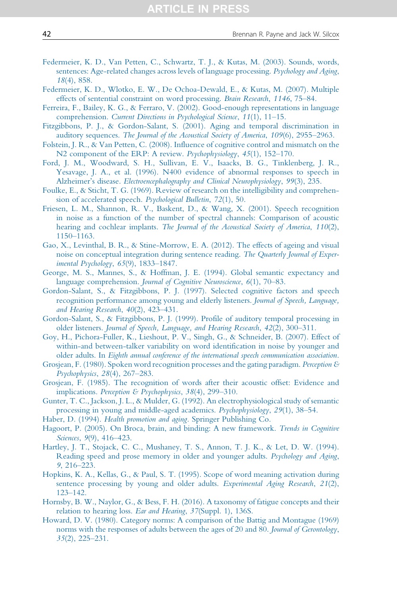- <span id="page-41-0"></span>[Federmeier, K. D., Van Petten, C., Schwartz, T. J., & Kutas, M. \(2003\). Sounds, words,](http://refhub.elsevier.com/S0079-7421(19)30022-2/rf0205) [sentences: Age-related changes across levels of language processing.](http://refhub.elsevier.com/S0079-7421(19)30022-2/rf0205) Psychology and Aging, 18[\(4\), 858.](http://refhub.elsevier.com/S0079-7421(19)30022-2/rf0205)
- [Federmeier, K. D., Wlotko, E. W., De Ochoa-Dewald, E., & Kutas, M. \(2007\). Multiple](http://refhub.elsevier.com/S0079-7421(19)30022-2/rf0210) [effects of sentential constraint on word processing.](http://refhub.elsevier.com/S0079-7421(19)30022-2/rf0210) Brain Research, 1146, 75–84.
- [Ferreira, F., Bailey, K. G., & Ferraro, V. \(2002\). Good-enough representations in language](http://refhub.elsevier.com/S0079-7421(19)30022-2/rf9020) comprehension. [Current Directions in Psychological Science](http://refhub.elsevier.com/S0079-7421(19)30022-2/rf9020), 11(1), 11-15.
- [Fitzgibbons, P. J., & Gordon-Salant, S. \(2001\). Aging and temporal discrimination in](http://refhub.elsevier.com/S0079-7421(19)30022-2/rf0215) auditory sequences. [The Journal of the Acoustical Society of America](http://refhub.elsevier.com/S0079-7421(19)30022-2/rf0215), 109(6), 2955–2963.
- [Folstein, J. R., & Van Petten, C. \(2008\). Influence of cognitive control and mismatch on the](http://refhub.elsevier.com/S0079-7421(19)30022-2/rf9025) [N2 component of the ERP: A review.](http://refhub.elsevier.com/S0079-7421(19)30022-2/rf9025) Psychophysiology, 45(1), 152-170.
- [Ford, J. M., Woodward, S. H., Sullivan, E. V., Isaacks, B. G., Tinklenberg, J. R.,](http://refhub.elsevier.com/S0079-7421(19)30022-2/rf0220) [Yesavage, J. A., et al. \(1996\). N400 evidence of abnormal responses to speech in](http://refhub.elsevier.com/S0079-7421(19)30022-2/rf0220) Alzheimer's disease. [Electroencephalography and Clinical Neurophysiology](http://refhub.elsevier.com/S0079-7421(19)30022-2/rf0220), 99(3), 235.
- [Foulke, E., & Sticht, T. G. \(1969\). Review of research on the intelligibility and comprehen](http://refhub.elsevier.com/S0079-7421(19)30022-2/rf0225)[sion of accelerated speech.](http://refhub.elsevier.com/S0079-7421(19)30022-2/rf0225) Psychological Bulletin, 72(1), 50.
- [Friesen, L. M., Shannon, R. V., Baskent, D., & Wang, X. \(2001\). Speech recognition](http://refhub.elsevier.com/S0079-7421(19)30022-2/rf0230) [in noise as a function of the number of spectral channels: Comparison of acoustic](http://refhub.elsevier.com/S0079-7421(19)30022-2/rf0230) hearing and cochlear implants. [The Journal of the Acoustical Society of America](http://refhub.elsevier.com/S0079-7421(19)30022-2/rf0230), 110(2), 1150–[1163.](http://refhub.elsevier.com/S0079-7421(19)30022-2/rf0230)
- [Gao, X., Levinthal, B. R., & Stine-Morrow, E. A. \(2012\). The effects of ageing and visual](http://refhub.elsevier.com/S0079-7421(19)30022-2/rf0235) [noise on conceptual integration during sentence reading.](http://refhub.elsevier.com/S0079-7421(19)30022-2/rf0235) The Quarterly Journal of Exper[imental Psychology](http://refhub.elsevier.com/S0079-7421(19)30022-2/rf0235), 65(9), 1833–1847.
- [George, M. S., Mannes, S., & Hoffman, J. E. \(1994\). Global semantic expectancy and](http://refhub.elsevier.com/S0079-7421(19)30022-2/rf0240) language comprehension. [Journal of Cognitive Neuroscience](http://refhub.elsevier.com/S0079-7421(19)30022-2/rf0240), 6(1), 70–83.
- [Gordon-Salant, S., & Fitzgibbons, P. J. \(1997\). Selected cognitive factors and speech](http://refhub.elsevier.com/S0079-7421(19)30022-2/rf0245) [recognition performance among young and elderly listeners.](http://refhub.elsevier.com/S0079-7421(19)30022-2/rf0245) Journal of Speech, Language, [and Hearing Research](http://refhub.elsevier.com/S0079-7421(19)30022-2/rf0245), 40(2), 423–431.
- [Gordon-Salant, S., & Fitzgibbons, P. J. \(1999\). Profile of auditory temporal processing in](http://refhub.elsevier.com/S0079-7421(19)30022-2/rf0250) older listeners. [Journal of Speech, Language, and Hearing Research](http://refhub.elsevier.com/S0079-7421(19)30022-2/rf0250), 42(2), 300–311.
- [Goy, H., Pichora-Fuller, K., Lieshout, P. V., Singh, G., & Schneider, B. \(2007\). Effect of](http://refhub.elsevier.com/S0079-7421(19)30022-2/rf0255) [within-and between-talker variability on word identification in noise by younger and](http://refhub.elsevier.com/S0079-7421(19)30022-2/rf0255) older adults. In [Eighth annual conference of the international speech communication association](http://refhub.elsevier.com/S0079-7421(19)30022-2/rf0255).
- [Grosjean, F. \(1980\). Spoken word recognition processes and the gating paradigm.](http://refhub.elsevier.com/S0079-7421(19)30022-2/rf0260) Perception & [Psychophysics](http://refhub.elsevier.com/S0079-7421(19)30022-2/rf0260), 28(4), 267–283.
- [Grosjean, F. \(1985\). The recognition of words after their acoustic offset: Evidence and](http://refhub.elsevier.com/S0079-7421(19)30022-2/rf0265) implications. [Perception & Psychophysics](http://refhub.elsevier.com/S0079-7421(19)30022-2/rf0265), 38(4), 299-310.
- [Gunter, T. C., Jackson, J. L., & Mulder, G. \(1992\). An electrophysiological study of semantic](http://refhub.elsevier.com/S0079-7421(19)30022-2/rf0270) [processing in young and middle-aged academics.](http://refhub.elsevier.com/S0079-7421(19)30022-2/rf0270) Psychophysiology, 29(1), 38–54.
- Haber, D. (1994). [Health promotion and aging.](http://refhub.elsevier.com/S0079-7421(19)30022-2/rf0275) Springer Publishing Co.
- [Hagoort, P. \(2005\). On Broca, brain, and binding: A new framework.](http://refhub.elsevier.com/S0079-7421(19)30022-2/rf0280) Trends in Cognitive Sciences, 9[\(9\), 416](http://refhub.elsevier.com/S0079-7421(19)30022-2/rf0280)–423.
- [Hartley, J. T., Stojack, C. C., Mushaney, T. S., Annon, T. J. K., & Let, D. W. \(1994\).](http://refhub.elsevier.com/S0079-7421(19)30022-2/rf9030) [Reading speed and prose memory in older and younger adults.](http://refhub.elsevier.com/S0079-7421(19)30022-2/rf9030) Psychology and Aging, 9[, 216](http://refhub.elsevier.com/S0079-7421(19)30022-2/rf9030)–223.
- [Hopkins, K. A., Kellas, G., & Paul, S. T. \(1995\). Scope of word meaning activation during](http://refhub.elsevier.com/S0079-7421(19)30022-2/rf0285) [sentence processing by young and older adults.](http://refhub.elsevier.com/S0079-7421(19)30022-2/rf0285) Experimental Aging Research, 21(2), 123–[142.](http://refhub.elsevier.com/S0079-7421(19)30022-2/rf0285)
- [Hornsby, B. W., Naylor, G., & Bess, F. H. \(2016\). A taxonomy of fatigue concepts and their](http://refhub.elsevier.com/S0079-7421(19)30022-2/rf0290) [relation to hearing loss.](http://refhub.elsevier.com/S0079-7421(19)30022-2/rf0290) Ear and Hearing, 37(Suppl. 1), 136S.
- [Howard, D. V. \(1980\). Category norms: A comparison of the Battig and Montague \(1969\)](http://refhub.elsevier.com/S0079-7421(19)30022-2/rf0295) [norms with the responses of adults between the ages of 20 and 80.](http://refhub.elsevier.com/S0079-7421(19)30022-2/rf0295) Journal of Gerontology, 35[\(2\), 225](http://refhub.elsevier.com/S0079-7421(19)30022-2/rf0295)–231.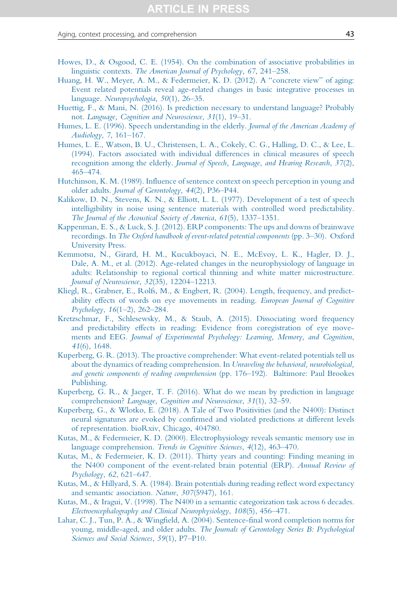#### <span id="page-42-0"></span>Aging, context processing, and comprehension **43**

- [Howes, D., & Osgood, C. E. \(1954\). On the combination of associative probabilities in](http://refhub.elsevier.com/S0079-7421(19)30022-2/rf9035) linguistic contexts. [The American Journal of Psychology](http://refhub.elsevier.com/S0079-7421(19)30022-2/rf9035), 67, 241–258.
- [Huang, H. W., Meyer, A. M., & Federmeier, K. D. \(2012\). A "concrete view" of aging:](http://refhub.elsevier.com/S0079-7421(19)30022-2/rf0300) [Event related potentials reveal age-related changes in basic integrative processes in](http://refhub.elsevier.com/S0079-7421(19)30022-2/rf0300) language. [Neuropsychologia](http://refhub.elsevier.com/S0079-7421(19)30022-2/rf0300), 50(1), 26–35.
- [Huettig, F., & Mani, N. \(2016\). Is prediction necessary to understand language? Probably](http://refhub.elsevier.com/S0079-7421(19)30022-2/rf0305) not. [Language, Cognition and Neuroscience](http://refhub.elsevier.com/S0079-7421(19)30022-2/rf0305), 31(1), 19–31.
- [Humes, L. E. \(1996\). Speech understanding in the elderly.](http://refhub.elsevier.com/S0079-7421(19)30022-2/rf0310) Journal of the American Academy of [Audiology](http://refhub.elsevier.com/S0079-7421(19)30022-2/rf0310), 7, 161–167.
- [Humes, L. E., Watson, B. U., Christensen, L. A., Cokely, C. G., Halling, D. C., & Lee, L.](http://refhub.elsevier.com/S0079-7421(19)30022-2/rf0315) [\(1994\). Factors associated with individual differences in clinical measures of speech](http://refhub.elsevier.com/S0079-7421(19)30022-2/rf0315) recognition among the elderly. [Journal of Speech, Language, and Hearing Research](http://refhub.elsevier.com/S0079-7421(19)30022-2/rf0315), 37(2), 465–[474.](http://refhub.elsevier.com/S0079-7421(19)30022-2/rf0315)
- [Hutchinson, K. M. \(1989\). Influence of sentence context on speech perception in young and](http://refhub.elsevier.com/S0079-7421(19)30022-2/rf0320) older adults. [Journal of Gerontology](http://refhub.elsevier.com/S0079-7421(19)30022-2/rf0320), 44(2), P36–P44.
- [Kalikow, D. N., Stevens, K. N., & Elliott, L. L. \(1977\). Development of a test of speech](http://refhub.elsevier.com/S0079-7421(19)30022-2/rf0325) [intelligibility in noise using sentence materials with controlled word predictability.](http://refhub.elsevier.com/S0079-7421(19)30022-2/rf0325) [The Journal of the Acoustical Society of America](http://refhub.elsevier.com/S0079-7421(19)30022-2/rf0325), 61(5), 1337–1351.
- [Kappenman, E. S., & Luck, S. J. \(2012\). ERP components: The ups and downs of brainwave](http://refhub.elsevier.com/S0079-7421(19)30022-2/rf0330) recordings. In [The Oxford handbook of event-related potential components](http://refhub.elsevier.com/S0079-7421(19)30022-2/rf0330) (pp. 3–30). Oxford [University Press.](http://refhub.elsevier.com/S0079-7421(19)30022-2/rf0330)
- [Kemmotsu, N., Girard, H. M., Kucukboyaci, N. E., McEvoy, L. K., Hagler, D. J.,](http://refhub.elsevier.com/S0079-7421(19)30022-2/rf0335) [Dale, A. M., et al. \(2012\). Age-related changes in the neurophysiology of language in](http://refhub.elsevier.com/S0079-7421(19)30022-2/rf0335) [adults: Relationship to regional cortical thinning and white matter microstructure.](http://refhub.elsevier.com/S0079-7421(19)30022-2/rf0335) [Journal of Neuroscience](http://refhub.elsevier.com/S0079-7421(19)30022-2/rf0335), 32(35), 12204–12213.
- [Kliegl, R., Grabner, E., Rolfs, M., & Engbert, R. \(2004\). Length, frequency, and predict](http://refhub.elsevier.com/S0079-7421(19)30022-2/rf0340)[ability effects of words on eye movements in reading.](http://refhub.elsevier.com/S0079-7421(19)30022-2/rf0340) European Journal of Cognitive [Psychology](http://refhub.elsevier.com/S0079-7421(19)30022-2/rf0340), 16(1–2), 262–284.
- [Kretzschmar, F., Schlesewsky, M., & Staub, A. \(2015\). Dissociating word frequency](http://refhub.elsevier.com/S0079-7421(19)30022-2/rf0345) [and predictability effects in reading: Evidence from coregistration of eye move](http://refhub.elsevier.com/S0079-7421(19)30022-2/rf0345)ments and EEG. [Journal of Experimental Psychology: Learning, Memory, and Cognition](http://refhub.elsevier.com/S0079-7421(19)30022-2/rf0345), 41[\(6\), 1648.](http://refhub.elsevier.com/S0079-7421(19)30022-2/rf0345)
- [Kuperberg, G. R. \(2013\). The proactive comprehender: What event-related potentials tell us](http://refhub.elsevier.com/S0079-7421(19)30022-2/rf0350) [about the dynamics of reading comprehension. In](http://refhub.elsevier.com/S0079-7421(19)30022-2/rf0350) Unraveling the behavioral, neurobiological, [and genetic components of reading comprehension](http://refhub.elsevier.com/S0079-7421(19)30022-2/rf0350) (pp. 176–192). Baltimore: Paul Brookes [Publishing.](http://refhub.elsevier.com/S0079-7421(19)30022-2/rf0350)
- [Kuperberg, G. R., & Jaeger, T. F. \(2016\). What do we mean by prediction in language](http://refhub.elsevier.com/S0079-7421(19)30022-2/rf0355) comprehension? [Language, Cognition and Neuroscience](http://refhub.elsevier.com/S0079-7421(19)30022-2/rf0355), 31(1), 32-59.
- [Kuperberg, G., & Wlotko, E. \(2018\). A Tale of Two Positivities \(and the N400\): Distinct](http://refhub.elsevier.com/S0079-7421(19)30022-2/rf9355) [neural signatures are evoked by confirmed and violated predictions at different levels](http://refhub.elsevier.com/S0079-7421(19)30022-2/rf9355) [of representation. bioRxiv, Chicago, 404780.](http://refhub.elsevier.com/S0079-7421(19)30022-2/rf9355)
- [Kutas, M., & Federmeier, K. D. \(2000\). Electrophysiology reveals semantic memory use in](http://refhub.elsevier.com/S0079-7421(19)30022-2/rf0360) language comprehension. [Trends in Cognitive Sciences](http://refhub.elsevier.com/S0079-7421(19)30022-2/rf0360), 4(12), 463–470.
- [Kutas, M., & Federmeier, K. D. \(2011\). Thirty years and counting: Finding meaning in](http://refhub.elsevier.com/S0079-7421(19)30022-2/rf0365) [the N400 component of the event-related brain potential \(ERP\).](http://refhub.elsevier.com/S0079-7421(19)30022-2/rf0365) Annual Review of [Psychology](http://refhub.elsevier.com/S0079-7421(19)30022-2/rf0365), 62, 621–647.
- [Kutas, M., & Hillyard, S. A. \(1984\). Brain potentials during reading reflect word expectancy](http://refhub.elsevier.com/S0079-7421(19)30022-2/rf0370) [and semantic association.](http://refhub.elsevier.com/S0079-7421(19)30022-2/rf0370) Nature, 307(5947), 161.
- [Kutas, M., & Iragui, V. \(1998\). The N400 in a semantic categorization task across 6 decades.](http://refhub.elsevier.com/S0079-7421(19)30022-2/rf0375) [Electroencephalography and Clinical Neurophysiology](http://refhub.elsevier.com/S0079-7421(19)30022-2/rf0375), 108(5), 456–471.
- [Lahar, C. J., Tun, P. A., & Wingfield, A. \(2004\). Sentence-final word completion norms for](http://refhub.elsevier.com/S0079-7421(19)30022-2/rf0380) young, middle-aged, and older adults. [The Journals of Gerontology Series B: Psychological](http://refhub.elsevier.com/S0079-7421(19)30022-2/rf0380) [Sciences and Social Sciences](http://refhub.elsevier.com/S0079-7421(19)30022-2/rf0380), 59(1), P7-P10.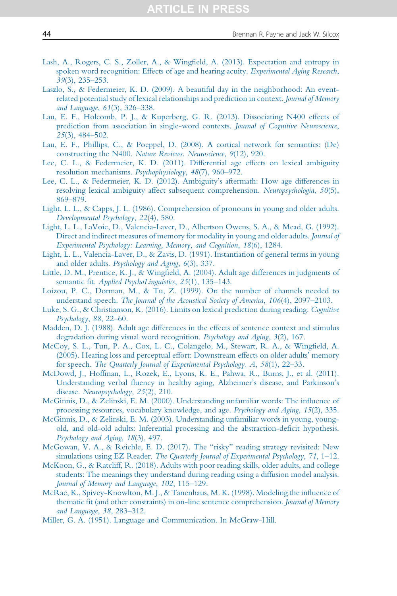- <span id="page-43-0"></span>[Lash, A., Rogers, C. S., Zoller, A., & Wingfield, A. \(2013\). Expectation and entropy in](http://refhub.elsevier.com/S0079-7421(19)30022-2/rf0385) [spoken word recognition: Effects of age and hearing acuity.](http://refhub.elsevier.com/S0079-7421(19)30022-2/rf0385) Experimental Aging Research, 39[\(3\), 235](http://refhub.elsevier.com/S0079-7421(19)30022-2/rf0385)–253.
- [Laszlo, S., & Federmeier, K. D. \(2009\). A beautiful day in the neighborhood: An event](http://refhub.elsevier.com/S0079-7421(19)30022-2/rf0390)[related potential study of lexical relationships and prediction in context.](http://refhub.elsevier.com/S0079-7421(19)30022-2/rf0390) Journal of Memory [and Language](http://refhub.elsevier.com/S0079-7421(19)30022-2/rf0390), 61(3), 326–338.
- [Lau, E. F., Holcomb, P. J., & Kuperberg, G. R. \(2013\). Dissociating N400 effects of](http://refhub.elsevier.com/S0079-7421(19)30022-2/rf0395) [prediction from association in single-word contexts.](http://refhub.elsevier.com/S0079-7421(19)30022-2/rf0395) Journal of Cognitive Neuroscience, 25[\(3\), 484](http://refhub.elsevier.com/S0079-7421(19)30022-2/rf0395)–502.
- [Lau, E. F., Phillips, C., & Poeppel, D. \(2008\). A cortical network for semantics: \(De\)](http://refhub.elsevier.com/S0079-7421(19)30022-2/rf0400) constructing the N400. [Nature Reviews. Neuroscience](http://refhub.elsevier.com/S0079-7421(19)30022-2/rf0400), 9(12), 920.
- [Lee, C. L., & Federmeier, K. D. \(2011\). Differential age effects on lexical ambiguity](http://refhub.elsevier.com/S0079-7421(19)30022-2/rf0405) [resolution mechanisms.](http://refhub.elsevier.com/S0079-7421(19)30022-2/rf0405) Psychophysiology, 48(7), 960–972.
- [Lee, C. L., & Federmeier, K. D. \(2012\). Ambiguity's aftermath: How age differences in](http://refhub.elsevier.com/S0079-7421(19)30022-2/rf0410) [resolving lexical ambiguity affect subsequent comprehension.](http://refhub.elsevier.com/S0079-7421(19)30022-2/rf0410) Neuropsychologia, 50(5), 869–[879.](http://refhub.elsevier.com/S0079-7421(19)30022-2/rf0410)
- [Light, L. L., & Capps, J. L. \(1986\). Comprehension of pronouns in young and older adults.](http://refhub.elsevier.com/S0079-7421(19)30022-2/rf0415) [Developmental Psychology](http://refhub.elsevier.com/S0079-7421(19)30022-2/rf0415), 22(4), 580.
- [Light, L. L., LaVoie, D., Valencia-Laver, D., Albertson Owens, S. A., & Mead, G. \(1992\).](http://refhub.elsevier.com/S0079-7421(19)30022-2/rf0420) [Direct and indirect measures of memory for modality in young and older adults.](http://refhub.elsevier.com/S0079-7421(19)30022-2/rf0420) Journal of [Experimental Psychology: Learning, Memory, and Cognition](http://refhub.elsevier.com/S0079-7421(19)30022-2/rf0420), 18(6), 1284.
- [Light, L. L., Valencia-Laver, D., & Zavis, D. \(1991\). Instantiation of general terms in young](http://refhub.elsevier.com/S0079-7421(19)30022-2/rf0425) and older adults. [Psychology and Aging](http://refhub.elsevier.com/S0079-7421(19)30022-2/rf0425), 6(3), 337.
- [Little, D. M., Prentice, K. J., & Wingfield, A. \(2004\). Adult age differences in judgments of](http://refhub.elsevier.com/S0079-7421(19)30022-2/rf0430) semantic fit. [Applied PsychoLinguistics](http://refhub.elsevier.com/S0079-7421(19)30022-2/rf0430), 25(1), 135-143.
- [Loizou, P. C., Dorman, M., & Tu, Z. \(1999\). On the number of channels needed to](http://refhub.elsevier.com/S0079-7421(19)30022-2/rf0435) understand speech. [The Journal of the Acoustical Society of America](http://refhub.elsevier.com/S0079-7421(19)30022-2/rf0435), 106(4), 2097–2103.
- [Luke, S. G., & Christianson, K. \(2016\). Limits on lexical prediction during reading.](http://refhub.elsevier.com/S0079-7421(19)30022-2/rf9045) Cognitive [Psychology](http://refhub.elsevier.com/S0079-7421(19)30022-2/rf9045), 88, 22–60.
- [Madden, D. J. \(1988\). Adult age differences in the effects of sentence context and stimulus](http://refhub.elsevier.com/S0079-7421(19)30022-2/rf0440) [degradation during visual word recognition.](http://refhub.elsevier.com/S0079-7421(19)30022-2/rf0440) Psychology and Aging, 3(2), 167.
- [McCoy, S. L., Tun, P. A., Cox, L. C., Colangelo, M., Stewart, R. A., & Wingfield, A.](http://refhub.elsevier.com/S0079-7421(19)30022-2/rf0445) [\(2005\). Hearing loss and perceptual effort: Downstream effects on older adults' memory](http://refhub.elsevier.com/S0079-7421(19)30022-2/rf0445) for speech. [The Quarterly Journal of Experimental Psychology. A](http://refhub.elsevier.com/S0079-7421(19)30022-2/rf0445), 58(1), 22–33.
- [McDowd, J., Hoffman, L., Rozek, E., Lyons, K. E., Pahwa, R., Burns, J., et al. \(2011\).](http://refhub.elsevier.com/S0079-7421(19)30022-2/rf0450) [Understanding verbal fluency in healthy aging, Alzheimer's disease, and Parkinson's](http://refhub.elsevier.com/S0079-7421(19)30022-2/rf0450) disease. [Neuropsychology](http://refhub.elsevier.com/S0079-7421(19)30022-2/rf0450), 25(2), 210.
- [McGinnis, D., & Zelinski, E. M. \(2000\). Understanding unfamiliar words: The influence of](http://refhub.elsevier.com/S0079-7421(19)30022-2/rf0455) [processing resources, vocabulary knowledge, and age.](http://refhub.elsevier.com/S0079-7421(19)30022-2/rf0455) Psychology and Aging, 15(2), 335.
- [McGinnis, D., & Zelinski, E. M. \(2003\). Understanding unfamiliar words in young, young](http://refhub.elsevier.com/S0079-7421(19)30022-2/rf0460)[old, and old-old adults: Inferential processing and the abstraction-deficit hypothesis.](http://refhub.elsevier.com/S0079-7421(19)30022-2/rf0460) [Psychology and Aging](http://refhub.elsevier.com/S0079-7421(19)30022-2/rf0460), 18(3), 497.
- [McGowan, V. A., & Reichle, E. D. \(2017\). The "risky" reading strategy revisited: New](http://refhub.elsevier.com/S0079-7421(19)30022-2/rf0465) simulations using EZ Reader. [The Quarterly Journal of Experimental Psychology](http://refhub.elsevier.com/S0079-7421(19)30022-2/rf0465), 71, 1–12.
- [McKoon, G., & Ratcliff, R. \(2018\). Adults with poor reading skills, older adults, and college](http://refhub.elsevier.com/S0079-7421(19)30022-2/rf0470) [students: The meanings they understand during reading using a diffusion model analysis.](http://refhub.elsevier.com/S0079-7421(19)30022-2/rf0470) [Journal of Memory and Language](http://refhub.elsevier.com/S0079-7421(19)30022-2/rf0470), 102, 115–129.
- [McRae, K., Spivey-Knowlton, M. J., & Tanenhaus, M. K. \(1998\). Modeling the influence of](http://refhub.elsevier.com/S0079-7421(19)30022-2/rf0475) [thematic fit \(and other constraints\) in on-line sentence comprehension.](http://refhub.elsevier.com/S0079-7421(19)30022-2/rf0475) Journal of Memory [and Language](http://refhub.elsevier.com/S0079-7421(19)30022-2/rf0475), 38, 283–312.
- [Miller, G. A. \(1951\). Language and Communication. In McGraw-Hill.](http://refhub.elsevier.com/S0079-7421(19)30022-2/rf9130)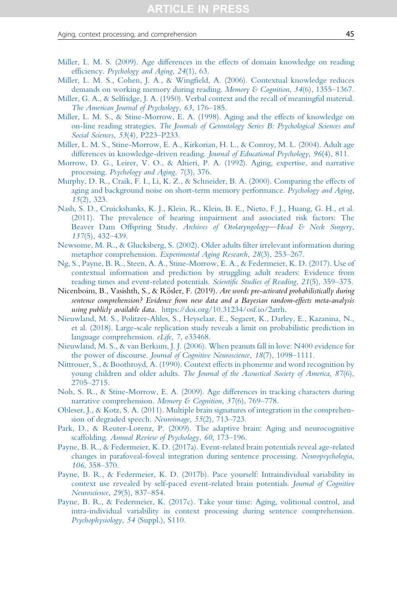#### <span id="page-44-0"></span>Aging, context processing, and comprehension **45** and the state of the state  $\overline{45}$

- [Miller, L. M. S. \(2009\). Age differences in the effects of domain knowledge on reading](http://refhub.elsevier.com/S0079-7421(19)30022-2/rf0480) efficiency. [Psychology and Aging](http://refhub.elsevier.com/S0079-7421(19)30022-2/rf0480), 24(1), 63.
- [Miller, L. M. S., Cohen, J. A., & Wingfield, A. \(2006\). Contextual knowledge reduces](http://refhub.elsevier.com/S0079-7421(19)30022-2/rf0485) [demands on working memory during reading.](http://refhub.elsevier.com/S0079-7421(19)30022-2/rf0485) Memory & Cognition, 34(6), 1355–1367.
- [Miller, G. A., & Selfridge, J. A. \(1950\). Verbal context and the recall of meaningful material.](http://refhub.elsevier.com/S0079-7421(19)30022-2/rf0490) [The American Journal of Psychology](http://refhub.elsevier.com/S0079-7421(19)30022-2/rf0490), 63, 176–185.
- [Miller, L. M. S., & Stine-Morrow, E. A. \(1998\). Aging and the effects of knowledge on](http://refhub.elsevier.com/S0079-7421(19)30022-2/rf0495) on-line reading strategies. [The Journals of Gerontology Series B: Psychological Sciences and](http://refhub.elsevier.com/S0079-7421(19)30022-2/rf0495) [Social Sciences](http://refhub.elsevier.com/S0079-7421(19)30022-2/rf0495), 53(4), P223–P233.
- [Miller, L. M. S., Stine-Morrow, E. A., Kirkorian, H. L., & Conroy, M. L. \(2004\). Adult age](http://refhub.elsevier.com/S0079-7421(19)30022-2/rf0500) [differences in knowledge-driven reading.](http://refhub.elsevier.com/S0079-7421(19)30022-2/rf0500) Journal of Educational Psychology, 96(4), 811.
- [Morrow, D. G., Leirer, V. O., & Altieri, P. A. \(1992\). Aging, expertise, and narrative](http://refhub.elsevier.com/S0079-7421(19)30022-2/rf0505) processing. [Psychology and Aging](http://refhub.elsevier.com/S0079-7421(19)30022-2/rf0505), 7(3), 376.
- [Murphy, D. R., Craik, F. I., Li, K. Z., & Schneider, B. A. \(2000\). Comparing the effects of](http://refhub.elsevier.com/S0079-7421(19)30022-2/rf0510) [aging and background noise on short-term memory performance.](http://refhub.elsevier.com/S0079-7421(19)30022-2/rf0510) Psychology and Aging, 15[\(2\), 323.](http://refhub.elsevier.com/S0079-7421(19)30022-2/rf0510)
- [Nash, S. D., Cruickshanks, K. J., Klein, R., Klein, B. E., Nieto, F. J., Huang, G. H., et al.](http://refhub.elsevier.com/S0079-7421(19)30022-2/rf0515) [\(2011\). The prevalence of hearing impairment and associated risk factors: The](http://refhub.elsevier.com/S0079-7421(19)30022-2/rf0515) Beaver Dam Offspring Study. [Archives of Otolaryngology—Head & Neck Surgery](http://refhub.elsevier.com/S0079-7421(19)30022-2/rf0515), 137[\(5\), 432](http://refhub.elsevier.com/S0079-7421(19)30022-2/rf0515)–439.
- [Newsome, M. R., & Glucksberg, S. \(2002\). Older adults filter irrelevant information during](http://refhub.elsevier.com/S0079-7421(19)30022-2/rf0520) metaphor comprehension. [Experimental Aging Research](http://refhub.elsevier.com/S0079-7421(19)30022-2/rf0520), 28(3), 253–267.
- [Ng, S., Payne, B. R., Steen, A. A., Stine-Morrow, E. A., & Federmeier, K. D. \(2017\). Use of](http://refhub.elsevier.com/S0079-7421(19)30022-2/rf9050) [contextual information and prediction by struggling adult readers: Evidence from](http://refhub.elsevier.com/S0079-7421(19)30022-2/rf9050) [reading times and event-related potentials.](http://refhub.elsevier.com/S0079-7421(19)30022-2/rf9050) Scientific Studies of Reading, 21(5), 359-375.
- Nicenboim, B., Vasishth, S., & Rösler, F. (2019). Are words pre-activated probabilistically during sentence comprehension? Evidence from new data and a Bayesian random-effects meta-analysis using publicly available data. [https://doi.org/10.31234/osf.io/2atrh.](https://doi.org/10.31234/osf.io/2atrh)
- [Nieuwland, M. S., Politzer-Ahles, S., Heyselaar, E., Segaert, K., Darley, E., Kazanina, N.,](http://refhub.elsevier.com/S0079-7421(19)30022-2/rf0530) [et al. \(2018\). Large-scale replication study reveals a limit on probabilistic prediction in](http://refhub.elsevier.com/S0079-7421(19)30022-2/rf0530) [language comprehension.](http://refhub.elsevier.com/S0079-7421(19)30022-2/rf0530) eLife, 7, e33468.
- [Nieuwland, M. S., & van Berkum, J. J. \(2006\). When peanuts fall in love: N400 evidence for](http://refhub.elsevier.com/S0079-7421(19)30022-2/rf0535) the power of discourse. [Journal of Cognitive Neuroscience](http://refhub.elsevier.com/S0079-7421(19)30022-2/rf0535), 18(7), 1098–1111.
- [Nittrouer, S., & Boothroyd, A. \(1990\). Context effects in phoneme and word recognition by](http://refhub.elsevier.com/S0079-7421(19)30022-2/rf0540) young children and older adults. [The Journal of the Acoustical Society of America](http://refhub.elsevier.com/S0079-7421(19)30022-2/rf0540), 87(6), 2705–[2715.](http://refhub.elsevier.com/S0079-7421(19)30022-2/rf0540)
- [Noh, S. R., & Stine-Morrow, E. A. \(2009\). Age differences in tracking characters during](http://refhub.elsevier.com/S0079-7421(19)30022-2/rf0545) [narrative comprehension.](http://refhub.elsevier.com/S0079-7421(19)30022-2/rf0545) Memory & Cognition, 37(6), 769-778.
- [Obleser, J., & Kotz, S. A. \(2011\). Multiple brain signatures of integration in the comprehen](http://refhub.elsevier.com/S0079-7421(19)30022-2/rf9055)[sion of degraded speech.](http://refhub.elsevier.com/S0079-7421(19)30022-2/rf9055) Neuroimage, 55(2), 713–723.
- [Park, D., & Reuter-Lorenz, P. \(2009\). The adaptive brain: Aging and neurocognitive](http://refhub.elsevier.com/S0079-7421(19)30022-2/rf9060) scaffolding. [Annual Review of Psychology](http://refhub.elsevier.com/S0079-7421(19)30022-2/rf9060), 60, 173–196.
- [Payne, B. R., & Federmeier, K. D. \(2017a\). Event-related brain potentials reveal age-related](http://refhub.elsevier.com/S0079-7421(19)30022-2/rf0550) [changes in parafoveal-foveal integration during sentence processing.](http://refhub.elsevier.com/S0079-7421(19)30022-2/rf0550) Neuropsychologia, 106[, 358](http://refhub.elsevier.com/S0079-7421(19)30022-2/rf0550)–370.
- [Payne, B. R., & Federmeier, K. D. \(2017b\). Pace yourself: Intraindividual variability in](http://refhub.elsevier.com/S0079-7421(19)30022-2/rf0555) [context use revealed by self-paced event-related brain potentials.](http://refhub.elsevier.com/S0079-7421(19)30022-2/rf0555) Journal of Cognitive [Neuroscience](http://refhub.elsevier.com/S0079-7421(19)30022-2/rf0555), 29(5), 837–854.
- [Payne, B. R., & Federmeier, K. \(2017c\). Take your time: Aging, volitional control, and](http://refhub.elsevier.com/S0079-7421(19)30022-2/rf9065) [intra-individual variability in context processing during sentence comprehension.](http://refhub.elsevier.com/S0079-7421(19)30022-2/rf9065) [Psychophysiology](http://refhub.elsevier.com/S0079-7421(19)30022-2/rf9065), 54 (Suppl.), S110.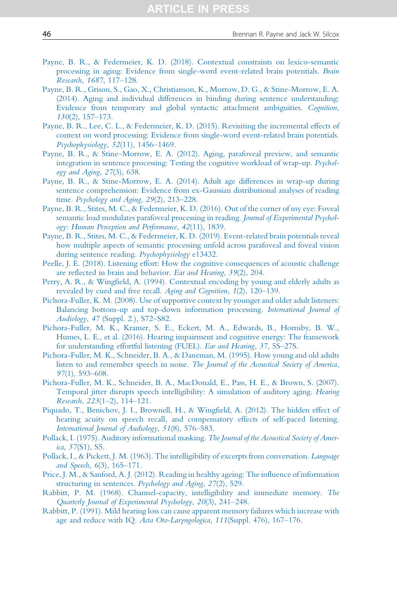- <span id="page-45-0"></span>[Payne, B. R., & Federmeier, K. D. \(2018\). Contextual constraints on lexico-semantic](http://refhub.elsevier.com/S0079-7421(19)30022-2/rf0560) [processing in aging: Evidence from single-word event-related brain potentials.](http://refhub.elsevier.com/S0079-7421(19)30022-2/rf0560) Brain [Research](http://refhub.elsevier.com/S0079-7421(19)30022-2/rf0560), 1687, 117–128.
- [Payne, B. R., Grison, S., Gao, X., Christianson, K., Morrow, D. G., & Stine-Morrow, E. A.](http://refhub.elsevier.com/S0079-7421(19)30022-2/rf0565) [\(2014\). Aging and individual differences in binding during sentence understanding:](http://refhub.elsevier.com/S0079-7421(19)30022-2/rf0565) [Evidence from temporary and global syntactic attachment ambiguities.](http://refhub.elsevier.com/S0079-7421(19)30022-2/rf0565) Cognition, 130[\(2\), 157](http://refhub.elsevier.com/S0079-7421(19)30022-2/rf0565)–173.
- [Payne, B. R., Lee, C. L., & Federmeier, K. D. \(2015\). Revisiting the incremental effects of](http://refhub.elsevier.com/S0079-7421(19)30022-2/rf0570) [context on word processing: Evidence from single-word event-related brain potentials.](http://refhub.elsevier.com/S0079-7421(19)30022-2/rf0570) [Psychophysiology](http://refhub.elsevier.com/S0079-7421(19)30022-2/rf0570), 52(11), 1456–1469.
- Payne, B. R., & Stine–[Morrow, E. A. \(2012\). Aging, parafoveal preview, and semantic](http://refhub.elsevier.com/S0079-7421(19)30022-2/rf0575) [integration in sentence processing: Testing the cognitive workload of wrap-up.](http://refhub.elsevier.com/S0079-7421(19)30022-2/rf0575) Psychol[ogy and Aging](http://refhub.elsevier.com/S0079-7421(19)30022-2/rf0575), 27(3), 638.
- [Payne, B. R., & Stine-Morrow, E. A. \(2014\). Adult age differences in wrap-up during](http://refhub.elsevier.com/S0079-7421(19)30022-2/rf9070) [sentence comprehension: Evidence from ex-Gaussian distributional analyses of reading](http://refhub.elsevier.com/S0079-7421(19)30022-2/rf9070) time. [Psychology and Aging](http://refhub.elsevier.com/S0079-7421(19)30022-2/rf9070), 29(2), 213–228.
- [Payne, B. R., Stites, M. C., & Federmeier, K. D. \(2016\). Out of the corner of my eye: Foveal](http://refhub.elsevier.com/S0079-7421(19)30022-2/rf0580) [semantic load modulates parafoveal processing in reading.](http://refhub.elsevier.com/S0079-7421(19)30022-2/rf0580) Journal of Experimental Psychol[ogy: Human Perception and Performance](http://refhub.elsevier.com/S0079-7421(19)30022-2/rf0580), 42(11), 1839.
- [Payne, B. R., Stites, M. C., & Federmeier, K. D. \(2019\). Event-related brain potentials reveal](http://refhub.elsevier.com/S0079-7421(19)30022-2/rf9075) [how multiple aspects of semantic processing unfold across parafoveal and foveal vision](http://refhub.elsevier.com/S0079-7421(19)30022-2/rf9075) [during sentence reading.](http://refhub.elsevier.com/S0079-7421(19)30022-2/rf9075) Psychophysiology e13432.
- [Peelle, J. E. \(2018\). Listening effort: How the cognitive consequences of acoustic challenge](http://refhub.elsevier.com/S0079-7421(19)30022-2/rf0585) [are reflected in brain and behavior.](http://refhub.elsevier.com/S0079-7421(19)30022-2/rf0585) Ear and Hearing, 39(2), 204.
- [Perry, A. R., & Wingfield, A. \(1994\). Contextual encoding by young and elderly adults as](http://refhub.elsevier.com/S0079-7421(19)30022-2/rf0590) [revealed by cued and free recall.](http://refhub.elsevier.com/S0079-7421(19)30022-2/rf0590) Aging and Cognition, 1(2), 120-139.
- [Pichora-Fuller, K. M. \(2008\). Use of supportive context by younger and older adult listeners:](http://refhub.elsevier.com/S0079-7421(19)30022-2/rf9080) [Balancing bottom-up and top-down information processing.](http://refhub.elsevier.com/S0079-7421(19)30022-2/rf9080) International Journal of Audiology, 47 [\(Suppl. 2.\), S72](http://refhub.elsevier.com/S0079-7421(19)30022-2/rf9080)–S82.
- [Pichora-Fuller, M. K., Kramer, S. E., Eckert, M. A., Edwards, B., Hornsby, B. W.,](http://refhub.elsevier.com/S0079-7421(19)30022-2/rf0595) [Humes, L. E., et al. \(2016\). Hearing impairment and cognitive energy: The framework](http://refhub.elsevier.com/S0079-7421(19)30022-2/rf0595) [for understanding effortful listening \(FUEL\).](http://refhub.elsevier.com/S0079-7421(19)30022-2/rf0595) Ear and Hearing, 37, 5S–27S.
- [Pichora-Fuller, M. K., Schneider, B. A., & Daneman, M. \(1995\). How young and old adults](http://refhub.elsevier.com/S0079-7421(19)30022-2/rf0600) listen to and remember speech in noise. [The Journal of the Acoustical Society of America](http://refhub.elsevier.com/S0079-7421(19)30022-2/rf0600), 97[\(1\), 593](http://refhub.elsevier.com/S0079-7421(19)30022-2/rf0600)–608.
- [Pichora-Fuller, M. K., Schneider, B. A., MacDonald, E., Pass, H. E., & Brown, S. \(2007\).](http://refhub.elsevier.com/S0079-7421(19)30022-2/rf0605) [Temporal jitter disrupts speech intelligibility: A simulation of auditory aging.](http://refhub.elsevier.com/S0079-7421(19)30022-2/rf0605) Hearing [Research](http://refhub.elsevier.com/S0079-7421(19)30022-2/rf0605), 223(1–2), 114–121.
- [Piquado, T., Benichov, J. I., Brownell, H., & Wingfield, A. \(2012\). The hidden effect of](http://refhub.elsevier.com/S0079-7421(19)30022-2/rf9085) [hearing acuity on speech recall, and compensatory effects of self-paced listening.](http://refhub.elsevier.com/S0079-7421(19)30022-2/rf9085) [International Journal of Audiology](http://refhub.elsevier.com/S0079-7421(19)30022-2/rf9085), 51(8), 576–583.
- [Pollack, I. \(1975\). Auditory informational masking.](http://refhub.elsevier.com/S0079-7421(19)30022-2/rf0610) The Journal of the Acoustical Society of America, 57[\(S1\), S5.](http://refhub.elsevier.com/S0079-7421(19)30022-2/rf0610)
- [Pollack, I., & Pickett, J. M. \(1963\). The intelligibility of excerpts from conversation.](http://refhub.elsevier.com/S0079-7421(19)30022-2/rf0615) Language [and Speech](http://refhub.elsevier.com/S0079-7421(19)30022-2/rf0615), 6(3), 165–171.
- [Price, J. M., & Sanford, A. J. \(2012\). Reading in healthy ageing: The influence of information](http://refhub.elsevier.com/S0079-7421(19)30022-2/rf0620) [structuring in sentences.](http://refhub.elsevier.com/S0079-7421(19)30022-2/rf0620) Psychology and Aging, 27(2), 529.
- [Rabbitt, P. M. \(1968\). Channel-capacity, intelligibility and immediate memory.](http://refhub.elsevier.com/S0079-7421(19)30022-2/rf0625) The [Quarterly Journal of Experimental Psychology](http://refhub.elsevier.com/S0079-7421(19)30022-2/rf0625), 20(3), 241–248.
- [Rabbitt, P. \(1991\). Mild hearing loss can cause apparent memory failures which increase with](http://refhub.elsevier.com/S0079-7421(19)30022-2/rf0630) [age and reduce with IQ.](http://refhub.elsevier.com/S0079-7421(19)30022-2/rf0630) Acta Oto-Laryngologica, 111(Suppl. 476), 167–176.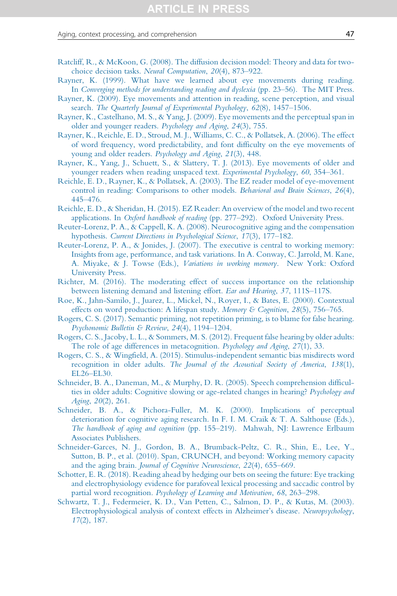#### <span id="page-46-0"></span>Aging, context processing, and comprehension 47

- [Ratcliff, R., & McKoon, G. \(2008\). The diffusion decision model: Theory and data for two](http://refhub.elsevier.com/S0079-7421(19)30022-2/rf0635)[choice decision tasks.](http://refhub.elsevier.com/S0079-7421(19)30022-2/rf0635) Neural Computation, 20(4), 873–922.
- [Rayner, K. \(1999\). What have we learned about eye movements during reading.](http://refhub.elsevier.com/S0079-7421(19)30022-2/rf0640) In [Converging methods for understanding reading and dyslexia](http://refhub.elsevier.com/S0079-7421(19)30022-2/rf0640) (pp. 23–56). The MIT Press.
- [Rayner, K. \(2009\). Eye movements and attention in reading, scene perception, and visual](http://refhub.elsevier.com/S0079-7421(19)30022-2/rf0645) search. [The Quarterly Journal of Experimental Psychology](http://refhub.elsevier.com/S0079-7421(19)30022-2/rf0645), 62(8), 1457-1506.
- [Rayner, K., Castelhano, M. S., & Yang, J. \(2009\). Eye movements and the perceptual span in](http://refhub.elsevier.com/S0079-7421(19)30022-2/rf0650) [older and younger readers.](http://refhub.elsevier.com/S0079-7421(19)30022-2/rf0650) Psychology and Aging, 24(3), 755.
- [Rayner, K., Reichle, E. D., Stroud, M. J., Williams, C. C., & Pollatsek, A. \(2006\). The effect](http://refhub.elsevier.com/S0079-7421(19)30022-2/rf0655) [of word frequency, word predictability, and font difficulty on the eye movements of](http://refhub.elsevier.com/S0079-7421(19)30022-2/rf0655) [young and older readers.](http://refhub.elsevier.com/S0079-7421(19)30022-2/rf0655) Psychology and Aging, 21(3), 448.
- [Rayner, K., Yang, J., Schuett, S., & Slattery, T. J. \(2013\). Eye movements of older and](http://refhub.elsevier.com/S0079-7421(19)30022-2/rf0660) [younger readers when reading unspaced text.](http://refhub.elsevier.com/S0079-7421(19)30022-2/rf0660) Experimental Psychology, 60, 354–361.
- [Reichle, E. D., Rayner, K., & Pollatsek, A. \(2003\). The EZ reader model of eye-movement](http://refhub.elsevier.com/S0079-7421(19)30022-2/rf0665) [control in reading: Comparisons to other models.](http://refhub.elsevier.com/S0079-7421(19)30022-2/rf0665) Behavioral and Brain Sciences, 26(4), 445–[476.](http://refhub.elsevier.com/S0079-7421(19)30022-2/rf0665)
- [Reichle, E. D., & Sheridan, H. \(2015\). EZ Reader: An overview of the model and two recent](http://refhub.elsevier.com/S0079-7421(19)30022-2/rf0670) applications. In Oxford handbook of reading (pp. 277–[292\). Oxford University Press.](http://refhub.elsevier.com/S0079-7421(19)30022-2/rf0670)
- [Reuter-Lorenz, P. A., & Cappell, K. A. \(2008\). Neurocognitive aging and the compensation](http://refhub.elsevier.com/S0079-7421(19)30022-2/rf9090) hypothesis. [Current Directions in Psychological Science](http://refhub.elsevier.com/S0079-7421(19)30022-2/rf9090), 17(3), 177–182.
- [Reuter-Lorenz, P. A., & Jonides, J. \(2007\). The executive is central to working memory:](http://refhub.elsevier.com/S0079-7421(19)30022-2/rf9095) [Insights from age, performance, and task variations. In A. Conway, C. Jarrold, M. Kane,](http://refhub.elsevier.com/S0079-7421(19)30022-2/rf9095) [A. Miyake, & J. Towse \(Eds.\),](http://refhub.elsevier.com/S0079-7421(19)30022-2/rf9095) Variations in working memory. New York: Oxford [University Press.](http://refhub.elsevier.com/S0079-7421(19)30022-2/rf9095)
- [Richter, M. \(2016\). The moderating effect of success importance on the relationship](http://refhub.elsevier.com/S0079-7421(19)30022-2/rf0675) [between listening demand and listening effort.](http://refhub.elsevier.com/S0079-7421(19)30022-2/rf0675) Ear and Hearing, 37, 111S–117S.
- [Roe, K., Jahn-Samilo, J., Juarez, L., Mickel, N., Royer, I., & Bates, E. \(2000\). Contextual](http://refhub.elsevier.com/S0079-7421(19)30022-2/rf0680) [effects on word production: A lifespan study.](http://refhub.elsevier.com/S0079-7421(19)30022-2/rf0680) Memory & Cognition, 28(5), 756–765.
- [Rogers, C. S. \(2017\). Semantic priming, not repetition priming, is to blame for false hearing.](http://refhub.elsevier.com/S0079-7421(19)30022-2/rf0685) [Psychonomic Bulletin & Review](http://refhub.elsevier.com/S0079-7421(19)30022-2/rf0685), 24(4), 1194–1204.
- [Rogers, C. S., Jacoby, L. L., & Sommers, M. S. \(2012\). Frequent false hearing by older adults:](http://refhub.elsevier.com/S0079-7421(19)30022-2/rf0690) [The role of age differences in metacognition.](http://refhub.elsevier.com/S0079-7421(19)30022-2/rf0690) Psychology and Aging, 27(1), 33.
- [Rogers, C. S., & Wingfield, A. \(2015\). Stimulus-independent semantic bias misdirects word](http://refhub.elsevier.com/S0079-7421(19)30022-2/rf0695) recognition in older adults. [The Journal of the Acoustical Society of America](http://refhub.elsevier.com/S0079-7421(19)30022-2/rf0695), 138(1), EL26–[EL30.](http://refhub.elsevier.com/S0079-7421(19)30022-2/rf0695)
- [Schneider, B. A., Daneman, M., & Murphy, D. R. \(2005\). Speech comprehension difficul](http://refhub.elsevier.com/S0079-7421(19)30022-2/rf0700)[ties in older adults: Cognitive slowing or age-related changes in hearing?](http://refhub.elsevier.com/S0079-7421(19)30022-2/rf0700) Psychology and Aging, 20[\(2\), 261.](http://refhub.elsevier.com/S0079-7421(19)30022-2/rf0700)
- [Schneider, B. A., & Pichora-Fuller, M. K. \(2000\). Implications of perceptual](http://refhub.elsevier.com/S0079-7421(19)30022-2/rf0705) [deterioration for cognitive aging research. In F. I. M. Craik & T. A. Salthouse \(Eds.\),](http://refhub.elsevier.com/S0079-7421(19)30022-2/rf0705) The handbook of aging and cognition (pp. 155–[219\). Mahwah, NJ: Lawrence Erlbaum](http://refhub.elsevier.com/S0079-7421(19)30022-2/rf0705) [Associates Publishers.](http://refhub.elsevier.com/S0079-7421(19)30022-2/rf0705)
- [Schneider-Garces, N. J., Gordon, B. A., Brumback-Peltz, C. R., Shin, E., Lee, Y.,](http://refhub.elsevier.com/S0079-7421(19)30022-2/rf9100) [Sutton, B. P., et al. \(2010\). Span, CRUNCH, and beyond: Working memory capacity](http://refhub.elsevier.com/S0079-7421(19)30022-2/rf9100) and the aging brain. [Journal of Cognitive Neuroscience](http://refhub.elsevier.com/S0079-7421(19)30022-2/rf9100), 22(4), 655–669.
- [Schotter, E. R. \(2018\). Reading ahead by hedging our bets on seeing the future: Eye tracking](http://refhub.elsevier.com/S0079-7421(19)30022-2/rf9105) [and electrophysiology evidence for parafoveal lexical processing and saccadic control by](http://refhub.elsevier.com/S0079-7421(19)30022-2/rf9105) partial word recognition. [Psychology of Learning and Motivation](http://refhub.elsevier.com/S0079-7421(19)30022-2/rf9105), 68, 263–298.
- [Schwartz, T. J., Federmeier, K. D., Van Petten, C., Salmon, D. P., & Kutas, M. \(2003\).](http://refhub.elsevier.com/S0079-7421(19)30022-2/rf0710) [Electrophysiological analysis of context effects in Alzheimer's disease.](http://refhub.elsevier.com/S0079-7421(19)30022-2/rf0710) Neuropsychology, 17[\(2\), 187.](http://refhub.elsevier.com/S0079-7421(19)30022-2/rf0710)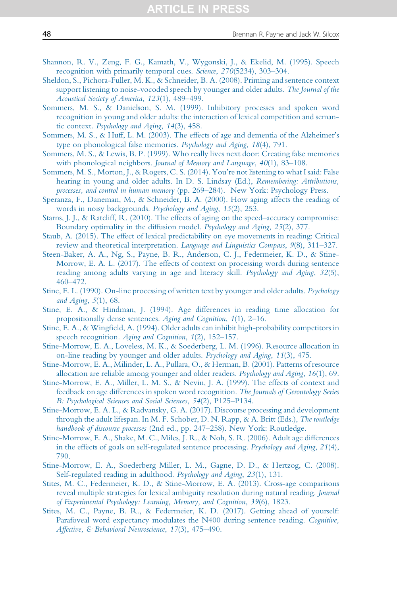- <span id="page-47-0"></span>[Shannon, R. V., Zeng, F. G., Kamath, V., Wygonski, J., & Ekelid, M. \(1995\). Speech](http://refhub.elsevier.com/S0079-7421(19)30022-2/rf0715) [recognition with primarily temporal cues.](http://refhub.elsevier.com/S0079-7421(19)30022-2/rf0715) Science, 270(5234), 303–304.
- [Sheldon, S., Pichora-Fuller, M. K., & Schneider, B. A. \(2008\). Priming and sentence context](http://refhub.elsevier.com/S0079-7421(19)30022-2/rf0720) [support listening to noise-vocoded speech by younger and older adults.](http://refhub.elsevier.com/S0079-7421(19)30022-2/rf0720) The Journal of the [Acoustical Society of America](http://refhub.elsevier.com/S0079-7421(19)30022-2/rf0720), 123(1), 489–499.
- [Sommers, M. S., & Danielson, S. M. \(1999\). Inhibitory processes and spoken word](http://refhub.elsevier.com/S0079-7421(19)30022-2/rf0725) [recognition in young and older adults: the interaction of lexical competition and seman](http://refhub.elsevier.com/S0079-7421(19)30022-2/rf0725)tic context. [Psychology and Aging](http://refhub.elsevier.com/S0079-7421(19)30022-2/rf0725), 14(3), 458.
- [Sommers, M. S., & Huff, L. M. \(2003\). The effects of age and dementia of the Alzheimer's](http://refhub.elsevier.com/S0079-7421(19)30022-2/rf0730) [type on phonological false memories.](http://refhub.elsevier.com/S0079-7421(19)30022-2/rf0730) Psychology and Aging, 18(4), 791.
- [Sommers, M. S., & Lewis, B. P. \(1999\). Who really lives next door: Creating false memories](http://refhub.elsevier.com/S0079-7421(19)30022-2/rf9110) with phonological neighbors. [Journal of Memory and Language](http://refhub.elsevier.com/S0079-7421(19)30022-2/rf9110), 40(1), 83-108.
- [Sommers, M. S., Morton, J., & Rogers, C. S. \(2014\). You're not listening to what I said: False](http://refhub.elsevier.com/S0079-7421(19)30022-2/rf0735) [hearing in young and older adults. In D. S. Lindsay \(Ed.\),](http://refhub.elsevier.com/S0079-7421(19)30022-2/rf0735) Remembering: Attributions, processes, and control in human memory (pp. 269–[284\). New York: Psychology Press.](http://refhub.elsevier.com/S0079-7421(19)30022-2/rf0735)
- [Speranza, F., Daneman, M., & Schneider, B. A. \(2000\). How aging affects the reading of](http://refhub.elsevier.com/S0079-7421(19)30022-2/rf0740) [words in noisy backgrounds.](http://refhub.elsevier.com/S0079-7421(19)30022-2/rf0740) Psychology and Aging, 15(2), 253.
- [Starns, J. J., & Ratcliff, R. \(2010\). The effects of aging on the speed](http://refhub.elsevier.com/S0079-7421(19)30022-2/rf0745)–accuracy compromise: [Boundary optimality in the diffusion model.](http://refhub.elsevier.com/S0079-7421(19)30022-2/rf0745) Psychology and Aging, 25(2), 377.
- [Staub, A. \(2015\). The effect of lexical predictability on eye movements in reading: Critical](http://refhub.elsevier.com/S0079-7421(19)30022-2/rf0750) [review and theoretical interpretation.](http://refhub.elsevier.com/S0079-7421(19)30022-2/rf0750) Language and Linguistics Compass, 9(8), 311–327.
- [Steen-Baker, A. A., Ng, S., Payne, B. R., Anderson, C. J., Federmeier, K. D., & Stine-](http://refhub.elsevier.com/S0079-7421(19)30022-2/rf0755)[Morrow, E. A. L. \(2017\). The effects of context on processing words during sentence](http://refhub.elsevier.com/S0079-7421(19)30022-2/rf0755) [reading among adults varying in age and literacy skill.](http://refhub.elsevier.com/S0079-7421(19)30022-2/rf0755) Psychology and Aging, 32(5), 460–[472.](http://refhub.elsevier.com/S0079-7421(19)30022-2/rf0755)
- [Stine, E. L. \(1990\). On-line processing of written text by younger and older adults.](http://refhub.elsevier.com/S0079-7421(19)30022-2/rf0760) Psychology [and Aging](http://refhub.elsevier.com/S0079-7421(19)30022-2/rf0760), 5(1), 68.
- [Stine, E. A., & Hindman, J. \(1994\). Age differences in reading time allocation for](http://refhub.elsevier.com/S0079-7421(19)30022-2/rf0765) [propositionally dense sentences.](http://refhub.elsevier.com/S0079-7421(19)30022-2/rf0765) Aging and Cognition, 1(1), 2–16.
- [Stine, E. A., & Wingfield, A. \(1994\). Older adults can inhibit high-probability competitors in](http://refhub.elsevier.com/S0079-7421(19)30022-2/rf0770) [speech recognition.](http://refhub.elsevier.com/S0079-7421(19)30022-2/rf0770) Aging and Cognition, 1(2), 152–157.
- [Stine-Morrow, E. A., Loveless, M. K., & Soederberg, L. M. \(1996\). Resource allocation in](http://refhub.elsevier.com/S0079-7421(19)30022-2/rf0775) [on-line reading by younger and older adults.](http://refhub.elsevier.com/S0079-7421(19)30022-2/rf0775) Psychology and Aging, 11(3), 475.
- [Stine-Morrow, E. A., Milinder, L. A., Pullara, O., & Herman, B. \(2001\). Patterns of resource](http://refhub.elsevier.com/S0079-7421(19)30022-2/rf0780) [allocation are reliable among younger and older readers.](http://refhub.elsevier.com/S0079-7421(19)30022-2/rf0780) Psychology and Aging, 16(1), 69.
- [Stine-Morrow, E. A., Miller, L. M. S., & Nevin, J. A. \(1999\). The effects of context and](http://refhub.elsevier.com/S0079-7421(19)30022-2/rf0785) [feedback on age differences in spoken word recognition.](http://refhub.elsevier.com/S0079-7421(19)30022-2/rf0785) The Journals of Gerontology Series [B: Psychological Sciences and Social Sciences](http://refhub.elsevier.com/S0079-7421(19)30022-2/rf0785), 54(2), P125–P134.
- [Stine-Morrow, E. A. L., & Radvansky, G. A. \(2017\). Discourse processing and development](http://refhub.elsevier.com/S0079-7421(19)30022-2/rf0790) [through the adult lifespan. In M. F. Schober, D. N. Rapp, & A. Britt \(Eds.\),](http://refhub.elsevier.com/S0079-7421(19)30022-2/rf0790) The routledge handbook of discourse processes (2nd ed., pp. 247–[258\). New York: Routledge.](http://refhub.elsevier.com/S0079-7421(19)30022-2/rf0790)
- [Stine-Morrow, E. A., Shake, M. C., Miles, J. R., & Noh, S. R. \(2006\). Adult age differences](http://refhub.elsevier.com/S0079-7421(19)30022-2/rf0795) [in the effects of goals on self-regulated sentence processing.](http://refhub.elsevier.com/S0079-7421(19)30022-2/rf0795) Psychology and Aging, 21(4), [790.](http://refhub.elsevier.com/S0079-7421(19)30022-2/rf0795)
- [Stine-Morrow, E. A., Soederberg Miller, L. M., Gagne, D. D., & Hertzog, C. \(2008\).](http://refhub.elsevier.com/S0079-7421(19)30022-2/rf0800) [Self-regulated reading in adulthood.](http://refhub.elsevier.com/S0079-7421(19)30022-2/rf0800) Psychology and Aging, 23(1), 131.
- [Stites, M. C., Federmeier, K. D., & Stine-Morrow, E. A. \(2013\). Cross-age comparisons](http://refhub.elsevier.com/S0079-7421(19)30022-2/rf0805) [reveal multiple strategies for lexical ambiguity resolution during natural reading.](http://refhub.elsevier.com/S0079-7421(19)30022-2/rf0805) Journal [of Experimental Psychology: Learning, Memory, and Cognition](http://refhub.elsevier.com/S0079-7421(19)30022-2/rf0805), 39(6), 1823.
- [Stites, M. C., Payne, B. R., & Federmeier, K. D. \(2017\). Getting ahead of yourself:](http://refhub.elsevier.com/S0079-7421(19)30022-2/rf0810) [Parafoveal word expectancy modulates the N400 during sentence reading.](http://refhub.elsevier.com/S0079-7421(19)30022-2/rf0810) Cognitive, [Affective, & Behavioral Neuroscience](http://refhub.elsevier.com/S0079-7421(19)30022-2/rf0810), 17(3), 475–490.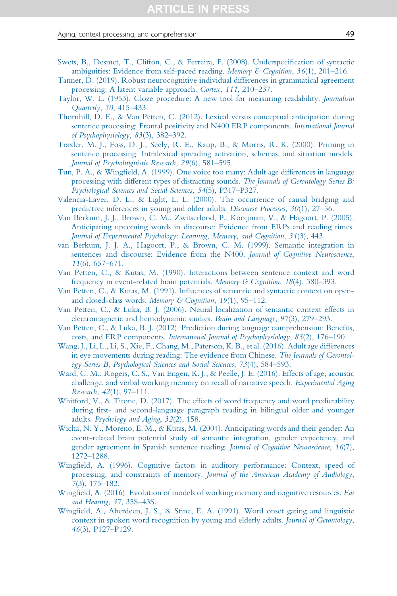#### <span id="page-48-0"></span>Aging, context processing, and comprehension **49** and the state of the state  $\overline{49}$

- [Swets, B., Desmet, T., Clifton, C., & Ferreira, F. \(2008\). Underspecification of syntactic](http://refhub.elsevier.com/S0079-7421(19)30022-2/rf0815) [ambiguities: Evidence from self-paced reading.](http://refhub.elsevier.com/S0079-7421(19)30022-2/rf0815) Memory & Cognition,  $36(1)$ , 201–216.
- [Tanner, D. \(2019\). Robust neurocognitive individual differences in grammatical agreement](http://refhub.elsevier.com/S0079-7421(19)30022-2/rf9115) [processing: A latent variable approach.](http://refhub.elsevier.com/S0079-7421(19)30022-2/rf9115) Cortex, 111, 210–237.
- [Taylor, W. L. \(1953\). Cloze procedure: A new tool for measuring readability.](http://refhub.elsevier.com/S0079-7421(19)30022-2/rf9120) Journalism [Quarterly](http://refhub.elsevier.com/S0079-7421(19)30022-2/rf9120), 30, 415–433.
- [Thornhill, D. E., & Van Petten, C. \(2012\). Lexical versus conceptual anticipation during](http://refhub.elsevier.com/S0079-7421(19)30022-2/rf0820) [sentence processing: Frontal positivity and N400 ERP components.](http://refhub.elsevier.com/S0079-7421(19)30022-2/rf0820) International Journal [of Psychophysiology](http://refhub.elsevier.com/S0079-7421(19)30022-2/rf0820), 83(3), 382–392.
- [Traxler, M. J., Foss, D. J., Seely, R. E., Kaup, B., & Morris, R. K. \(2000\). Priming in](http://refhub.elsevier.com/S0079-7421(19)30022-2/rf0825) [sentence processing: Intralexical spreading activation, schemas, and situation models.](http://refhub.elsevier.com/S0079-7421(19)30022-2/rf0825) [Journal of Psycholinguistic Research](http://refhub.elsevier.com/S0079-7421(19)30022-2/rf0825), 29(6), 581–595.
- [Tun, P. A., & Wingfield, A. \(1999\). One voice too many: Adult age differences in language](http://refhub.elsevier.com/S0079-7421(19)30022-2/rf0830) [processing with different types of distracting sounds.](http://refhub.elsevier.com/S0079-7421(19)30022-2/rf0830) The Journals of Gerontology Series B: [Psychological Sciences and Social Sciences](http://refhub.elsevier.com/S0079-7421(19)30022-2/rf0830), 54(5), P317–P327.
- [Valencia-Laver, D. L., & Light, L. L. \(2000\). The occurrence of causal bridging and](http://refhub.elsevier.com/S0079-7421(19)30022-2/rf0835) [predictive inferences in young and older adults.](http://refhub.elsevier.com/S0079-7421(19)30022-2/rf0835) Discourse Processes, 30(1), 27–56.
- [Van Berkum, J. J., Brown, C. M., Zwitserlood, P., Kooijman, V., & Hagoort, P. \(2005\).](http://refhub.elsevier.com/S0079-7421(19)30022-2/rf0840) [Anticipating upcoming words in discourse: Evidence from ERPs and reading times.](http://refhub.elsevier.com/S0079-7421(19)30022-2/rf0840) [Journal of Experimental Psychology: Learning, Memory, and Cognition](http://refhub.elsevier.com/S0079-7421(19)30022-2/rf0840), 31(3), 443.
- [van Berkum, J. J. A., Hagoort, P., & Brown, C. M. \(1999\). Semantic integration in](http://refhub.elsevier.com/S0079-7421(19)30022-2/rf0845) [sentences and discourse: Evidence from the N400.](http://refhub.elsevier.com/S0079-7421(19)30022-2/rf0845) Journal of Cognitive Neuroscience, 11[\(6\), 657](http://refhub.elsevier.com/S0079-7421(19)30022-2/rf0845)–671.
- [Van Petten, C., & Kutas, M. \(1990\). Interactions between sentence context and word](http://refhub.elsevier.com/S0079-7421(19)30022-2/rf0850) [frequency in event-related brain potentials.](http://refhub.elsevier.com/S0079-7421(19)30022-2/rf0850) Memory & Cognition, 18(4), 380–393.
- [Van Petten, C., & Kutas, M. \(1991\). Influences of semantic and syntactic context on open](http://refhub.elsevier.com/S0079-7421(19)30022-2/rf0855)[and closed-class words.](http://refhub.elsevier.com/S0079-7421(19)30022-2/rf0855) Memory & Cognition, 19(1), 95–112.
- [Van Petten, C., & Luka, B. J. \(2006\). Neural localization of semantic context effects in](http://refhub.elsevier.com/S0079-7421(19)30022-2/rf0860) [electromagnetic and hemodynamic studies.](http://refhub.elsevier.com/S0079-7421(19)30022-2/rf0860) Brain and Language, 97(3), 279–293.
- [Van Petten, C., & Luka, B. J. \(2012\). Prediction during language comprehension: Benefits,](http://refhub.elsevier.com/S0079-7421(19)30022-2/rf0865) costs, and ERP components. [International Journal of Psychophysiology](http://refhub.elsevier.com/S0079-7421(19)30022-2/rf0865), 83(2), 176–190.
- [Wang, J., Li, L., Li, S., Xie, F., Chang, M., Paterson, K. B., et al. \(2016\). Adult age differences](http://refhub.elsevier.com/S0079-7421(19)30022-2/rf0870) [in eye movements during reading: The evidence from Chinese.](http://refhub.elsevier.com/S0079-7421(19)30022-2/rf0870) The Journals of Gerontol[ogy Series B, Psychological Sciences and Social Sciences](http://refhub.elsevier.com/S0079-7421(19)30022-2/rf0870), 73(4), 584–593.
- [Ward, C. M., Rogers, C. S., Van Engen, K. J., & Peelle, J. E. \(2016\). Effects of age, acoustic](http://refhub.elsevier.com/S0079-7421(19)30022-2/rf0875) [challenge, and verbal working memory on recall of narrative speech.](http://refhub.elsevier.com/S0079-7421(19)30022-2/rf0875) Experimental Aging [Research](http://refhub.elsevier.com/S0079-7421(19)30022-2/rf0875), 42(1), 97–111.
- [Whitford, V., & Titone, D. \(2017\). The effects of word frequency and word predictability](http://refhub.elsevier.com/S0079-7421(19)30022-2/rf0880) [during first- and second-language paragraph reading in bilingual older and younger](http://refhub.elsevier.com/S0079-7421(19)30022-2/rf0880) adults. [Psychology and Aging](http://refhub.elsevier.com/S0079-7421(19)30022-2/rf0880), 32(2), 158.
- [Wicha, N. Y., Moreno, E. M., & Kutas, M. \(2004\). Anticipating words and their gender: An](http://refhub.elsevier.com/S0079-7421(19)30022-2/rf0885) [event-related brain potential study of semantic integration, gender expectancy, and](http://refhub.elsevier.com/S0079-7421(19)30022-2/rf0885) [gender agreement in Spanish sentence reading.](http://refhub.elsevier.com/S0079-7421(19)30022-2/rf0885) Journal of Cognitive Neuroscience, 16(7), 1272–[1288.](http://refhub.elsevier.com/S0079-7421(19)30022-2/rf0885)
- [Wingfield, A. \(1996\). Cognitive factors in auditory performance: Context, speed of](http://refhub.elsevier.com/S0079-7421(19)30022-2/rf0890) processing, and constraints of memory. [Journal of the American Academy of Audiology](http://refhub.elsevier.com/S0079-7421(19)30022-2/rf0890), 7[\(3\), 175](http://refhub.elsevier.com/S0079-7421(19)30022-2/rf0890)–182.
- [Wingfield, A. \(2016\). Evolution of models of working memory and cognitive resources.](http://refhub.elsevier.com/S0079-7421(19)30022-2/rf0895) Ear [and Hearing](http://refhub.elsevier.com/S0079-7421(19)30022-2/rf0895), 37, 35S–43S.
- [Wingfield, A., Aberdeen, J. S., & Stine, E. A. \(1991\). Word onset gating and linguistic](http://refhub.elsevier.com/S0079-7421(19)30022-2/rf0900) [context in spoken word recognition by young and elderly adults.](http://refhub.elsevier.com/S0079-7421(19)30022-2/rf0900) Journal of Gerontology, 46[\(3\), P127](http://refhub.elsevier.com/S0079-7421(19)30022-2/rf0900)–P129.